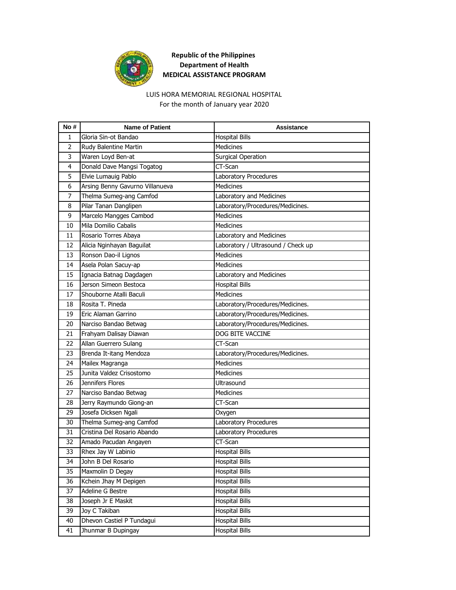

### LUIS HORA MEMORIAL REGIONAL HOSPITAL

For the month of January year 2020

| No# | <b>Name of Patient</b>          | <b>Assistance</b>                  |
|-----|---------------------------------|------------------------------------|
| 1   | Gloria Sin-ot Bandao            | <b>Hospital Bills</b>              |
| 2   | Rudy Balentine Martin           | <b>Medicines</b>                   |
| 3   | Waren Loyd Ben-at               | <b>Surgical Operation</b>          |
| 4   | Donald Dave Mangsi Togatog      | CT-Scan                            |
| 5   | Elvie Lumauig Pablo             | Laboratory Procedures              |
| 6   | Arsing Benny Gavurno Villanueva | <b>Medicines</b>                   |
| 7   | Thelma Sumeg-ang Camfod         | Laboratory and Medicines           |
| 8   | Pilar Tanan Danglipen           | Laboratory/Procedures/Medicines.   |
| 9   | Marcelo Mangges Cambod          | <b>Medicines</b>                   |
| 10  | Mila Domilio Cabalis            | <b>Medicines</b>                   |
| 11  | Rosario Torres Abaya            | Laboratory and Medicines           |
| 12  | Alicia Nginhayan Baguilat       | Laboratory / Ultrasound / Check up |
| 13  | Ronson Dao-il Lignos            | <b>Medicines</b>                   |
| 14  | Asela Polan Sacuy-ap            | <b>Medicines</b>                   |
| 15  | Ignacia Batnag Dagdagen         | Laboratory and Medicines           |
| 16  | Jerson Simeon Bestoca           | <b>Hospital Bills</b>              |
| 17  | Shouborne Atalli Baculi         | <b>Medicines</b>                   |
| 18  | Rosita T. Pineda                | Laboratory/Procedures/Medicines.   |
| 19  | Eric Alaman Garrino             | Laboratory/Procedures/Medicines.   |
| 20  | Narciso Bandao Betwag           | Laboratory/Procedures/Medicines.   |
| 21  | Frahyam Dalisay Diawan          | <b>DOG BITE VACCINE</b>            |
| 22  | Allan Guerrero Sulang           | CT-Scan                            |
| 23  | Brenda It-itang Mendoza         | Laboratory/Procedures/Medicines.   |
| 24  | Mailex Magranga                 | <b>Medicines</b>                   |
| 25  | Junita Valdez Crisostomo        | Medicines                          |
| 26  | Jennifers Flores                | Ultrasound                         |
| 27  | Narciso Bandao Betwag           | <b>Medicines</b>                   |
| 28  | Jerry Raymundo Giong-an         | CT-Scan                            |
| 29  | Josefa Dicksen Ngali            | Oxygen                             |
| 30  | Thelma Sumeg-ang Camfod         | Laboratory Procedures              |
| 31  | Cristina Del Rosario Abando     | Laboratory Procedures              |
| 32  | Amado Pacudan Angayen           | CT-Scan                            |
| 33  | Rhex Jay W Labinio              | <b>Hospital Bills</b>              |
| 34  | John B Del Rosario              | <b>Hospital Bills</b>              |
| 35  | Maxmolin D Degay                | <b>Hospital Bills</b>              |
| 36  | Kchein Jhay M Depigen           | <b>Hospital Bills</b>              |
| 37  | Adeline G Bestre                | <b>Hospital Bills</b>              |
| 38  | Joseph Jr E Maskit              | <b>Hospital Bills</b>              |
| 39  | Joy C Takiban                   | <b>Hospital Bills</b>              |
| 40  | Dhevon Castiel P Tundagui       | <b>Hospital Bills</b>              |
| 41  | Jhunmar B Dupingay              | <b>Hospital Bills</b>              |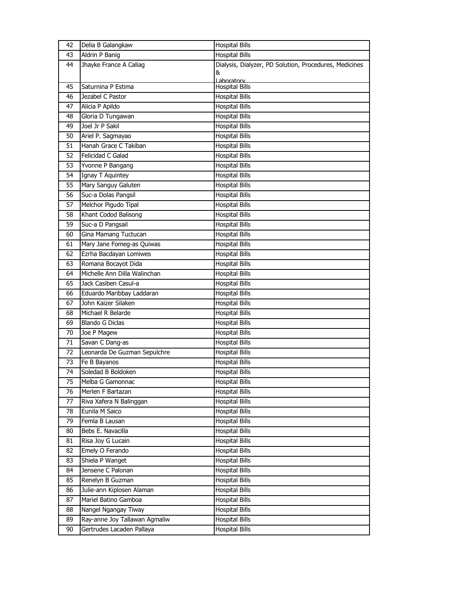| 42 | Delia B Galangkaw             | <b>Hospital Bills</b>                                       |
|----|-------------------------------|-------------------------------------------------------------|
| 43 | Aldrin P Banig                | <b>Hospital Bills</b>                                       |
| 44 | Jhayke France A Caliag        | Dialysis, Dialyzer, PD Solution, Procedures, Medicines<br>& |
| 45 | Saturnina P Estima            | Laboratory<br><b>Hospital Bills</b>                         |
| 46 | Jezabel C Pastor              | <b>Hospital Bills</b>                                       |
| 47 | Alicia P Apildo               | <b>Hospital Bills</b>                                       |
| 48 | Gloria D Tungawan             | <b>Hospital Bills</b>                                       |
| 49 | Joel Jr P Sakil               | <b>Hospital Bills</b>                                       |
| 50 | Ariel P. Sagmayao             | <b>Hospital Bills</b>                                       |
| 51 | Hanah Grace C Takiban         | Hospital Bills                                              |
| 52 | Felicidad C Galad             | <b>Hospital Bills</b>                                       |
| 53 | Yvonne P Bangang              | <b>Hospital Bills</b>                                       |
| 54 | Ignay T Aquintey              | <b>Hospital Bills</b>                                       |
| 55 | Mary Sanguy Galuten           | <b>Hospital Bills</b>                                       |
| 56 | Suc-a Dolas Pangsil           | Hospital Bills                                              |
| 57 | Melchor Pigudo Tipal          | <b>Hospital Bills</b>                                       |
| 58 | Khant Codod Balisong          | <b>Hospital Bills</b>                                       |
| 59 | Suc-a D Pangsail              | <b>Hospital Bills</b>                                       |
| 60 | Gina Mamang Tuctucan          | <b>Hospital Bills</b>                                       |
| 61 | Mary Jane Fomeg-as Quiwas     | Hospital Bills                                              |
| 62 | Ezrha Bacdayan Lomiwes        | <b>Hospital Bills</b>                                       |
| 63 | Romana Bocayot Dida           | <b>Hospital Bills</b>                                       |
| 64 | Michelle Ann Dilla Walinchan  | <b>Hospital Bills</b>                                       |
| 65 | Jack Casiben Casul-a          | <b>Hospital Bills</b>                                       |
| 66 | Eduardo Maribbay Laddaran     | Hospital Bills                                              |
| 67 | John Kaizer Silaken           | <b>Hospital Bills</b>                                       |
| 68 | Michael R Belarde             | <b>Hospital Bills</b>                                       |
| 69 | <b>Blando G Diclas</b>        | <b>Hospital Bills</b>                                       |
| 70 | Joe P Magew                   | <b>Hospital Bills</b>                                       |
| 71 | Savan C Dang-as               | Hospital Bills                                              |
| 72 | Leonarda De Guzman Sepulchre  | <b>Hospital Bills</b>                                       |
| 73 | Fe B Bayanos                  | <b>Hospital Bills</b>                                       |
| 74 | Soledad B Boldoken            | Hospital Bills                                              |
| 75 | Melba G Gamonnac              | <b>Hospital Bills</b>                                       |
| 76 | Merlen F Bartazan             | <b>Hospital Bills</b>                                       |
| 77 | Riva Xafera N Balinggan       | <b>Hospital Bills</b>                                       |
| 78 | Eunila M Saico                | <b>Hospital Bills</b>                                       |
| 79 | Femla B Lausan                | <b>Hospital Bills</b>                                       |
| 80 | Bebs E. Navacilla             | <b>Hospital Bills</b>                                       |
| 81 | Risa Joy G Lucain             | <b>Hospital Bills</b>                                       |
| 82 | Emely O Ferando               | <b>Hospital Bills</b>                                       |
| 83 | Shiela P Wanget               | <b>Hospital Bills</b>                                       |
| 84 | Jensene C Palonan             | <b>Hospital Bills</b>                                       |
| 85 | Renelyn B Guzman              | <b>Hospital Bills</b>                                       |
| 86 | Julie-ann Kiplosen Alaman     | <b>Hospital Bills</b>                                       |
| 87 | Mariel Batino Gamboa          | <b>Hospital Bills</b>                                       |
| 88 | Nangel Ngangay Tiway          | <b>Hospital Bills</b>                                       |
| 89 | Ray-anne Joy Tallawan Agmaliw | <b>Hospital Bills</b>                                       |
| 90 | Gertrudes Lacaden Pallaya     | <b>Hospital Bills</b>                                       |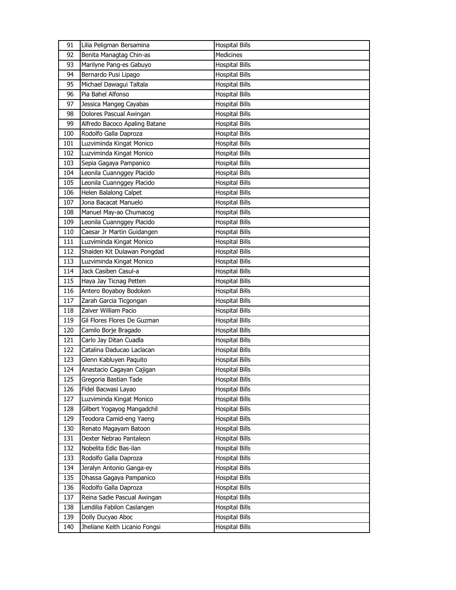| 91  | Lilia Peligman Bersamina      | <b>Hospital Bills</b> |
|-----|-------------------------------|-----------------------|
| 92  | Benita Managtag Chin-as       | Medicines             |
| 93  | Marilyne Pang-es Gabuyo       | <b>Hospital Bills</b> |
| 94  | Bernardo Pusi Lipago          | <b>Hospital Bills</b> |
| 95  | Michael Dawagui Taltala       | <b>Hospital Bills</b> |
| 96  | Pia Bahel Alfonso             | <b>Hospital Bills</b> |
| 97  | Jessica Mangeg Cayabas        | <b>Hospital Bills</b> |
| 98  | Dolores Pascual Awingan       | <b>Hospital Bills</b> |
| 99  | Alfredo Bacoco Apaling Batane | <b>Hospital Bills</b> |
| 100 | Rodolfo Galla Daproza         | <b>Hospital Bills</b> |
| 101 | Luzviminda Kingat Monico      | <b>Hospital Bills</b> |
| 102 | Luzviminda Kingat Monico      | <b>Hospital Bills</b> |
| 103 | Sepia Gagaya Pampanico        | <b>Hospital Bills</b> |
| 104 | Leonila Cuannggey Placido     | <b>Hospital Bills</b> |
| 105 | Leonila Cuannggey Placido     | <b>Hospital Bills</b> |
| 106 | Helen Balalong Calpet         | <b>Hospital Bills</b> |
| 107 | Jona Bacacat Manuelo          | <b>Hospital Bills</b> |
| 108 | Manuel May-ao Chumacog        | <b>Hospital Bills</b> |
| 109 | Leonila Cuannggey Placido     | <b>Hospital Bills</b> |
| 110 | Caesar Jr Martin Guidangen    | <b>Hospital Bills</b> |
| 111 | Luzviminda Kingat Monico      | <b>Hospital Bills</b> |
| 112 | Shaiden Kit Dulawan Pongdad   | <b>Hospital Bills</b> |
| 113 | Luzviminda Kingat Monico      | <b>Hospital Bills</b> |
| 114 | Jack Casiben Casul-a          | <b>Hospital Bills</b> |
| 115 | Haya Jay Ticnag Petten        | <b>Hospital Bills</b> |
| 116 | Antero Boyaboy Bodoken        | <b>Hospital Bills</b> |
| 117 | Zarah Garcia Ticgongan        | <b>Hospital Bills</b> |
| 118 | Zaiver William Pacio          | <b>Hospital Bills</b> |
| 119 | Gil Flores Flores De Guzman   | <b>Hospital Bills</b> |
| 120 | Camilo Borje Bragado          | <b>Hospital Bills</b> |
| 121 | Carlo Jay Ditan Cuadla        | <b>Hospital Bills</b> |
| 122 | Catalina Daducao Laclacan     | <b>Hospital Bills</b> |
| 123 | Glenn Kabluyen Paquito        | <b>Hospital Bills</b> |
| 124 | Anastacio Cagayan Cajigan     | <b>Hospital Bills</b> |
| 125 | Gregoria Bastian Tade         | <b>Hospital Bills</b> |
| 126 | Fidel Bacwasi Layao           | <b>Hospital Bills</b> |
| 127 | Luzviminda Kingat Monico      | <b>Hospital Bills</b> |
| 128 | Gilbert Yogayog Mangadchil    | <b>Hospital Bills</b> |
| 129 | Teodora Camid-eng Yaeng       | <b>Hospital Bills</b> |
| 130 | Renato Magayam Batoon         | <b>Hospital Bills</b> |
| 131 | Dexter Nebrao Pantaleon       | <b>Hospital Bills</b> |
| 132 | Nobelita Edic Bas-ilan        | Hospital Bills        |
| 133 | Rodolfo Galla Daproza         | <b>Hospital Bills</b> |
| 134 | Jeralyn Antonio Ganga-ey      | <b>Hospital Bills</b> |
| 135 | Dhassa Gagaya Pampanico       | <b>Hospital Bills</b> |
| 136 | Rodolfo Galla Daproza         | <b>Hospital Bills</b> |
| 137 | Reina Sadie Pascual Awingan   | Hospital Bills        |
| 138 | Lendilia Fabilon Caslangen    | <b>Hospital Bills</b> |
| 139 | Dolly Ducyao Aboc             | <b>Hospital Bills</b> |
| 140 | Jheliane Keith Licanio Fongsi | <b>Hospital Bills</b> |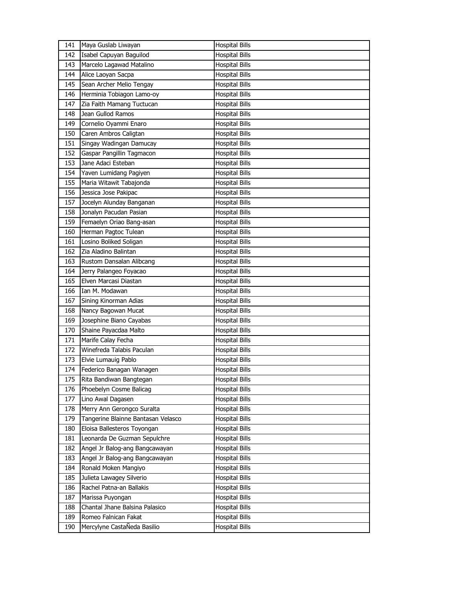| 141 | Maya Guslab Liwayan                | <b>Hospital Bills</b> |
|-----|------------------------------------|-----------------------|
| 142 | Isabel Capuyan Baguilod            | <b>Hospital Bills</b> |
| 143 | Marcelo Lagawad Matalino           | <b>Hospital Bills</b> |
| 144 | Alice Laoyan Sacpa                 | <b>Hospital Bills</b> |
| 145 | Sean Archer Melio Tengay           | <b>Hospital Bills</b> |
| 146 | Herminia Tobiagon Lamo-oy          | <b>Hospital Bills</b> |
| 147 | Zia Faith Mamang Tuctucan          | <b>Hospital Bills</b> |
| 148 | Jean Gullod Ramos                  | <b>Hospital Bills</b> |
| 149 | Cornelio Oyammi Enaro              | <b>Hospital Bills</b> |
| 150 | Caren Ambros Caligtan              | <b>Hospital Bills</b> |
| 151 | Singay Wadingan Damucay            | <b>Hospital Bills</b> |
| 152 | Gaspar Pangillin Tagmacon          | <b>Hospital Bills</b> |
| 153 | Jane Adaci Esteban                 | <b>Hospital Bills</b> |
| 154 | Yaven Lumidang Pagiyen             | <b>Hospital Bills</b> |
| 155 | Maria Witawit Tabajonda            | <b>Hospital Bills</b> |
| 156 | Jessica Jose Pakipac               | <b>Hospital Bills</b> |
| 157 | Jocelyn Alunday Banganan           | <b>Hospital Bills</b> |
| 158 | Jonalyn Pacudan Pasian             | <b>Hospital Bills</b> |
| 159 | Femaelyn Oriao Bang-asan           | <b>Hospital Bills</b> |
| 160 | Herman Pagtoc Tulean               | <b>Hospital Bills</b> |
| 161 | Losino Boliked Soligan             | <b>Hospital Bills</b> |
| 162 | Zia Aladino Balintan               | <b>Hospital Bills</b> |
| 163 | Rustom Dansalan Alibcang           | <b>Hospital Bills</b> |
| 164 | Jerry Palangeo Foyacao             | <b>Hospital Bills</b> |
| 165 | Elven Marcasi Diastan              | <b>Hospital Bills</b> |
| 166 | Ian M. Modawan                     | <b>Hospital Bills</b> |
| 167 | Sining Kinorman Adias              | <b>Hospital Bills</b> |
| 168 | Nancy Bagowan Mucat                | <b>Hospital Bills</b> |
| 169 | Josephine Biano Cayabas            | <b>Hospital Bills</b> |
| 170 | Shaine Payacdaa Malto              | <b>Hospital Bills</b> |
| 171 | Marife Calay Fecha                 | <b>Hospital Bills</b> |
| 172 | Winefreda Talabis Paculan          | <b>Hospital Bills</b> |
| 173 | Elvie Lumauig Pablo                | <b>Hospital Bills</b> |
| 174 | Federico Banagan Wanagen           | <b>Hospital Bills</b> |
| 175 | Rita Bandiwan Bangtegan            | <b>Hospital Bills</b> |
| 176 | Phoebelyn Cosme Balicag            | <b>Hospital Bills</b> |
| 177 | Lino Awal Dagasen                  | <b>Hospital Bills</b> |
| 178 | Merry Ann Gerongco Suralta         | <b>Hospital Bills</b> |
| 179 | Tangerine Blainne Bantasan Velasco | <b>Hospital Bills</b> |
| 180 | Eloisa Ballesteros Toyongan        | <b>Hospital Bills</b> |
| 181 | Leonarda De Guzman Sepulchre       | <b>Hospital Bills</b> |
| 182 | Angel Jr Balog-ang Bangcawayan     | <b>Hospital Bills</b> |
| 183 | Angel Jr Balog-ang Bangcawayan     | <b>Hospital Bills</b> |
| 184 | Ronald Moken Mangiyo               | <b>Hospital Bills</b> |
| 185 | Julieta Lawagey Silverio           | <b>Hospital Bills</b> |
| 186 | Rachel Patna-an Ballakis           | <b>Hospital Bills</b> |
| 187 | Marissa Puyongan                   | <b>Hospital Bills</b> |
| 188 | Chantal Jhane Balsina Palasico     | <b>Hospital Bills</b> |
| 189 | Romeo Falnican Fakat               | <b>Hospital Bills</b> |
| 190 | Mercylyne CastaÑeda Basilio        | <b>Hospital Bills</b> |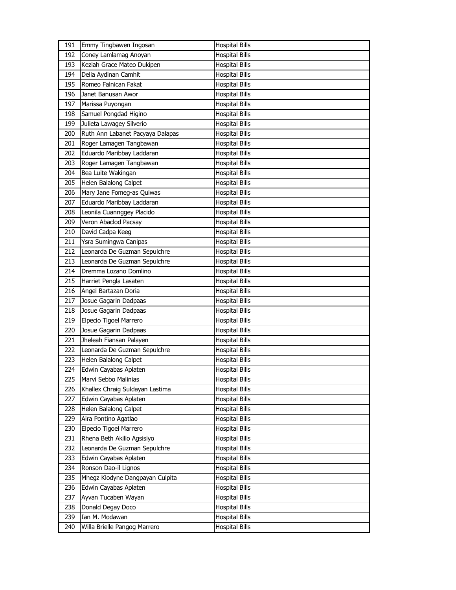| 191 | Emmy Tingbawen Ingosan           | <b>Hospital Bills</b> |
|-----|----------------------------------|-----------------------|
| 192 | Coney Lamlamag Anoyan            | <b>Hospital Bills</b> |
| 193 | Keziah Grace Mateo Dukipen       | <b>Hospital Bills</b> |
| 194 | Delia Aydinan Camhit             | <b>Hospital Bills</b> |
| 195 | Romeo Falnican Fakat             | <b>Hospital Bills</b> |
| 196 | Janet Banusan Awor               | <b>Hospital Bills</b> |
| 197 | Marissa Puyongan                 | <b>Hospital Bills</b> |
| 198 | Samuel Pongdad Higino            | <b>Hospital Bills</b> |
| 199 | Julieta Lawagey Silverio         | <b>Hospital Bills</b> |
| 200 | Ruth Ann Labanet Pacyaya Dalapas | <b>Hospital Bills</b> |
| 201 | Roger Lamagen Tangbawan          | <b>Hospital Bills</b> |
| 202 | Eduardo Maribbay Laddaran        | <b>Hospital Bills</b> |
| 203 | Roger Lamagen Tangbawan          | <b>Hospital Bills</b> |
| 204 | Bea Luite Wakingan               | <b>Hospital Bills</b> |
| 205 | Helen Balalong Calpet            | <b>Hospital Bills</b> |
| 206 | Mary Jane Fomeg-as Quiwas        | <b>Hospital Bills</b> |
| 207 | Eduardo Maribbay Laddaran        | <b>Hospital Bills</b> |
| 208 | Leonila Cuannggey Placido        | <b>Hospital Bills</b> |
| 209 | Veron Abaclod Pacsay             | <b>Hospital Bills</b> |
| 210 | David Cadpa Keeg                 | <b>Hospital Bills</b> |
| 211 | Ysra Sumingwa Canipas            | <b>Hospital Bills</b> |
| 212 | Leonarda De Guzman Sepulchre     | <b>Hospital Bills</b> |
| 213 | Leonarda De Guzman Sepulchre     | <b>Hospital Bills</b> |
| 214 | Dremma Lozano Domlino            | <b>Hospital Bills</b> |
| 215 | Harriet Pengla Lasaten           | <b>Hospital Bills</b> |
| 216 | Angel Bartazan Doria             | <b>Hospital Bills</b> |
| 217 | Josue Gagarin Dadpaas            | <b>Hospital Bills</b> |
| 218 | Josue Gagarin Dadpaas            | <b>Hospital Bills</b> |
| 219 | Elpecio Tigoel Marrero           | <b>Hospital Bills</b> |
| 220 | Josue Gagarin Dadpaas            | <b>Hospital Bills</b> |
| 221 | Jheleah Fiansan Palayen          | <b>Hospital Bills</b> |
| 222 | Leonarda De Guzman Sepulchre     | <b>Hospital Bills</b> |
| 223 | Helen Balalong Calpet            | <b>Hospital Bills</b> |
| 224 | Edwin Cayabas Aplaten            | <b>Hospital Bills</b> |
| 225 | Marvi Sebbo Malinias             | <b>Hospital Bills</b> |
| 226 | Khallex Chraig Suldayan Lastima  | <b>Hospital Bills</b> |
| 227 | Edwin Cayabas Aplaten            | <b>Hospital Bills</b> |
| 228 | Helen Balalong Calpet            | <b>Hospital Bills</b> |
| 229 | Aira Pontino Agatlao             | <b>Hospital Bills</b> |
| 230 | Elpecio Tigoel Marrero           | <b>Hospital Bills</b> |
| 231 | Rhena Beth Akilio Agsisiyo       | <b>Hospital Bills</b> |
| 232 | Leonarda De Guzman Sepulchre     | <b>Hospital Bills</b> |
| 233 | Edwin Cayabas Aplaten            | <b>Hospital Bills</b> |
| 234 | Ronson Dao-il Lignos             | <b>Hospital Bills</b> |
| 235 | Mhegz Klodyne Dangpayan Culpita  | <b>Hospital Bills</b> |
| 236 | Edwin Cayabas Aplaten            | <b>Hospital Bills</b> |
| 237 | Ayvan Tucaben Wayan              | <b>Hospital Bills</b> |
| 238 | Donald Degay Doco                | <b>Hospital Bills</b> |
| 239 | Ian M. Modawan                   | <b>Hospital Bills</b> |
| 240 | Willa Brielle Pangog Marrero     | <b>Hospital Bills</b> |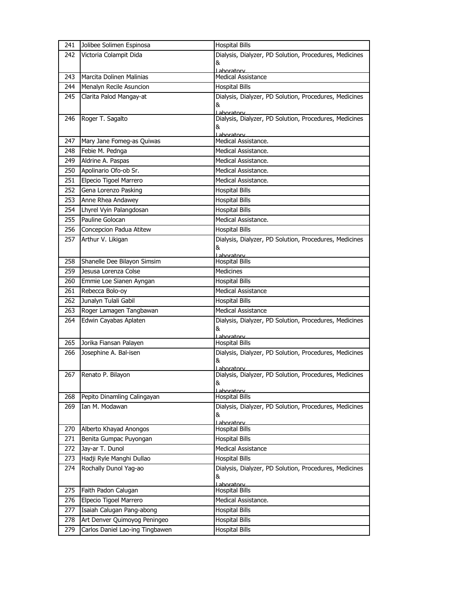| 241 | Jolibee Solimen Espinosa        | <b>Hospital Bills</b>                                  |
|-----|---------------------------------|--------------------------------------------------------|
| 242 | Victoria Colampit Dida          | Dialysis, Dialyzer, PD Solution, Procedures, Medicines |
|     |                                 | &                                                      |
| 243 | Marcita Dolinen Malinias        | Laboratory<br>Medical Assistance                       |
| 244 | Menalyn Recile Asuncion         | <b>Hospital Bills</b>                                  |
| 245 | Clarita Palod Mangay-at         | Dialysis, Dialyzer, PD Solution, Procedures, Medicines |
|     |                                 | &                                                      |
|     |                                 | Laboratory                                             |
| 246 | Roger T. Sagalto                | Dialysis, Dialyzer, PD Solution, Procedures, Medicines |
|     |                                 | &<br>Laboratory                                        |
| 247 | Mary Jane Fomeg-as Quiwas       | Medical Assistance.                                    |
| 248 | Febie M. Pednga                 | Medical Assistance.                                    |
| 249 | Aldrine A. Paspas               | Medical Assistance.                                    |
| 250 | Apolinario Ofo-ob Sr.           | Medical Assistance.                                    |
| 251 | Elpecio Tigoel Marrero          | Medical Assistance.                                    |
| 252 | Gena Lorenzo Pasking            | <b>Hospital Bills</b>                                  |
| 253 | Anne Rhea Andawey               | <b>Hospital Bills</b>                                  |
| 254 | Lhyrel Vyin Palangdosan         | <b>Hospital Bills</b>                                  |
| 255 | Pauline Golocan                 | Medical Assistance.                                    |
| 256 | Concepcion Padua Atitew         | <b>Hospital Bills</b>                                  |
| 257 | Arthur V. Likigan               | Dialysis, Dialyzer, PD Solution, Procedures, Medicines |
|     |                                 | &                                                      |
| 258 | Shanelle Dee Bilayon Simsim     | Laboratory<br><b>Hospital Bills</b>                    |
| 259 | Jesusa Lorenza Colse            | Medicines                                              |
| 260 | Emmie Loe Sianen Ayngan         | <b>Hospital Bills</b>                                  |
| 261 | Rebecca Bolo-oy                 | Medical Assistance                                     |
| 262 | Junalyn Tulali Gabil            | <b>Hospital Bills</b>                                  |
| 263 | Roger Lamagen Tangbawan         | Medical Assistance                                     |
| 264 | Edwin Cayabas Aplaten           | Dialysis, Dialyzer, PD Solution, Procedures, Medicines |
|     |                                 | &                                                      |
| 265 | Jorika Fiansan Palayen          | Laboratory<br><b>Hospital Bills</b>                    |
| 266 | Josephine A. Bal-isen           | Dialysis, Dialyzer, PD Solution, Procedures, Medicines |
|     |                                 | &                                                      |
|     |                                 | <u>l aboratorv</u>                                     |
|     | 267 Renato P. Bilayon           | Dialysis, Dialyzer, PD Solution, Procedures, Medicines |
|     |                                 | &<br>Laboratory                                        |
| 268 | Pepito Dinamling Calingayan     | <b>Hospital Bills</b>                                  |
| 269 | Ian M. Modawan                  | Dialysis, Dialyzer, PD Solution, Procedures, Medicines |
|     |                                 | &                                                      |
| 270 | Alberto Khayad Anongos          | Laboratory<br><b>Hospital Bills</b>                    |
| 271 | Benita Gumpac Puyongan          | <b>Hospital Bills</b>                                  |
| 272 | Jay-ar T. Dunol                 | Medical Assistance                                     |
| 273 | Hadji Ryle Manghi Dullao        | <b>Hospital Bills</b>                                  |
| 274 | Rochally Dunol Yag-ao           | Dialysis, Dialyzer, PD Solution, Procedures, Medicines |
|     |                                 | &                                                      |
| 275 | Faith Padon Calugan             | Lahoratory<br><b>Hospital Bills</b>                    |
| 276 | Elpecio Tigoel Marrero          | Medical Assistance.                                    |
| 277 | Isaiah Calugan Pang-abong       | <b>Hospital Bills</b>                                  |
| 278 | Art Denver Quimoyog Peningeo    | <b>Hospital Bills</b>                                  |
|     | Carlos Daniel Lao-ing Tingbawen | <b>Hospital Bills</b>                                  |
| 279 |                                 |                                                        |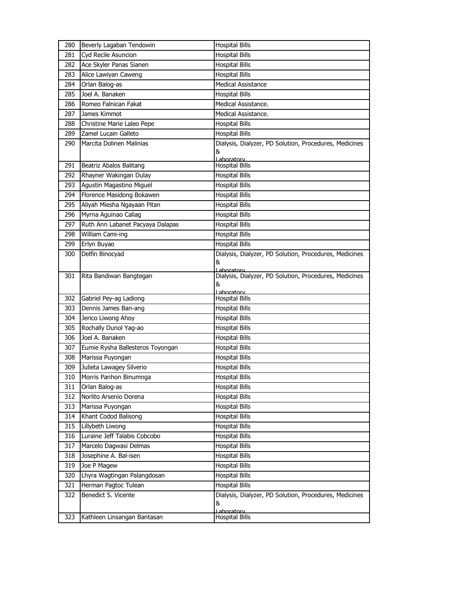| 280 | Beverly Lagaban Tendowin         | <b>Hospital Bills</b>                                                     |
|-----|----------------------------------|---------------------------------------------------------------------------|
| 281 | Cyd Recile Asuncion              | <b>Hospital Bills</b>                                                     |
| 282 | Ace Skyler Panas Sianen          | <b>Hospital Bills</b>                                                     |
| 283 | Alice Lawiyan Caweng             | <b>Hospital Bills</b>                                                     |
| 284 | Orlan Balog-as                   | <b>Medical Assistance</b>                                                 |
| 285 | Joel A. Banaken                  | <b>Hospital Bills</b>                                                     |
| 286 | Romeo Falnican Fakat             | Medical Assistance.                                                       |
| 287 | James Kimmot                     | Medical Assistance.                                                       |
| 288 | Christine Marie Laleo Pepe       | <b>Hospital Bills</b>                                                     |
| 289 | Zamel Lucain Galleto             | <b>Hospital Bills</b>                                                     |
| 290 | Marcita Dolinen Malinias         | Dialysis, Dialyzer, PD Solution, Procedures, Medicines<br>&<br>Laboratory |
| 291 | Beatriz Abalos Balitang          | <b>Hospital Bills</b>                                                     |
| 292 | Rhayner Wakingan Dulay           | <b>Hospital Bills</b>                                                     |
| 293 | Agustin Magastino Miguel         | <b>Hospital Bills</b>                                                     |
| 294 | Florence Masidong Bokawen        | <b>Hospital Bills</b>                                                     |
| 295 | Aliyah Miesha Ngayaan Pitan      | <b>Hospital Bills</b>                                                     |
| 296 | Myrna Aguinao Caliag             | <b>Hospital Bills</b>                                                     |
| 297 | Ruth Ann Labanet Pacyaya Dalapas | <b>Hospital Bills</b>                                                     |
| 298 | William Cami-ing                 | <b>Hospital Bills</b>                                                     |
| 299 | Erlyn Buyao                      | <b>Hospital Bills</b>                                                     |
| 300 | Delfin Binocyad                  | Dialysis, Dialyzer, PD Solution, Procedures, Medicines<br>&<br>Laboratory |
| 301 | Rita Bandiwan Bangtegan          | Dialysis, Dialyzer, PD Solution, Procedures, Medicines<br>&               |
|     |                                  |                                                                           |
| 302 | Gabriel Pey-ag Ladiong           | Lahoratory<br><b>Hospital Bills</b>                                       |
| 303 | Dennis James Ban-ang             | <b>Hospital Bills</b>                                                     |
| 304 | Jerico Liwong Ahoy               | <b>Hospital Bills</b>                                                     |
| 305 | Rochally Dunol Yag-ao            | <b>Hospital Bills</b>                                                     |
| 306 | Joel A. Banaken                  | <b>Hospital Bills</b>                                                     |
| 307 | Eumie Rysha Ballesteros Toyongan | <b>Hospital Bills</b>                                                     |
| 308 | Marissa Puyongan                 | <b>Hospital Bills</b>                                                     |
| 309 | Julieta Lawagey Silverio         | <b>Hospital Bills</b>                                                     |
| 310 | Morris Panhon Binumnga           | Hospital Bills                                                            |
| 311 | Orlan Balog-as                   | <b>Hospital Bills</b>                                                     |
| 312 | Norlito Arsenio Dorena           | <b>Hospital Bills</b>                                                     |
| 313 | Marissa Puyongan                 | <b>Hospital Bills</b>                                                     |
| 314 | Khant Codod Balisong             | <b>Hospital Bills</b>                                                     |
| 315 | Lillybeth Liwong                 | <b>Hospital Bills</b>                                                     |
| 316 | Luraine Jeff Talabis Cobcobo     | <b>Hospital Bills</b>                                                     |
| 317 | Marcelo Dagwasi Delmas           | <b>Hospital Bills</b>                                                     |
| 318 | Josephine A. Bal-isen            | <b>Hospital Bills</b>                                                     |
| 319 | Joe P Magew                      | <b>Hospital Bills</b>                                                     |
| 320 | Lhyra Wagtingan Palangdosan      | Hospital Bills                                                            |
| 321 | Herman Pagtoc Tulean             | <b>Hospital Bills</b>                                                     |
| 322 | Benedict S. Vicente              | Dialysis, Dialyzer, PD Solution, Procedures, Medicines<br>&<br>Laboratory |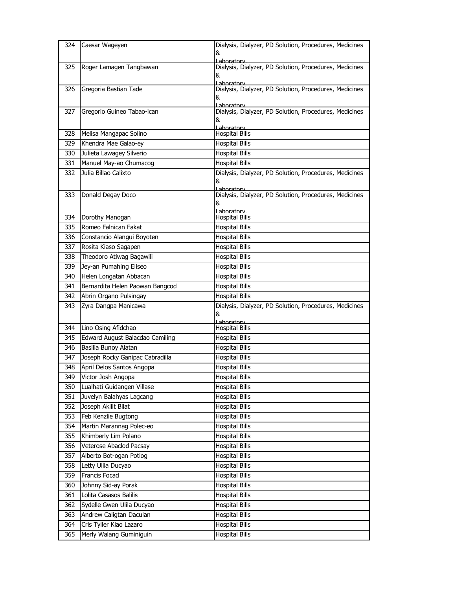| 324 | Caesar Wageyen                  | Dialysis, Dialyzer, PD Solution, Procedures, Medicines                |
|-----|---------------------------------|-----------------------------------------------------------------------|
|     |                                 | &                                                                     |
|     |                                 | I aboratory<br>Dialysis, Dialyzer, PD Solution, Procedures, Medicines |
| 325 | Roger Lamagen Tangbawan         | &                                                                     |
|     |                                 | Laboratory                                                            |
| 326 | Gregoria Bastian Tade           | Dialysis, Dialyzer, PD Solution, Procedures, Medicines                |
|     |                                 | &                                                                     |
| 327 | Gregorio Guineo Tabao-ican      | Laboratory<br>Dialysis, Dialyzer, PD Solution, Procedures, Medicines  |
|     |                                 | &                                                                     |
|     |                                 | Laboratory                                                            |
| 328 | Melisa Mangapac Solino          | <b>Hospital Bills</b>                                                 |
| 329 | Khendra Mae Galao-ey            | Hospital Bills                                                        |
| 330 | Julieta Lawagey Silverio        | <b>Hospital Bills</b>                                                 |
| 331 | Manuel May-ao Chumacog          | <b>Hospital Bills</b>                                                 |
| 332 | Julia Billao Calixto            | Dialysis, Dialyzer, PD Solution, Procedures, Medicines                |
|     |                                 | &                                                                     |
| 333 | Donald Degay Doco               | Laboratory<br>Dialysis, Dialyzer, PD Solution, Procedures, Medicines  |
|     |                                 | &                                                                     |
|     |                                 | Laboratory                                                            |
| 334 | Dorothy Manogan                 | <b>Hospital Bills</b>                                                 |
| 335 | Romeo Falnican Fakat            | <b>Hospital Bills</b>                                                 |
| 336 | Constancio Alangui Boyoten      | <b>Hospital Bills</b>                                                 |
| 337 | Rosita Kiaso Sagapen            | <b>Hospital Bills</b>                                                 |
| 338 | Theodoro Atiwag Bagawili        | <b>Hospital Bills</b>                                                 |
| 339 | Jey-an Pumahing Eliseo          | <b>Hospital Bills</b>                                                 |
| 340 | Helen Longatan Abbacan          | <b>Hospital Bills</b>                                                 |
| 341 | Bernardita Helen Paowan Bangcod | <b>Hospital Bills</b>                                                 |
| 342 | Abrin Organo Pulsingay          | <b>Hospital Bills</b>                                                 |
| 343 | Zyra Dangpa Manicawa            | Dialysis, Dialyzer, PD Solution, Procedures, Medicines                |
|     |                                 | &                                                                     |
| 344 | Lino Osing Afidchao             | Lahoratory<br><b>Hospital Bills</b>                                   |
| 345 | Edward August Balacdao Camiling | <b>Hospital Bills</b>                                                 |
| 346 | Basilia Bunoy Alatan            | <b>Hospital Bills</b>                                                 |
| 347 | Joseph Rocky Ganipac Cabradilla | <b>Hospital Bills</b>                                                 |
| 348 | April Delos Santos Angopa       | <b>Hospital Bills</b>                                                 |
| 349 | Victor Josh Angopa              | <b>Hospital Bills</b>                                                 |
| 350 | Lualhati Guidangen Villase      | <b>Hospital Bills</b>                                                 |
| 351 | Juvelyn Balahyas Lagcang        | <b>Hospital Bills</b>                                                 |
| 352 | Joseph Akilit Bilat             | <b>Hospital Bills</b>                                                 |
| 353 | Feb Kenzlie Bugtong             | <b>Hospital Bills</b>                                                 |
| 354 | Martin Marannag Polec-eo        | <b>Hospital Bills</b>                                                 |
| 355 | Khimberly Lim Polano            | <b>Hospital Bills</b>                                                 |
| 356 | Veterose Abaclod Pacsay         | <b>Hospital Bills</b>                                                 |
| 357 | Alberto Bot-ogan Potiog         | <b>Hospital Bills</b>                                                 |
|     |                                 |                                                                       |
| 358 | Letty Ulila Ducyao              | <b>Hospital Bills</b>                                                 |
| 359 | Francis Focad                   | <b>Hospital Bills</b>                                                 |
| 360 | Johnny Sid-ay Porak             | <b>Hospital Bills</b>                                                 |
| 361 | Lolita Casasos Balilis          | <b>Hospital Bills</b>                                                 |
| 362 | Sydelle Gwen Ulila Ducyao       | <b>Hospital Bills</b>                                                 |
| 363 | Andrew Caligtan Daculan         | <b>Hospital Bills</b>                                                 |
| 364 | Cris Tyller Kiao Lazaro         | <b>Hospital Bills</b>                                                 |
| 365 | Merly Walang Guminiguin         | <b>Hospital Bills</b>                                                 |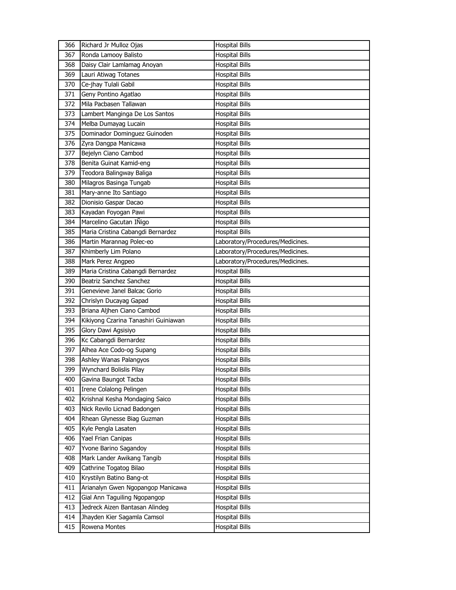| 366 | Richard Jr Mulloz Ojas               | <b>Hospital Bills</b>            |
|-----|--------------------------------------|----------------------------------|
| 367 | Ronda Lamooy Balisto                 | <b>Hospital Bills</b>            |
| 368 | Daisy Clair Lamlamag Anoyan          | <b>Hospital Bills</b>            |
| 369 | Lauri Atiwag Totanes                 | <b>Hospital Bills</b>            |
| 370 | Ce-jhay Tulali Gabil                 | <b>Hospital Bills</b>            |
| 371 | Geny Pontino Agatlao                 | <b>Hospital Bills</b>            |
| 372 | Mila Pacbasen Tallawan               | <b>Hospital Bills</b>            |
| 373 | Lambert Manginga De Los Santos       | <b>Hospital Bills</b>            |
| 374 | Melba Dumayag Lucain                 | <b>Hospital Bills</b>            |
| 375 | Dominador Dominguez Guinoden         | <b>Hospital Bills</b>            |
| 376 | Zyra Dangpa Manicawa                 | <b>Hospital Bills</b>            |
| 377 | Bejelyn Ciano Cambod                 | <b>Hospital Bills</b>            |
| 378 | Benita Guinat Kamid-eng              | <b>Hospital Bills</b>            |
| 379 | Teodora Balingway Baliga             | <b>Hospital Bills</b>            |
| 380 | Milagros Basinga Tungab              | <b>Hospital Bills</b>            |
| 381 | Mary-anne Ito Santiago               | <b>Hospital Bills</b>            |
| 382 | Dionisio Gaspar Dacao                | <b>Hospital Bills</b>            |
| 383 | Kayadan Foyogan Pawi                 | <b>Hospital Bills</b>            |
| 384 | Marcelino Gacutan IÑigo              | <b>Hospital Bills</b>            |
| 385 | Maria Cristina Cabangdi Bernardez    | <b>Hospital Bills</b>            |
| 386 | Martin Marannag Polec-eo             | Laboratory/Procedures/Medicines. |
| 387 | Khimberly Lim Polano                 | Laboratory/Procedures/Medicines. |
| 388 | Mark Perez Angpeo                    | Laboratory/Procedures/Medicines. |
| 389 | Maria Cristina Cabangdi Bernardez    | <b>Hospital Bills</b>            |
| 390 | Beatriz Sanchez Sanchez              | <b>Hospital Bills</b>            |
| 391 | Genevieve Janel Balcac Gorio         | <b>Hospital Bills</b>            |
| 392 | Chrislyn Ducayag Gapad               | <b>Hospital Bills</b>            |
| 393 | Briana Aljhen Ciano Cambod           | <b>Hospital Bills</b>            |
| 394 | Kikiyong Czarina Tanashiri Guiniawan | <b>Hospital Bills</b>            |
| 395 | Glory Dawi Agsisiyo                  | <b>Hospital Bills</b>            |
| 396 | Kc Cabangdi Bernardez                | <b>Hospital Bills</b>            |
| 397 | Alhea Ace Codo-og Supang             | <b>Hospital Bills</b>            |
| 398 | Ashley Wanas Palangyos               | <b>Hospital Bills</b>            |
| 399 | Wynchard Bolislis Pilay              | <b>Hospital Bills</b>            |
| 400 | Gavina Baungot Tacba                 | <b>Hospital Bills</b>            |
| 401 | Irene Colalong Pelingen              | <b>Hospital Bills</b>            |
| 402 | Krishnal Kesha Mondaging Saico       | <b>Hospital Bills</b>            |
| 403 | Nick Revilo Licnad Badongen          | <b>Hospital Bills</b>            |
| 404 | Rhean Glynesse Biag Guzman           | <b>Hospital Bills</b>            |
| 405 | Kyle Pengla Lasaten                  | <b>Hospital Bills</b>            |
| 406 | Yael Frian Canipas                   | <b>Hospital Bills</b>            |
| 407 | Yvone Barino Sagandoy                | <b>Hospital Bills</b>            |
| 408 | Mark Lander Awikang Tangib           | <b>Hospital Bills</b>            |
| 409 | Cathrine Togatog Bilao               | <b>Hospital Bills</b>            |
| 410 | Krystilyn Batino Bang-ot             | <b>Hospital Bills</b>            |
| 411 | Arianalyn Gwen Ngopangop Manicawa    | <b>Hospital Bills</b>            |
| 412 | Gial Ann Taguiling Ngopangop         | <b>Hospital Bills</b>            |
| 413 | Jedreck Aizen Bantasan Alindeg       | <b>Hospital Bills</b>            |
| 414 | Jhayden Kier Sagamla Camsol          | <b>Hospital Bills</b>            |
| 415 | Rowena Montes                        | <b>Hospital Bills</b>            |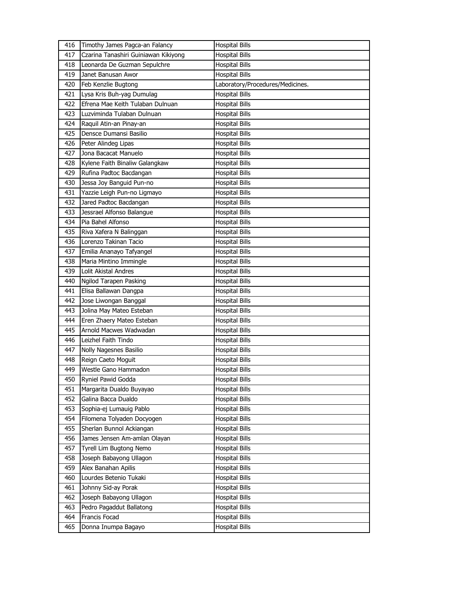| 416  | Timothy James Pagca-an Falancy       | <b>Hospital Bills</b>            |
|------|--------------------------------------|----------------------------------|
| 417  | Czarina Tanashiri Guiniawan Kikiyong | <b>Hospital Bills</b>            |
| 418  | Leonarda De Guzman Sepulchre         | <b>Hospital Bills</b>            |
| 419  | Janet Banusan Awor                   | <b>Hospital Bills</b>            |
| 420  | Feb Kenzlie Bugtong                  | Laboratory/Procedures/Medicines. |
| 421  | Lysa Kris Buh-yag Dumulag            | <b>Hospital Bills</b>            |
| 422  | Efrena Mae Keith Tulaban Dulnuan     | <b>Hospital Bills</b>            |
| 423. | Luzviminda Tulaban Dulnuan           | <b>Hospital Bills</b>            |
| 424  | Raquil Atin-an Pinay-an              | <b>Hospital Bills</b>            |
| 425  | Densce Dumansi Basilio               | <b>Hospital Bills</b>            |
| 426  | Peter Alindeg Lipas                  | <b>Hospital Bills</b>            |
| 427  | Jona Bacacat Manuelo                 | Hospital Bills                   |
| 428  | Kylene Faith Binaliw Galangkaw       | <b>Hospital Bills</b>            |
| 429  | Rufina Padtoc Bacdangan              | <b>Hospital Bills</b>            |
| 430  | Jessa Joy Banguid Pun-no             | <b>Hospital Bills</b>            |
| 431  | Yazzie Leigh Pun-no Ligmayo          | <b>Hospital Bills</b>            |
| 432  | Jared Padtoc Bacdangan               | <b>Hospital Bills</b>            |
| 433  | Jessrael Alfonso Balangue            | <b>Hospital Bills</b>            |
| 434  | Pia Bahel Alfonso                    | <b>Hospital Bills</b>            |
| 435  | Riva Xafera N Balinggan              | <b>Hospital Bills</b>            |
| 436  | Lorenzo Takinan Tacio                | <b>Hospital Bills</b>            |
| 437  | Emilia Ananayo Tafyangel             | <b>Hospital Bills</b>            |
| 438  | Maria Mintino Immingle               | <b>Hospital Bills</b>            |
| 439  | Lolit Akistal Andres                 | <b>Hospital Bills</b>            |
| 440  | Ngilod Tarapen Pasking               | <b>Hospital Bills</b>            |
| 441  | Elisa Ballawan Dangpa                | <b>Hospital Bills</b>            |
| 442  | Jose Liwongan Banggal                | <b>Hospital Bills</b>            |
| 443  | Jolina May Mateo Esteban             | <b>Hospital Bills</b>            |
| 444  | Eren Zhaery Mateo Esteban            | <b>Hospital Bills</b>            |
| 445  | Arnold Macwes Wadwadan               | <b>Hospital Bills</b>            |
| 446  | Leizhel Faith Tindo                  | <b>Hospital Bills</b>            |
| 447  | Nolly Nagesnes Basilio               | <b>Hospital Bills</b>            |
| 448  | Reign Caeto Moguit                   | <b>Hospital Bills</b>            |
| 449  | Westle Gano Hammadon                 | <b>Hospital Bills</b>            |
| 450  | Ryniel Pawid Godda                   | <b>Hospital Bills</b>            |
| 451  | Margarita Dualdo Buyayao             | <b>Hospital Bills</b>            |
| 452  | Galina Bacca Dualdo                  | <b>Hospital Bills</b>            |
| 453  | Sophia-ej Lumauig Pablo              | <b>Hospital Bills</b>            |
| 454  | Filomena Tolyaden Docyogen           | <b>Hospital Bills</b>            |
| 455  | Sherlan Bunnol Ackiangan             | <b>Hospital Bills</b>            |
| 456  | James Jensen Am-amlan Olayan         | <b>Hospital Bills</b>            |
| 457  | Tyrell Lim Bugtong Nemo              | Hospital Bills                   |
| 458  | Joseph Babayong Ullagon              | <b>Hospital Bills</b>            |
| 459  | Alex Banahan Apilis                  | <b>Hospital Bills</b>            |
| 460  | Lourdes Betenio Tukaki               | <b>Hospital Bills</b>            |
| 461  | Johnny Sid-ay Porak                  | <b>Hospital Bills</b>            |
| 462  | Joseph Babayong Ullagon              | Hospital Bills                   |
| 463  | Pedro Pagaddut Ballatong             | <b>Hospital Bills</b>            |
| 464  | Francis Focad                        | <b>Hospital Bills</b>            |
| 465  | Donna Inumpa Bagayo                  | <b>Hospital Bills</b>            |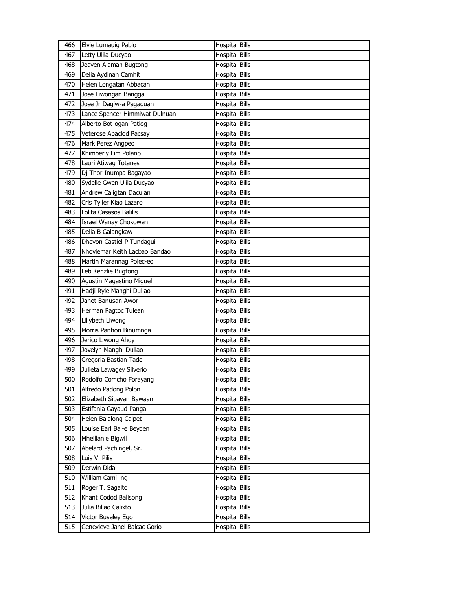| 466 | Elvie Lumauig Pablo            | <b>Hospital Bills</b> |
|-----|--------------------------------|-----------------------|
| 467 | Letty Ulila Ducyao             | <b>Hospital Bills</b> |
| 468 | Jeaven Alaman Bugtong          | <b>Hospital Bills</b> |
| 469 | Delia Aydinan Camhit           | <b>Hospital Bills</b> |
| 470 | Helen Longatan Abbacan         | <b>Hospital Bills</b> |
| 471 | Jose Liwongan Banggal          | <b>Hospital Bills</b> |
| 472 | Jose Jr Dagiw-a Pagaduan       | <b>Hospital Bills</b> |
| 473 | Lance Spencer Himmiwat Dulnuan | <b>Hospital Bills</b> |
| 474 | Alberto Bot-ogan Patiog        | <b>Hospital Bills</b> |
| 475 | Veterose Abaclod Pacsay        | <b>Hospital Bills</b> |
| 476 | Mark Perez Angpeo              | <b>Hospital Bills</b> |
| 477 | Khimberly Lim Polano           | <b>Hospital Bills</b> |
| 478 | Lauri Atiwag Totanes           | <b>Hospital Bills</b> |
| 479 | Dj Thor Inumpa Bagayao         | <b>Hospital Bills</b> |
| 480 | Sydelle Gwen Ulila Ducyao      | <b>Hospital Bills</b> |
| 481 | Andrew Caligtan Daculan        | <b>Hospital Bills</b> |
| 482 | Cris Tyller Kiao Lazaro        | <b>Hospital Bills</b> |
| 483 | Lolita Casasos Balilis         | <b>Hospital Bills</b> |
| 484 | Israel Wanay Chokowen          | <b>Hospital Bills</b> |
| 485 | Delia B Galangkaw              | <b>Hospital Bills</b> |
| 486 | Dhevon Castiel P Tundagui      | <b>Hospital Bills</b> |
| 487 | Nhoviemar Keith Lacbao Bandao  | <b>Hospital Bills</b> |
| 488 | Martin Marannag Polec-eo       | <b>Hospital Bills</b> |
| 489 | Feb Kenzlie Bugtong            | <b>Hospital Bills</b> |
| 490 | Agustin Magastino Miguel       | <b>Hospital Bills</b> |
| 491 | Hadji Ryle Manghi Dullao       | <b>Hospital Bills</b> |
| 492 | Janet Banusan Awor             | <b>Hospital Bills</b> |
| 493 | Herman Pagtoc Tulean           | <b>Hospital Bills</b> |
| 494 | Lillybeth Liwong               | <b>Hospital Bills</b> |
| 495 | Morris Panhon Binumnga         | <b>Hospital Bills</b> |
| 496 | Jerico Liwong Ahoy             | <b>Hospital Bills</b> |
| 497 | Jovelyn Manghi Dullao          | <b>Hospital Bills</b> |
| 498 | Gregoria Bastian Tade          | <b>Hospital Bills</b> |
| 499 | Julieta Lawagey Silverio       | <b>Hospital Bills</b> |
| 500 | Rodolfo Comcho Forayang        | <b>Hospital Bills</b> |
| 501 | Alfredo Padong Polon           | <b>Hospital Bills</b> |
| 502 | Elizabeth Sibayan Bawaan       | <b>Hospital Bills</b> |
| 503 | Estifania Gayaud Panga         | <b>Hospital Bills</b> |
| 504 | Helen Balalong Calpet          | <b>Hospital Bills</b> |
| 505 | Louise Earl Bal-e Beyden       | <b>Hospital Bills</b> |
| 506 | Mheillanie Bigwil              | <b>Hospital Bills</b> |
| 507 | Abelard Pachingel, Sr.         | <b>Hospital Bills</b> |
| 508 | Luis V. Pilis                  | <b>Hospital Bills</b> |
| 509 | Derwin Dida                    | <b>Hospital Bills</b> |
| 510 | William Cami-ing               | <b>Hospital Bills</b> |
| 511 | Roger T. Sagalto               | <b>Hospital Bills</b> |
| 512 | Khant Codod Balisong           | <b>Hospital Bills</b> |
| 513 | Julia Billao Calixto           | <b>Hospital Bills</b> |
| 514 | Victor Buseley Ego             | <b>Hospital Bills</b> |
| 515 | Genevieve Janel Balcac Gorio   | <b>Hospital Bills</b> |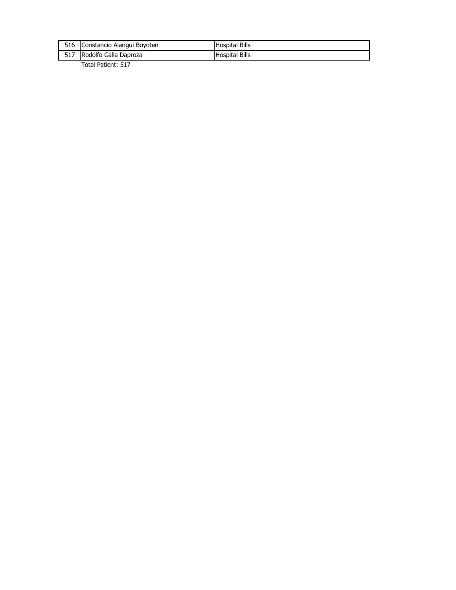| 517<br>Rodolfo Galla Daproza<br><b>Hospital Bills</b>      |  |
|------------------------------------------------------------|--|
| 516<br><b>Hospital Bills</b><br>Constancio Alangui Boyoten |  |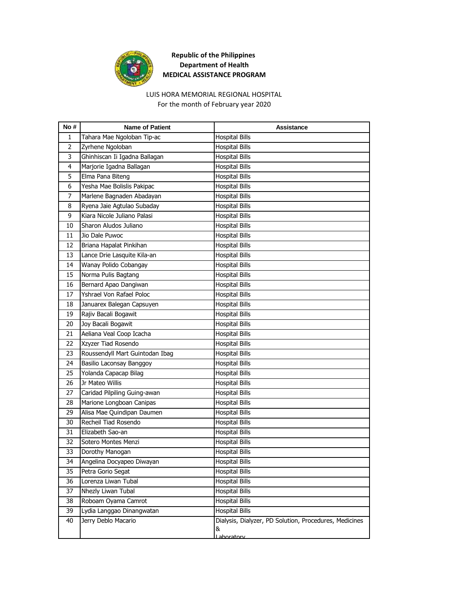

## LUIS HORA MEMORIAL REGIONAL HOSPITAL

For the month of February year 2020

| Tahara Mae Ngoloban Tip-ac<br><b>Hospital Bills</b><br>1<br>$\overline{2}$<br><b>Hospital Bills</b><br>Zyrhene Ngoloban<br>3<br>Ghinhiscan Ii Igadna Ballagan<br><b>Hospital Bills</b><br>Marjorie Igadna Ballagan<br><b>Hospital Bills</b><br>4<br>5<br>Elma Pana Biteng<br><b>Hospital Bills</b><br>6<br>Yesha Mae Bolislis Pakipac<br><b>Hospital Bills</b><br><b>Hospital Bills</b><br>7<br>Marlene Bagnaden Abadayan<br>8<br>Ryena Jaie Agtulao Subaday<br><b>Hospital Bills</b><br>Kiara Nicole Juliano Palasi<br>9<br><b>Hospital Bills</b><br>10<br>Sharon Aludos Juliano<br><b>Hospital Bills</b><br><b>Hospital Bills</b><br>11<br>Jio Dale Puwoc<br>12<br><b>Hospital Bills</b><br>Briana Hapalat Pinkihan<br>13<br>Lance Drie Lasquite Kila-an<br><b>Hospital Bills</b><br>Wanay Polido Cobangay<br><b>Hospital Bills</b><br>14<br>15<br>Norma Pulis Bagtang<br><b>Hospital Bills</b><br>16<br>Bernard Apao Dangiwan<br><b>Hospital Bills</b><br>Yshrael Von Rafael Poloc<br>17<br><b>Hospital Bills</b><br>18<br>Januarex Balegan Capsuyen<br><b>Hospital Bills</b><br><b>Hospital Bills</b><br>19<br>Rajiv Bacali Bogawit<br>20<br>Joy Bacali Bogawit<br><b>Hospital Bills</b><br>Aeliana Veal Coop Icacha<br><b>Hospital Bills</b><br>21<br>Xzyzer Tiad Rosendo<br><b>Hospital Bills</b><br>22<br>Roussendyll Mart Guintodan Ibag<br>23<br><b>Hospital Bills</b><br>Basilio Laconsay Banggoy<br>24<br><b>Hospital Bills</b><br>25<br>Yolanda Capacap Bilag<br><b>Hospital Bills</b><br>Jr Mateo Willis<br>26<br><b>Hospital Bills</b><br>27<br>Caridad Pilpiling Guing-awan<br><b>Hospital Bills</b><br>28<br>Marione Longboan Canipas<br><b>Hospital Bills</b><br>29<br>Alisa Mae Quindipan Daumen<br><b>Hospital Bills</b><br>30<br>Recheil Tiad Rosendo<br><b>Hospital Bills</b><br>31<br>Elizabeth Sao-an<br><b>Hospital Bills</b><br><b>Hospital Bills</b><br>32<br>Sotero Montes Menzi<br>33<br>Dorothy Manogan<br><b>Hospital Bills</b><br><b>Hospital Bills</b><br>34<br>Angelina Docyapeo Diwayan<br><b>Hospital Bills</b><br>35<br>Petra Gorio Segat<br>Lorenza Liwan Tubal<br>36<br><b>Hospital Bills</b><br><b>Hospital Bills</b><br>37<br>Nhezly Liwan Tubal<br>Roboam Oyama Camrot<br>38<br><b>Hospital Bills</b><br>Lydia Langgao Dinangwatan<br><b>Hospital Bills</b><br>39<br>Jerry Deblo Macario<br>Dialysis, Dialyzer, PD Solution, Procedures, Medicines<br>40<br>&<br>Laboratory | No# | <b>Name of Patient</b> | <b>Assistance</b> |
|----------------------------------------------------------------------------------------------------------------------------------------------------------------------------------------------------------------------------------------------------------------------------------------------------------------------------------------------------------------------------------------------------------------------------------------------------------------------------------------------------------------------------------------------------------------------------------------------------------------------------------------------------------------------------------------------------------------------------------------------------------------------------------------------------------------------------------------------------------------------------------------------------------------------------------------------------------------------------------------------------------------------------------------------------------------------------------------------------------------------------------------------------------------------------------------------------------------------------------------------------------------------------------------------------------------------------------------------------------------------------------------------------------------------------------------------------------------------------------------------------------------------------------------------------------------------------------------------------------------------------------------------------------------------------------------------------------------------------------------------------------------------------------------------------------------------------------------------------------------------------------------------------------------------------------------------------------------------------------------------------------------------------------------------------------------------------------------------------------------------------------------------------------------------------------------------------------------------------------------------------------------------------------------------------------------------------------------------------------------------------------------------------------------------|-----|------------------------|-------------------|
|                                                                                                                                                                                                                                                                                                                                                                                                                                                                                                                                                                                                                                                                                                                                                                                                                                                                                                                                                                                                                                                                                                                                                                                                                                                                                                                                                                                                                                                                                                                                                                                                                                                                                                                                                                                                                                                                                                                                                                                                                                                                                                                                                                                                                                                                                                                                                                                                                      |     |                        |                   |
|                                                                                                                                                                                                                                                                                                                                                                                                                                                                                                                                                                                                                                                                                                                                                                                                                                                                                                                                                                                                                                                                                                                                                                                                                                                                                                                                                                                                                                                                                                                                                                                                                                                                                                                                                                                                                                                                                                                                                                                                                                                                                                                                                                                                                                                                                                                                                                                                                      |     |                        |                   |
|                                                                                                                                                                                                                                                                                                                                                                                                                                                                                                                                                                                                                                                                                                                                                                                                                                                                                                                                                                                                                                                                                                                                                                                                                                                                                                                                                                                                                                                                                                                                                                                                                                                                                                                                                                                                                                                                                                                                                                                                                                                                                                                                                                                                                                                                                                                                                                                                                      |     |                        |                   |
|                                                                                                                                                                                                                                                                                                                                                                                                                                                                                                                                                                                                                                                                                                                                                                                                                                                                                                                                                                                                                                                                                                                                                                                                                                                                                                                                                                                                                                                                                                                                                                                                                                                                                                                                                                                                                                                                                                                                                                                                                                                                                                                                                                                                                                                                                                                                                                                                                      |     |                        |                   |
|                                                                                                                                                                                                                                                                                                                                                                                                                                                                                                                                                                                                                                                                                                                                                                                                                                                                                                                                                                                                                                                                                                                                                                                                                                                                                                                                                                                                                                                                                                                                                                                                                                                                                                                                                                                                                                                                                                                                                                                                                                                                                                                                                                                                                                                                                                                                                                                                                      |     |                        |                   |
|                                                                                                                                                                                                                                                                                                                                                                                                                                                                                                                                                                                                                                                                                                                                                                                                                                                                                                                                                                                                                                                                                                                                                                                                                                                                                                                                                                                                                                                                                                                                                                                                                                                                                                                                                                                                                                                                                                                                                                                                                                                                                                                                                                                                                                                                                                                                                                                                                      |     |                        |                   |
|                                                                                                                                                                                                                                                                                                                                                                                                                                                                                                                                                                                                                                                                                                                                                                                                                                                                                                                                                                                                                                                                                                                                                                                                                                                                                                                                                                                                                                                                                                                                                                                                                                                                                                                                                                                                                                                                                                                                                                                                                                                                                                                                                                                                                                                                                                                                                                                                                      |     |                        |                   |
|                                                                                                                                                                                                                                                                                                                                                                                                                                                                                                                                                                                                                                                                                                                                                                                                                                                                                                                                                                                                                                                                                                                                                                                                                                                                                                                                                                                                                                                                                                                                                                                                                                                                                                                                                                                                                                                                                                                                                                                                                                                                                                                                                                                                                                                                                                                                                                                                                      |     |                        |                   |
|                                                                                                                                                                                                                                                                                                                                                                                                                                                                                                                                                                                                                                                                                                                                                                                                                                                                                                                                                                                                                                                                                                                                                                                                                                                                                                                                                                                                                                                                                                                                                                                                                                                                                                                                                                                                                                                                                                                                                                                                                                                                                                                                                                                                                                                                                                                                                                                                                      |     |                        |                   |
|                                                                                                                                                                                                                                                                                                                                                                                                                                                                                                                                                                                                                                                                                                                                                                                                                                                                                                                                                                                                                                                                                                                                                                                                                                                                                                                                                                                                                                                                                                                                                                                                                                                                                                                                                                                                                                                                                                                                                                                                                                                                                                                                                                                                                                                                                                                                                                                                                      |     |                        |                   |
|                                                                                                                                                                                                                                                                                                                                                                                                                                                                                                                                                                                                                                                                                                                                                                                                                                                                                                                                                                                                                                                                                                                                                                                                                                                                                                                                                                                                                                                                                                                                                                                                                                                                                                                                                                                                                                                                                                                                                                                                                                                                                                                                                                                                                                                                                                                                                                                                                      |     |                        |                   |
|                                                                                                                                                                                                                                                                                                                                                                                                                                                                                                                                                                                                                                                                                                                                                                                                                                                                                                                                                                                                                                                                                                                                                                                                                                                                                                                                                                                                                                                                                                                                                                                                                                                                                                                                                                                                                                                                                                                                                                                                                                                                                                                                                                                                                                                                                                                                                                                                                      |     |                        |                   |
|                                                                                                                                                                                                                                                                                                                                                                                                                                                                                                                                                                                                                                                                                                                                                                                                                                                                                                                                                                                                                                                                                                                                                                                                                                                                                                                                                                                                                                                                                                                                                                                                                                                                                                                                                                                                                                                                                                                                                                                                                                                                                                                                                                                                                                                                                                                                                                                                                      |     |                        |                   |
|                                                                                                                                                                                                                                                                                                                                                                                                                                                                                                                                                                                                                                                                                                                                                                                                                                                                                                                                                                                                                                                                                                                                                                                                                                                                                                                                                                                                                                                                                                                                                                                                                                                                                                                                                                                                                                                                                                                                                                                                                                                                                                                                                                                                                                                                                                                                                                                                                      |     |                        |                   |
|                                                                                                                                                                                                                                                                                                                                                                                                                                                                                                                                                                                                                                                                                                                                                                                                                                                                                                                                                                                                                                                                                                                                                                                                                                                                                                                                                                                                                                                                                                                                                                                                                                                                                                                                                                                                                                                                                                                                                                                                                                                                                                                                                                                                                                                                                                                                                                                                                      |     |                        |                   |
|                                                                                                                                                                                                                                                                                                                                                                                                                                                                                                                                                                                                                                                                                                                                                                                                                                                                                                                                                                                                                                                                                                                                                                                                                                                                                                                                                                                                                                                                                                                                                                                                                                                                                                                                                                                                                                                                                                                                                                                                                                                                                                                                                                                                                                                                                                                                                                                                                      |     |                        |                   |
|                                                                                                                                                                                                                                                                                                                                                                                                                                                                                                                                                                                                                                                                                                                                                                                                                                                                                                                                                                                                                                                                                                                                                                                                                                                                                                                                                                                                                                                                                                                                                                                                                                                                                                                                                                                                                                                                                                                                                                                                                                                                                                                                                                                                                                                                                                                                                                                                                      |     |                        |                   |
|                                                                                                                                                                                                                                                                                                                                                                                                                                                                                                                                                                                                                                                                                                                                                                                                                                                                                                                                                                                                                                                                                                                                                                                                                                                                                                                                                                                                                                                                                                                                                                                                                                                                                                                                                                                                                                                                                                                                                                                                                                                                                                                                                                                                                                                                                                                                                                                                                      |     |                        |                   |
|                                                                                                                                                                                                                                                                                                                                                                                                                                                                                                                                                                                                                                                                                                                                                                                                                                                                                                                                                                                                                                                                                                                                                                                                                                                                                                                                                                                                                                                                                                                                                                                                                                                                                                                                                                                                                                                                                                                                                                                                                                                                                                                                                                                                                                                                                                                                                                                                                      |     |                        |                   |
|                                                                                                                                                                                                                                                                                                                                                                                                                                                                                                                                                                                                                                                                                                                                                                                                                                                                                                                                                                                                                                                                                                                                                                                                                                                                                                                                                                                                                                                                                                                                                                                                                                                                                                                                                                                                                                                                                                                                                                                                                                                                                                                                                                                                                                                                                                                                                                                                                      |     |                        |                   |
|                                                                                                                                                                                                                                                                                                                                                                                                                                                                                                                                                                                                                                                                                                                                                                                                                                                                                                                                                                                                                                                                                                                                                                                                                                                                                                                                                                                                                                                                                                                                                                                                                                                                                                                                                                                                                                                                                                                                                                                                                                                                                                                                                                                                                                                                                                                                                                                                                      |     |                        |                   |
|                                                                                                                                                                                                                                                                                                                                                                                                                                                                                                                                                                                                                                                                                                                                                                                                                                                                                                                                                                                                                                                                                                                                                                                                                                                                                                                                                                                                                                                                                                                                                                                                                                                                                                                                                                                                                                                                                                                                                                                                                                                                                                                                                                                                                                                                                                                                                                                                                      |     |                        |                   |
|                                                                                                                                                                                                                                                                                                                                                                                                                                                                                                                                                                                                                                                                                                                                                                                                                                                                                                                                                                                                                                                                                                                                                                                                                                                                                                                                                                                                                                                                                                                                                                                                                                                                                                                                                                                                                                                                                                                                                                                                                                                                                                                                                                                                                                                                                                                                                                                                                      |     |                        |                   |
|                                                                                                                                                                                                                                                                                                                                                                                                                                                                                                                                                                                                                                                                                                                                                                                                                                                                                                                                                                                                                                                                                                                                                                                                                                                                                                                                                                                                                                                                                                                                                                                                                                                                                                                                                                                                                                                                                                                                                                                                                                                                                                                                                                                                                                                                                                                                                                                                                      |     |                        |                   |
|                                                                                                                                                                                                                                                                                                                                                                                                                                                                                                                                                                                                                                                                                                                                                                                                                                                                                                                                                                                                                                                                                                                                                                                                                                                                                                                                                                                                                                                                                                                                                                                                                                                                                                                                                                                                                                                                                                                                                                                                                                                                                                                                                                                                                                                                                                                                                                                                                      |     |                        |                   |
|                                                                                                                                                                                                                                                                                                                                                                                                                                                                                                                                                                                                                                                                                                                                                                                                                                                                                                                                                                                                                                                                                                                                                                                                                                                                                                                                                                                                                                                                                                                                                                                                                                                                                                                                                                                                                                                                                                                                                                                                                                                                                                                                                                                                                                                                                                                                                                                                                      |     |                        |                   |
|                                                                                                                                                                                                                                                                                                                                                                                                                                                                                                                                                                                                                                                                                                                                                                                                                                                                                                                                                                                                                                                                                                                                                                                                                                                                                                                                                                                                                                                                                                                                                                                                                                                                                                                                                                                                                                                                                                                                                                                                                                                                                                                                                                                                                                                                                                                                                                                                                      |     |                        |                   |
|                                                                                                                                                                                                                                                                                                                                                                                                                                                                                                                                                                                                                                                                                                                                                                                                                                                                                                                                                                                                                                                                                                                                                                                                                                                                                                                                                                                                                                                                                                                                                                                                                                                                                                                                                                                                                                                                                                                                                                                                                                                                                                                                                                                                                                                                                                                                                                                                                      |     |                        |                   |
|                                                                                                                                                                                                                                                                                                                                                                                                                                                                                                                                                                                                                                                                                                                                                                                                                                                                                                                                                                                                                                                                                                                                                                                                                                                                                                                                                                                                                                                                                                                                                                                                                                                                                                                                                                                                                                                                                                                                                                                                                                                                                                                                                                                                                                                                                                                                                                                                                      |     |                        |                   |
|                                                                                                                                                                                                                                                                                                                                                                                                                                                                                                                                                                                                                                                                                                                                                                                                                                                                                                                                                                                                                                                                                                                                                                                                                                                                                                                                                                                                                                                                                                                                                                                                                                                                                                                                                                                                                                                                                                                                                                                                                                                                                                                                                                                                                                                                                                                                                                                                                      |     |                        |                   |
|                                                                                                                                                                                                                                                                                                                                                                                                                                                                                                                                                                                                                                                                                                                                                                                                                                                                                                                                                                                                                                                                                                                                                                                                                                                                                                                                                                                                                                                                                                                                                                                                                                                                                                                                                                                                                                                                                                                                                                                                                                                                                                                                                                                                                                                                                                                                                                                                                      |     |                        |                   |
|                                                                                                                                                                                                                                                                                                                                                                                                                                                                                                                                                                                                                                                                                                                                                                                                                                                                                                                                                                                                                                                                                                                                                                                                                                                                                                                                                                                                                                                                                                                                                                                                                                                                                                                                                                                                                                                                                                                                                                                                                                                                                                                                                                                                                                                                                                                                                                                                                      |     |                        |                   |
|                                                                                                                                                                                                                                                                                                                                                                                                                                                                                                                                                                                                                                                                                                                                                                                                                                                                                                                                                                                                                                                                                                                                                                                                                                                                                                                                                                                                                                                                                                                                                                                                                                                                                                                                                                                                                                                                                                                                                                                                                                                                                                                                                                                                                                                                                                                                                                                                                      |     |                        |                   |
|                                                                                                                                                                                                                                                                                                                                                                                                                                                                                                                                                                                                                                                                                                                                                                                                                                                                                                                                                                                                                                                                                                                                                                                                                                                                                                                                                                                                                                                                                                                                                                                                                                                                                                                                                                                                                                                                                                                                                                                                                                                                                                                                                                                                                                                                                                                                                                                                                      |     |                        |                   |
|                                                                                                                                                                                                                                                                                                                                                                                                                                                                                                                                                                                                                                                                                                                                                                                                                                                                                                                                                                                                                                                                                                                                                                                                                                                                                                                                                                                                                                                                                                                                                                                                                                                                                                                                                                                                                                                                                                                                                                                                                                                                                                                                                                                                                                                                                                                                                                                                                      |     |                        |                   |
|                                                                                                                                                                                                                                                                                                                                                                                                                                                                                                                                                                                                                                                                                                                                                                                                                                                                                                                                                                                                                                                                                                                                                                                                                                                                                                                                                                                                                                                                                                                                                                                                                                                                                                                                                                                                                                                                                                                                                                                                                                                                                                                                                                                                                                                                                                                                                                                                                      |     |                        |                   |
|                                                                                                                                                                                                                                                                                                                                                                                                                                                                                                                                                                                                                                                                                                                                                                                                                                                                                                                                                                                                                                                                                                                                                                                                                                                                                                                                                                                                                                                                                                                                                                                                                                                                                                                                                                                                                                                                                                                                                                                                                                                                                                                                                                                                                                                                                                                                                                                                                      |     |                        |                   |
|                                                                                                                                                                                                                                                                                                                                                                                                                                                                                                                                                                                                                                                                                                                                                                                                                                                                                                                                                                                                                                                                                                                                                                                                                                                                                                                                                                                                                                                                                                                                                                                                                                                                                                                                                                                                                                                                                                                                                                                                                                                                                                                                                                                                                                                                                                                                                                                                                      |     |                        |                   |
|                                                                                                                                                                                                                                                                                                                                                                                                                                                                                                                                                                                                                                                                                                                                                                                                                                                                                                                                                                                                                                                                                                                                                                                                                                                                                                                                                                                                                                                                                                                                                                                                                                                                                                                                                                                                                                                                                                                                                                                                                                                                                                                                                                                                                                                                                                                                                                                                                      |     |                        |                   |
|                                                                                                                                                                                                                                                                                                                                                                                                                                                                                                                                                                                                                                                                                                                                                                                                                                                                                                                                                                                                                                                                                                                                                                                                                                                                                                                                                                                                                                                                                                                                                                                                                                                                                                                                                                                                                                                                                                                                                                                                                                                                                                                                                                                                                                                                                                                                                                                                                      |     |                        |                   |
|                                                                                                                                                                                                                                                                                                                                                                                                                                                                                                                                                                                                                                                                                                                                                                                                                                                                                                                                                                                                                                                                                                                                                                                                                                                                                                                                                                                                                                                                                                                                                                                                                                                                                                                                                                                                                                                                                                                                                                                                                                                                                                                                                                                                                                                                                                                                                                                                                      |     |                        |                   |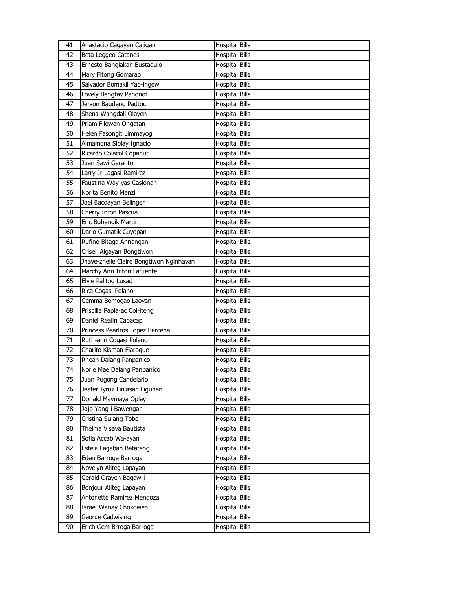| 41 | Anastacio Cagayan Cajigan               | <b>Hospital Bills</b> |
|----|-----------------------------------------|-----------------------|
| 42 | Beta Leggeo Catanes                     | <b>Hospital Bills</b> |
| 43 | Ernesto Bangiakan Eustaquio             | <b>Hospital Bills</b> |
| 44 | Mary Fitong Gomarao                     | <b>Hospital Bills</b> |
| 45 | Salvador Bomakil Yap-ingew              | <b>Hospital Bills</b> |
| 46 | Lovely Bengtay Panonot                  | <b>Hospital Bills</b> |
| 47 | Jerson Baudeng Padtoc                   | <b>Hospital Bills</b> |
| 48 | Shena Wangdali Olayen                   | <b>Hospital Bills</b> |
| 49 | Priam Filowan Ongatan                   | <b>Hospital Bills</b> |
| 50 | Helen Fasongit Limmayog                 | <b>Hospital Bills</b> |
| 51 | Almamona Siplay Ignacio                 | <b>Hospital Bills</b> |
| 52 | Ricardo Colacol Copanut                 | <b>Hospital Bills</b> |
| 53 | Juan Sawi Garanto                       | <b>Hospital Bills</b> |
| 54 | Larry Jr Lagasi Ramirez                 | <b>Hospital Bills</b> |
| 55 | Faustina Way-yas Casionan               | <b>Hospital Bills</b> |
| 56 | Norita Benito Menzi                     | <b>Hospital Bills</b> |
| 57 | Joel Bacdayan Belingen                  | <b>Hospital Bills</b> |
| 58 | Cherry Inton Pascua                     | <b>Hospital Bills</b> |
| 59 | Eric Buhangik Martin                    | <b>Hospital Bills</b> |
| 60 | Dario Gumatik Cuyopan                   | <b>Hospital Bills</b> |
| 61 | Rufino Bitaga Annangan                  | <b>Hospital Bills</b> |
| 62 | Crisell Algayan Bongtiwon               | <b>Hospital Bills</b> |
| 63 | Jhaye-zhelle Claire Bongtiwon Nginhayan | <b>Hospital Bills</b> |
| 64 | Marchy Ann Inton Lafuente               | <b>Hospital Bills</b> |
| 65 | Elvie Palitog Lusad                     | <b>Hospital Bills</b> |
| 66 | Rica Cogasi Polano                      | Hospital Bills        |
| 67 | Gemma Bomogao Laoyan                    | <b>Hospital Bills</b> |
| 68 | Priscilla Papla-ac Col-iteng            | <b>Hospital Bills</b> |
| 69 | Daniel Realin Capacap                   | <b>Hospital Bills</b> |
| 70 | Princess Pearlros Lopez Barcena         | <b>Hospital Bills</b> |
| 71 | Ruth-ann Cogasi Polano                  | <b>Hospital Bills</b> |
| 72 | Charito Kisman Fiaroque                 | Hospital Bills        |
| 73 | Rhean Dalang Panpanico                  | <b>Hospital Bills</b> |
| 74 | Norie Mae Dalang Panpanico              | <b>Hospital Bills</b> |
| 75 | Juan Pugong Candelario                  | <b>Hospital Bills</b> |
| 76 | Jeafer Jyruz Liniasan Ligunan           | <b>Hospital Bills</b> |
| 77 | Donald Maymaya Oplay                    | <b>Hospital Bills</b> |
| 78 | Jojo Yang-i Bawengan                    | <b>Hospital Bills</b> |
| 79 | Cristina Sulang Tobe                    | <b>Hospital Bills</b> |
| 80 | Thelma Visaya Bautista                  | <b>Hospital Bills</b> |
| 81 | Sofia Accab Wa-ayan                     | <b>Hospital Bills</b> |
| 82 | Estela Lagaban Batateng                 | <b>Hospital Bills</b> |
| 83 | Eden Barroga Barroga                    | <b>Hospital Bills</b> |
| 84 | Novelyn Aliteg Lapayan                  | <b>Hospital Bills</b> |
| 85 | Gerald Orayen Bagawili                  | <b>Hospital Bills</b> |
| 86 | Bonjour Aliteg Lapayan                  | <b>Hospital Bills</b> |
| 87 | Antonette Ramirez Mendoza               | <b>Hospital Bills</b> |
| 88 | Israel Wanay Chokowen                   | <b>Hospital Bills</b> |
| 89 |                                         | <b>Hospital Bills</b> |
|    | George Cadwising                        |                       |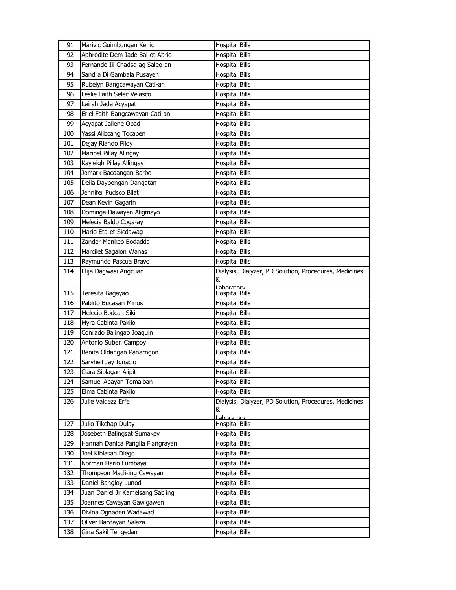| 91         | Marivic Guimbongan Kenio                        | <b>Hospital Bills</b>                                       |
|------------|-------------------------------------------------|-------------------------------------------------------------|
| 92         | Aphrodite Dem Jade Bal-ot Abrio                 | <b>Hospital Bills</b>                                       |
| 93         | Fernando Iii Chadsa-ag Saleo-an                 | <b>Hospital Bills</b>                                       |
| 94         | Sandra Di Gambala Pusayen                       | <b>Hospital Bills</b>                                       |
| 95         | Rubelyn Bangcawayan Cati-an                     | <b>Hospital Bills</b>                                       |
| 96         | Leslie Faith Selec Velasco                      | <b>Hospital Bills</b>                                       |
| 97         | Leirah Jade Acyapat                             | <b>Hospital Bills</b>                                       |
| 98         | Eriel Faith Bangcawayan Cati-an                 | <b>Hospital Bills</b>                                       |
| 99         | Acyapat Jailene Opad                            | <b>Hospital Bills</b>                                       |
| 100        | Yassi Alibcang Tocaben                          | <b>Hospital Bills</b>                                       |
| 101        | Dejay Riando Piloy                              | <b>Hospital Bills</b>                                       |
| 102        | Maribel Pillay Alingay                          | <b>Hospital Bills</b>                                       |
| 103        | Kayleigh Pillay Allingay                        | <b>Hospital Bills</b>                                       |
| 104        | Jomark Bacdangan Barbo                          | <b>Hospital Bills</b>                                       |
| 105        | Delia Daypongan Dangatan                        | <b>Hospital Bills</b>                                       |
| 106        | Jennifer Pudsco Bilat                           | <b>Hospital Bills</b>                                       |
| 107        | Dean Kevin Gagarin                              | <b>Hospital Bills</b>                                       |
| 108        | Dominga Dawayen Aligmayo                        | <b>Hospital Bills</b>                                       |
| 109        | Melecia Baldo Coga-ay                           | <b>Hospital Bills</b>                                       |
| 110        | Mario Eta-et Sicdawag                           | <b>Hospital Bills</b>                                       |
| 111        | Zander Mankeo Bodadda                           | <b>Hospital Bills</b>                                       |
| 112        | Marcilet Sagalon Wanas                          | <b>Hospital Bills</b>                                       |
| 113        | Raymundo Pascua Bravo                           | <b>Hospital Bills</b>                                       |
| 114        | Elija Dagwasi Angcuan                           | Dialysis, Dialyzer, PD Solution, Procedures, Medicines      |
|            |                                                 | &                                                           |
|            |                                                 | Laboratory                                                  |
|            |                                                 |                                                             |
| 115        | Teresita Bagayao                                | <b>Hospital Bills</b>                                       |
| 116        | Pablito Bucasan Minos                           | <b>Hospital Bills</b>                                       |
| 117        | Melecio Bodcan Siki                             | <b>Hospital Bills</b>                                       |
| 118        | Myra Cabinta Pakilo                             | <b>Hospital Bills</b>                                       |
| 119        | Conrado Balingao Joaquin                        | <b>Hospital Bills</b>                                       |
| 120        | Antonio Suben Campoy                            | <b>Hospital Bills</b>                                       |
| 121        | Benita Oldangan Panarngon                       | <b>Hospital Bills</b>                                       |
| 122<br>123 | Sarvheil Jay Ignacio                            | <b>Hospital Bills</b><br><b>Hospital Bills</b>              |
| 124        | Clara Siblagan Alipit<br>Samuel Abayan Tomalban | <b>Hospital Bills</b>                                       |
| 125        | Elma Cabinta Pakilo                             | <b>Hospital Bills</b>                                       |
|            | Julie Valdezz Erfe                              |                                                             |
| 126        |                                                 | Dialysis, Dialyzer, PD Solution, Procedures, Medicines<br>& |
|            |                                                 | Laboratory                                                  |
| 127        | Julio Tikchap Dulay                             | <b>Hospital Bills</b>                                       |
| 128        | Josebeth Balingsat Sumakey                      | <b>Hospital Bills</b>                                       |
| 129        | Hannah Danica Pangila Fiangrayan                | <b>Hospital Bills</b>                                       |
| 130        | Joel Kiblasan Diego                             | <b>Hospital Bills</b>                                       |
| 131        | Norman Dario Lumbaya                            | <b>Hospital Bills</b>                                       |
| 132        | Thompson Macli-ing Cawayan                      | <b>Hospital Bills</b>                                       |
| 133        | Daniel Bangloy Lunod                            | <b>Hospital Bills</b>                                       |
| 134        | Juan Daniel Jr Kamelsang Sabling                | Hospital Bills                                              |
| 135        | Joannes Cawayan Gawigawen                       | <b>Hospital Bills</b>                                       |
| 136        | Divina Ognaden Wadawad                          | <b>Hospital Bills</b>                                       |
| 137<br>138 | Oliver Bacdayan Salaza<br>Gina Sakil Tengedan   | <b>Hospital Bills</b><br><b>Hospital Bills</b>              |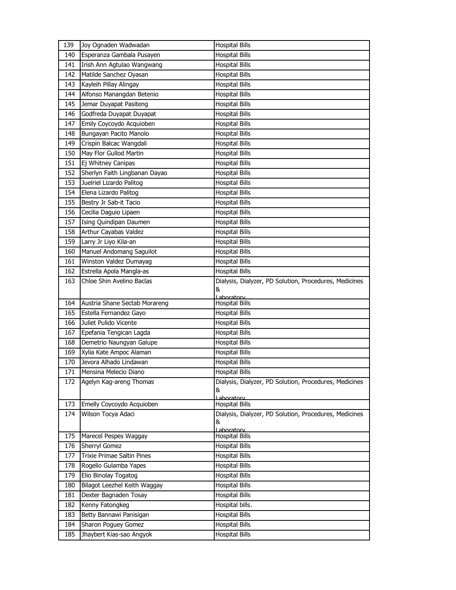| 139                                                                | Joy Ognaden Wadwadan                                                                                                                                                                                                                                                                   | <b>Hospital Bills</b>                                                                                                                                                                                                                                                     |
|--------------------------------------------------------------------|----------------------------------------------------------------------------------------------------------------------------------------------------------------------------------------------------------------------------------------------------------------------------------------|---------------------------------------------------------------------------------------------------------------------------------------------------------------------------------------------------------------------------------------------------------------------------|
| 140                                                                | Esperanza Gambala Pusayen                                                                                                                                                                                                                                                              | <b>Hospital Bills</b>                                                                                                                                                                                                                                                     |
| 141                                                                | Irish Ann Agtulao Wangwang                                                                                                                                                                                                                                                             | <b>Hospital Bills</b>                                                                                                                                                                                                                                                     |
| 142                                                                | Matilde Sanchez Oyasan                                                                                                                                                                                                                                                                 | <b>Hospital Bills</b>                                                                                                                                                                                                                                                     |
| 143                                                                | Kayleih Pillay Alingay                                                                                                                                                                                                                                                                 | <b>Hospital Bills</b>                                                                                                                                                                                                                                                     |
| 144                                                                | Alfonso Manangdan Betenio                                                                                                                                                                                                                                                              | <b>Hospital Bills</b>                                                                                                                                                                                                                                                     |
| 145                                                                | Jemar Duyapat Pasiteng                                                                                                                                                                                                                                                                 | <b>Hospital Bills</b>                                                                                                                                                                                                                                                     |
| 146                                                                | Godfreda Duyapat Duyapat                                                                                                                                                                                                                                                               | <b>Hospital Bills</b>                                                                                                                                                                                                                                                     |
| 147                                                                | Emily Coycoydo Acquioben                                                                                                                                                                                                                                                               | <b>Hospital Bills</b>                                                                                                                                                                                                                                                     |
| 148                                                                | Bungayan Pacito Manolo                                                                                                                                                                                                                                                                 | <b>Hospital Bills</b>                                                                                                                                                                                                                                                     |
| 149                                                                | Crispin Balcac Wangdali                                                                                                                                                                                                                                                                | <b>Hospital Bills</b>                                                                                                                                                                                                                                                     |
| 150                                                                | May Flor Gullod Martin                                                                                                                                                                                                                                                                 | <b>Hospital Bills</b>                                                                                                                                                                                                                                                     |
| 151                                                                | Ej Whitney Canipas                                                                                                                                                                                                                                                                     | <b>Hospital Bills</b>                                                                                                                                                                                                                                                     |
| 152                                                                | Sherlyn Faith Lingbanan Dayao                                                                                                                                                                                                                                                          | <b>Hospital Bills</b>                                                                                                                                                                                                                                                     |
| 153                                                                | Juelriel Lizardo Palitog                                                                                                                                                                                                                                                               | <b>Hospital Bills</b>                                                                                                                                                                                                                                                     |
| 154                                                                | Elena Lizardo Palitog                                                                                                                                                                                                                                                                  | <b>Hospital Bills</b>                                                                                                                                                                                                                                                     |
| 155                                                                | Bestry Jr Sab-it Tacio                                                                                                                                                                                                                                                                 | <b>Hospital Bills</b>                                                                                                                                                                                                                                                     |
| 156                                                                | Cecilia Daguio Lipaen                                                                                                                                                                                                                                                                  | <b>Hospital Bills</b>                                                                                                                                                                                                                                                     |
| 157                                                                | Ising Quindipan Daumen                                                                                                                                                                                                                                                                 | <b>Hospital Bills</b>                                                                                                                                                                                                                                                     |
| 158                                                                | Arthur Cayabas Valdez                                                                                                                                                                                                                                                                  | <b>Hospital Bills</b>                                                                                                                                                                                                                                                     |
| 159                                                                | Larry Jr Liyo Kila-an                                                                                                                                                                                                                                                                  | <b>Hospital Bills</b>                                                                                                                                                                                                                                                     |
| 160                                                                | Manuel Andomang Saguilot                                                                                                                                                                                                                                                               | <b>Hospital Bills</b>                                                                                                                                                                                                                                                     |
| 161                                                                | Winston Valdez Dumayag                                                                                                                                                                                                                                                                 | <b>Hospital Bills</b>                                                                                                                                                                                                                                                     |
| 162                                                                | Estrella Apola Mangla-as                                                                                                                                                                                                                                                               | <b>Hospital Bills</b>                                                                                                                                                                                                                                                     |
| 163                                                                | Chloe Shin Avelino Baclas                                                                                                                                                                                                                                                              | Dialysis, Dialyzer, PD Solution, Procedures, Medicines                                                                                                                                                                                                                    |
|                                                                    |                                                                                                                                                                                                                                                                                        | &                                                                                                                                                                                                                                                                         |
| 164                                                                | Austria Shane Sectab Morareng                                                                                                                                                                                                                                                          | Laboratory<br><b>Hospital Bills</b>                                                                                                                                                                                                                                       |
| 165                                                                | Estella Fernandez Gayo                                                                                                                                                                                                                                                                 | <b>Hospital Bills</b>                                                                                                                                                                                                                                                     |
| 166                                                                | Juliet Pulido Vicente                                                                                                                                                                                                                                                                  | <b>Hospital Bills</b>                                                                                                                                                                                                                                                     |
| 167                                                                | Epefania Tengican Lagda                                                                                                                                                                                                                                                                | <b>Hospital Bills</b>                                                                                                                                                                                                                                                     |
| 168                                                                | Demetrio Naungyan Galupe                                                                                                                                                                                                                                                               | <b>Hospital Bills</b>                                                                                                                                                                                                                                                     |
| 169                                                                | Xylia Kate Ampoc Alaman                                                                                                                                                                                                                                                                | <b>Hospital Bills</b>                                                                                                                                                                                                                                                     |
| 170                                                                | Jevora Alhado Lindawan                                                                                                                                                                                                                                                                 | <b>Hospital Bills</b>                                                                                                                                                                                                                                                     |
| 171                                                                | Mensina Melecio Diano                                                                                                                                                                                                                                                                  | <b>Hospital Bills</b>                                                                                                                                                                                                                                                     |
| 172                                                                | Agelyn Kag-areng Thomas                                                                                                                                                                                                                                                                | Dialysis, Dialyzer, PD Solution, Procedures, Medicines                                                                                                                                                                                                                    |
|                                                                    |                                                                                                                                                                                                                                                                                        | &                                                                                                                                                                                                                                                                         |
| 173                                                                | Emelly Coycoydo Acquioben                                                                                                                                                                                                                                                              | Laboratory<br><b>Hospital Bills</b>                                                                                                                                                                                                                                       |
| 174                                                                | Wilson Tocya Adaci                                                                                                                                                                                                                                                                     | Dialysis, Dialyzer, PD Solution, Procedures, Medicines                                                                                                                                                                                                                    |
|                                                                    |                                                                                                                                                                                                                                                                                        | &                                                                                                                                                                                                                                                                         |
|                                                                    |                                                                                                                                                                                                                                                                                        | Laboratory                                                                                                                                                                                                                                                                |
|                                                                    |                                                                                                                                                                                                                                                                                        |                                                                                                                                                                                                                                                                           |
|                                                                    |                                                                                                                                                                                                                                                                                        |                                                                                                                                                                                                                                                                           |
|                                                                    |                                                                                                                                                                                                                                                                                        |                                                                                                                                                                                                                                                                           |
|                                                                    |                                                                                                                                                                                                                                                                                        |                                                                                                                                                                                                                                                                           |
|                                                                    |                                                                                                                                                                                                                                                                                        |                                                                                                                                                                                                                                                                           |
|                                                                    |                                                                                                                                                                                                                                                                                        |                                                                                                                                                                                                                                                                           |
|                                                                    |                                                                                                                                                                                                                                                                                        |                                                                                                                                                                                                                                                                           |
|                                                                    |                                                                                                                                                                                                                                                                                        |                                                                                                                                                                                                                                                                           |
|                                                                    |                                                                                                                                                                                                                                                                                        |                                                                                                                                                                                                                                                                           |
| 185                                                                |                                                                                                                                                                                                                                                                                        |                                                                                                                                                                                                                                                                           |
| 175<br>176<br>177<br>178<br>179<br>180<br>181<br>182<br>183<br>184 | Marecel Pespes Waggay<br>Sherryl Gomez<br><b>Trixie Primae Saltin Pines</b><br>Rogelio Gulamba Yapes<br>Elio Binolay Togatog<br>Bilagot Leezhel Keith Waggay<br>Dexter Bagnaden Tosay<br>Kenny Fatongkeg<br>Betty Bannawi Panisigan<br>Sharon Poguey Gomez<br>Jhaybert Kias-sao Angyok | <b>Hospital Bills</b><br><b>Hospital Bills</b><br><b>Hospital Bills</b><br><b>Hospital Bills</b><br><b>Hospital Bills</b><br><b>Hospital Bills</b><br><b>Hospital Bills</b><br>Hospital bills.<br><b>Hospital Bills</b><br><b>Hospital Bills</b><br><b>Hospital Bills</b> |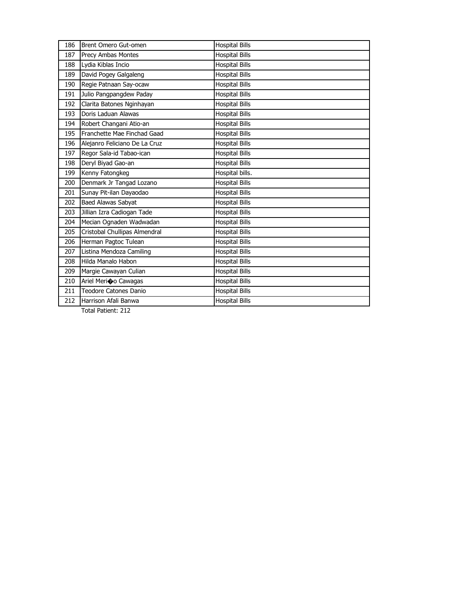| 186 | Brent Omero Gut-omen          | <b>Hospital Bills</b> |
|-----|-------------------------------|-----------------------|
| 187 | Precy Ambas Montes            | <b>Hospital Bills</b> |
| 188 | Lydia Kiblas Incio            | <b>Hospital Bills</b> |
| 189 | David Pogey Galgaleng         | <b>Hospital Bills</b> |
| 190 | Regie Patnaan Say-ocaw        | <b>Hospital Bills</b> |
| 191 | Julio Pangpangdew Paday       | <b>Hospital Bills</b> |
| 192 | Clarita Batones Nginhayan     | <b>Hospital Bills</b> |
| 193 | Doris Laduan Alawas           | <b>Hospital Bills</b> |
| 194 | Robert Changani Atio-an       | <b>Hospital Bills</b> |
| 195 | Franchette Mae Finchad Gaad   | <b>Hospital Bills</b> |
| 196 | Alejanro Feliciano De La Cruz | <b>Hospital Bills</b> |
| 197 | Regor Sala-id Tabao-ican      | <b>Hospital Bills</b> |
| 198 | Deryl Biyad Gao-an            | <b>Hospital Bills</b> |
| 199 | Kenny Fatongkeg               | Hospital bills.       |
| 200 | Denmark Jr Tangad Lozano      | <b>Hospital Bills</b> |
| 201 | Sunay Pit-ilan Dayaodao       | <b>Hospital Bills</b> |
| 202 | <b>Baed Alawas Sabyat</b>     | <b>Hospital Bills</b> |
| 203 | Jillian Izra Cadiogan Tade    | <b>Hospital Bills</b> |
| 204 | Mecian Ognaden Wadwadan       | <b>Hospital Bills</b> |
| 205 | Cristobal Chullipas Almendral | <b>Hospital Bills</b> |
| 206 | Herman Pagtoc Tulean          | <b>Hospital Bills</b> |
| 207 | Listina Mendoza Camiling      | <b>Hospital Bills</b> |
| 208 | Hilda Manalo Habon            | <b>Hospital Bills</b> |
| 209 | Margie Cawayan Culian         | <b>Hospital Bills</b> |
| 210 | Ariel Merico Cawagas          | <b>Hospital Bills</b> |
| 211 | Teodore Catones Danio         | <b>Hospital Bills</b> |
| 212 | Harrison Afali Banwa          | <b>Hospital Bills</b> |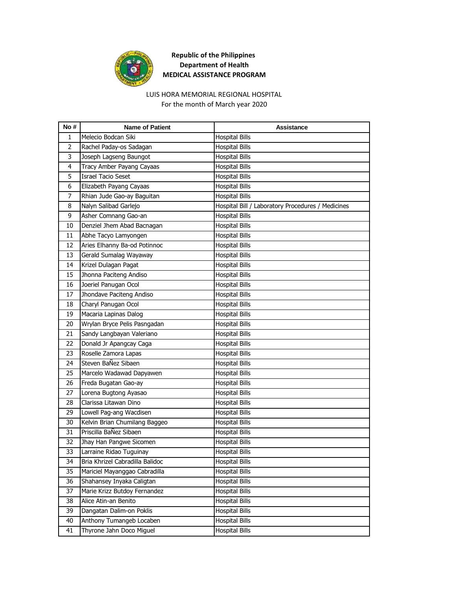

#### LUIS HORA MEMORIAL REGIONAL HOSPITAL For the month of March year 2020

| No#            | <b>Name of Patient</b>          | Assistance                                        |
|----------------|---------------------------------|---------------------------------------------------|
| $\mathbf{1}$   | Melecio Bodcan Siki             | <b>Hospital Bills</b>                             |
| $\overline{2}$ | Rachel Paday-os Sadagan         | <b>Hospital Bills</b>                             |
| 3              | Joseph Lagseng Baungot          | <b>Hospital Bills</b>                             |
| 4              | Tracy Amber Payang Cayaas       | <b>Hospital Bills</b>                             |
| 5              | <b>Israel Tacio Seset</b>       | <b>Hospital Bills</b>                             |
| 6              | Elizabeth Payang Cayaas         | <b>Hospital Bills</b>                             |
| $\overline{7}$ | Rhian Jude Gao-ay Baguitan      | <b>Hospital Bills</b>                             |
| 8              | Nalyn Salibad Garlejo           | Hospital Bill / Laboratory Procedures / Medicines |
| 9              | Asher Comnang Gao-an            | <b>Hospital Bills</b>                             |
| 10             | Denziel Jhem Abad Bacnagan      | <b>Hospital Bills</b>                             |
| 11             | Abhe Tacyo Lamyongen            | <b>Hospital Bills</b>                             |
| 12             | Aries Elhanny Ba-od Potinnoc    | <b>Hospital Bills</b>                             |
| 13             | Gerald Sumalag Wayaway          | <b>Hospital Bills</b>                             |
| 14             | Krizel Dulagan Pagat            | <b>Hospital Bills</b>                             |
| 15             | Jhonna Paciteng Andiso          | <b>Hospital Bills</b>                             |
| 16             | Joeriel Panugan Ocol            | <b>Hospital Bills</b>                             |
| 17             | Jhondave Paciteng Andiso        | <b>Hospital Bills</b>                             |
| 18             | Charyl Panugan Ocol             | <b>Hospital Bills</b>                             |
| 19             | Macaria Lapinas Dalog           | <b>Hospital Bills</b>                             |
| 20             | Wrylan Bryce Pelis Pasngadan    | <b>Hospital Bills</b>                             |
| 21             | Sandy Langbayan Valeriano       | <b>Hospital Bills</b>                             |
| 22             | Donald Jr Apangcay Caga         | <b>Hospital Bills</b>                             |
| 23             | Roselle Zamora Lapas            | <b>Hospital Bills</b>                             |
| 24             | Steven BaÑez Sibaen             | <b>Hospital Bills</b>                             |
| 25             | Marcelo Wadawad Dapyawen        | <b>Hospital Bills</b>                             |
| 26             | Freda Bugatan Gao-ay            | <b>Hospital Bills</b>                             |
| 27             | Lorena Bugtong Ayasao           | <b>Hospital Bills</b>                             |
| 28             | Clarissa Litawan Dino           | <b>Hospital Bills</b>                             |
| 29             | Lowell Pag-ang Wacdisen         | <b>Hospital Bills</b>                             |
| 30             | Kelvin Brian Chumilang Baggeo   | <b>Hospital Bills</b>                             |
| 31             | Priscilla BaÑez Sibaen          | <b>Hospital Bills</b>                             |
| 32             | Jhay Han Pangwe Sicomen         | <b>Hospital Bills</b>                             |
| 33             | Larraine Ridao Tuguinay         | <b>Hospital Bills</b>                             |
| 34             | Bria Khrizel Cabradilla Balidoc | <b>Hospital Bills</b>                             |
| 35             | Mariciel Mayanggao Cabradilla   | <b>Hospital Bills</b>                             |
| 36             | Shahansey Inyaka Caligtan       | <b>Hospital Bills</b>                             |
| 37             | Marie Krizz Butdoy Fernandez    | <b>Hospital Bills</b>                             |
| 38             | Alice Atin-an Benito            | <b>Hospital Bills</b>                             |
| 39             | Dangatan Dalim-on Poklis        | <b>Hospital Bills</b>                             |
| 40             | Anthony Tumangeb Locaben        | <b>Hospital Bills</b>                             |
| 41             | Thyrone Jahn Doco Miguel        | <b>Hospital Bills</b>                             |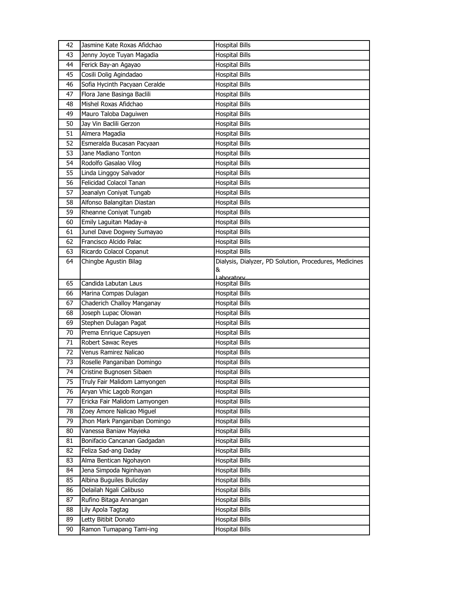| 42 | Jasmine Kate Roxas Afidchao   | <b>Hospital Bills</b>                                  |
|----|-------------------------------|--------------------------------------------------------|
| 43 | Jenny Joyce Tuyan Magadia     | <b>Hospital Bills</b>                                  |
| 44 | Ferick Bay-an Agayao          | <b>Hospital Bills</b>                                  |
| 45 | Cosili Dolig Agindadao        | <b>Hospital Bills</b>                                  |
| 46 | Sofia Hycinth Pacyaan Ceralde | <b>Hospital Bills</b>                                  |
| 47 | Flora Jane Basinga Baclili    | <b>Hospital Bills</b>                                  |
| 48 | Mishel Roxas Afidchao         | <b>Hospital Bills</b>                                  |
| 49 | Mauro Taloba Daguiwen         | <b>Hospital Bills</b>                                  |
| 50 | Jay Vin Baclili Gerzon        | <b>Hospital Bills</b>                                  |
| 51 | Almera Magadia                | <b>Hospital Bills</b>                                  |
| 52 | Esmeralda Bucasan Pacyaan     | <b>Hospital Bills</b>                                  |
| 53 | Jane Madiano Tonton           | <b>Hospital Bills</b>                                  |
| 54 | Rodolfo Gasalao Vilog         | <b>Hospital Bills</b>                                  |
| 55 | Linda Linggoy Salvador        | <b>Hospital Bills</b>                                  |
| 56 | Felicidad Colacol Tanan       | <b>Hospital Bills</b>                                  |
| 57 | Jeanalyn Coniyat Tungab       | <b>Hospital Bills</b>                                  |
| 58 | Alfonso Balangitan Diastan    | <b>Hospital Bills</b>                                  |
| 59 | Rheanne Coniyat Tungab        | <b>Hospital Bills</b>                                  |
| 60 | Emily Laguitan Maday-a        | <b>Hospital Bills</b>                                  |
| 61 | Junel Dave Dogwey Sumayao     | <b>Hospital Bills</b>                                  |
| 62 | Francisco Alcido Palac        | <b>Hospital Bills</b>                                  |
| 63 | Ricardo Colacol Copanut       | <b>Hospital Bills</b>                                  |
| 64 | Chingbe Agustin Bilag         | Dialysis, Dialyzer, PD Solution, Procedures, Medicines |
|    |                               | &                                                      |
| 65 | Candida Labutan Laus          | Laboratory<br><b>Hospital Bills</b>                    |
| 66 | Marina Compas Dulagan         | <b>Hospital Bills</b>                                  |
| 67 | Chaderich Challoy Manganay    | <b>Hospital Bills</b>                                  |
| 68 | Joseph Lupac Olowan           | <b>Hospital Bills</b>                                  |
| 69 | Stephen Dulagan Pagat         | <b>Hospital Bills</b>                                  |
| 70 | Prema Enrique Capsuyen        | <b>Hospital Bills</b>                                  |
| 71 | Robert Sawac Reyes            | <b>Hospital Bills</b>                                  |
| 72 | Venus Ramirez Nalicao         | <b>Hospital Bills</b>                                  |
| 73 | Roselle Panganiban Domingo    | <b>Hospital Bills</b>                                  |
| 74 | Cristine Bugnosen Sibaen      | <b>Hospital Bills</b>                                  |
| 75 | Truly Fair Malidom Lamyongen  | <b>Hospital Bills</b>                                  |
| 76 | Aryan Vhic Lagob Rongan       | <b>Hospital Bills</b>                                  |
| 77 | Ericka Fair Malidom Lamyongen | <b>Hospital Bills</b>                                  |
| 78 | Zoey Amore Nalicao Miguel     | <b>Hospital Bills</b>                                  |
| 79 | Jhon Mark Panganiban Domingo  | <b>Hospital Bills</b>                                  |
| 80 | Vanessa Baniaw Mayieka        | Hospital Bills                                         |
| 81 | Bonifacio Cancanan Gadgadan   | <b>Hospital Bills</b>                                  |
| 82 | Feliza Sad-ang Daday          | <b>Hospital Bills</b>                                  |
| 83 | Alma Bentican Ngohayon        | <b>Hospital Bills</b>                                  |
| 84 | Jena Simpoda Nginhayan        | <b>Hospital Bills</b>                                  |
| 85 | Albina Buguiles Bulicday      | <b>Hospital Bills</b>                                  |
| 86 | Delailah Ngali Calibuso       | <b>Hospital Bills</b>                                  |
| 87 | Rufino Bitaga Annangan        | <b>Hospital Bills</b>                                  |
| 88 | Lily Apola Tagtag             | <b>Hospital Bills</b>                                  |
| 89 | Letty Bitibit Donato          | <b>Hospital Bills</b>                                  |
| 90 | Ramon Tumapang Tami-ing       | Hospital Bills                                         |
|    |                               |                                                        |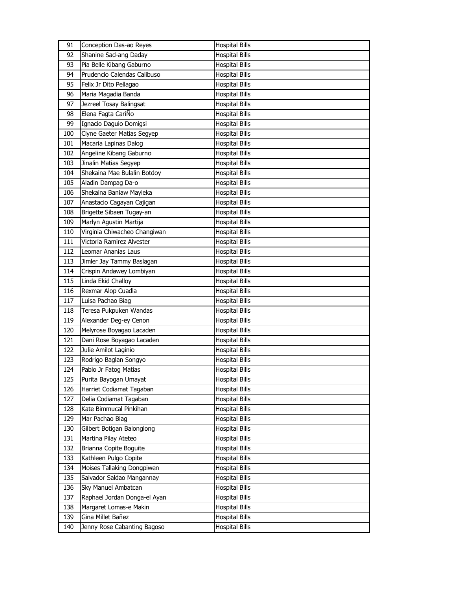| 91  | Conception Das-ao Reyes      | <b>Hospital Bills</b> |
|-----|------------------------------|-----------------------|
| 92  | Shanine Sad-ang Daday        | <b>Hospital Bills</b> |
| 93  | Pia Belle Kibang Gaburno     | <b>Hospital Bills</b> |
| 94  | Prudencio Calendas Calibuso  | <b>Hospital Bills</b> |
| 95  | Felix Jr Dito Pellagao       | <b>Hospital Bills</b> |
| 96  | Maria Magadia Banda          | <b>Hospital Bills</b> |
| 97  | Jezreel Tosay Balingsat      | <b>Hospital Bills</b> |
| 98  | Elena Fagta CariÑo           | <b>Hospital Bills</b> |
| 99  | Ignacio Daguio Domigsi       | <b>Hospital Bills</b> |
| 100 | Clyne Gaeter Matias Segyep   | <b>Hospital Bills</b> |
| 101 | Macaria Lapinas Dalog        | <b>Hospital Bills</b> |
| 102 | Angeline Kibang Gaburno      | <b>Hospital Bills</b> |
| 103 | Jinalin Matias Segyep        | <b>Hospital Bills</b> |
| 104 | Shekaina Mae Bulalin Botdoy  | <b>Hospital Bills</b> |
| 105 | Aladin Dampag Da-o           | <b>Hospital Bills</b> |
| 106 | Shekaina Baniaw Mayieka      | <b>Hospital Bills</b> |
| 107 | Anastacio Cagayan Cajigan    | <b>Hospital Bills</b> |
| 108 | Brigette Sibaen Tugay-an     | <b>Hospital Bills</b> |
| 109 | Marlyn Agustin Martija       | <b>Hospital Bills</b> |
| 110 | Virginia Chiwacheo Changiwan | <b>Hospital Bills</b> |
| 111 | Victoria Ramirez Alvester    | <b>Hospital Bills</b> |
| 112 | Leomar Ananias Laus          | <b>Hospital Bills</b> |
| 113 | Jimler Jay Tammy Baslagan    | <b>Hospital Bills</b> |
| 114 | Crispin Andawey Lombiyan     | <b>Hospital Bills</b> |
| 115 | Linda Ekid Challoy           | <b>Hospital Bills</b> |
|     |                              |                       |
| 116 | Rexmar Alop Cuadla           | <b>Hospital Bills</b> |
| 117 | Luisa Pachao Biag            | <b>Hospital Bills</b> |
| 118 | Teresa Pukpuken Wandas       | <b>Hospital Bills</b> |
| 119 | Alexander Deg-ey Cenon       | <b>Hospital Bills</b> |
| 120 | Melyrose Boyagao Lacaden     | <b>Hospital Bills</b> |
| 121 | Dani Rose Boyagao Lacaden    | <b>Hospital Bills</b> |
| 122 | Julie Amilot Laginio         | <b>Hospital Bills</b> |
| 123 | Rodrigo Baglan Songyo        | <b>Hospital Bills</b> |
| 124 | Pablo Jr Fatog Matias        | <b>Hospital Bills</b> |
| 125 | Purita Bayogan Umayat        | <b>Hospital Bills</b> |
| 126 | Harriet Codiamat Tagaban     | <b>Hospital Bills</b> |
| 127 | Delia Codiamat Tagaban       | <b>Hospital Bills</b> |
| 128 | Kate Bimmucal Pinkihan       | <b>Hospital Bills</b> |
| 129 | Mar Pachao Biag              | <b>Hospital Bills</b> |
| 130 | Gilbert Botigan Balonglong   | <b>Hospital Bills</b> |
| 131 | Martina Pilay Ateteo         | <b>Hospital Bills</b> |
| 132 | Brianna Copite Boguite       | <b>Hospital Bills</b> |
| 133 | Kathleen Pulgo Copite        | <b>Hospital Bills</b> |
| 134 | Moises Tallaking Dongpiwen   | <b>Hospital Bills</b> |
| 135 | Salvador Saldao Mangannay    | <b>Hospital Bills</b> |
| 136 | Sky Manuel Ambatcan          | <b>Hospital Bills</b> |
| 137 | Raphael Jordan Donga-el Ayan | <b>Hospital Bills</b> |
| 138 | Margaret Lomas-e Makin       | <b>Hospital Bills</b> |
| 139 | Gina Millet Bañez            | <b>Hospital Bills</b> |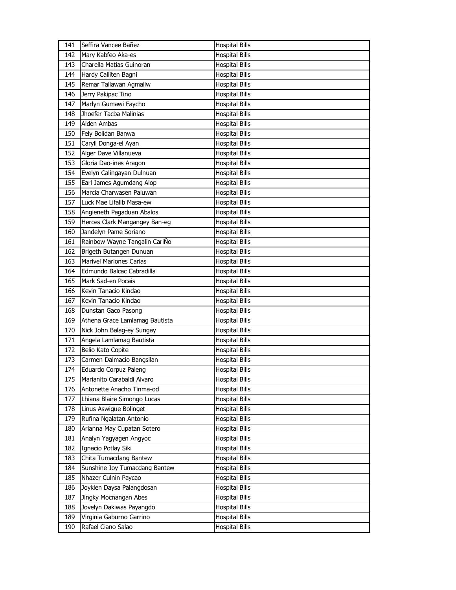| 141 | Seffira Vancee Bañez           | <b>Hospital Bills</b> |
|-----|--------------------------------|-----------------------|
| 142 | Mary Kabfeo Aka-es             | <b>Hospital Bills</b> |
| 143 | Charella Matias Guinoran       | <b>Hospital Bills</b> |
| 144 | Hardy Calliten Bagni           | <b>Hospital Bills</b> |
| 145 | Remar Tallawan Agmaliw         | <b>Hospital Bills</b> |
| 146 | Jerry Pakipac Tino             | <b>Hospital Bills</b> |
| 147 | Marlyn Gumawi Faycho           | <b>Hospital Bills</b> |
| 148 | Jhoefer Tacba Malinias         | <b>Hospital Bills</b> |
| 149 | Alden Ambas                    | <b>Hospital Bills</b> |
| 150 | Fely Bolidan Banwa             | <b>Hospital Bills</b> |
| 151 | Caryll Donga-el Ayan           | <b>Hospital Bills</b> |
| 152 | Alger Dave Villanueva          | <b>Hospital Bills</b> |
| 153 | Gloria Dao-ines Aragon         | <b>Hospital Bills</b> |
| 154 | Evelyn Calingayan Dulnuan      | <b>Hospital Bills</b> |
| 155 | Earl James Agumdang Alop       | <b>Hospital Bills</b> |
| 156 | Marcia Charwasen Paluwan       | <b>Hospital Bills</b> |
| 157 | Luck Mae Lifalib Masa-ew       | <b>Hospital Bills</b> |
| 158 | Angieneth Pagaduan Abalos      | <b>Hospital Bills</b> |
| 159 | Herces Clark Mangangey Ban-eg  | <b>Hospital Bills</b> |
| 160 | Jandelyn Pame Soriano          | <b>Hospital Bills</b> |
| 161 | Rainbow Wayne Tangalin CariÑo  | <b>Hospital Bills</b> |
| 162 | Brigeth Butangen Dunuan        | <b>Hospital Bills</b> |
| 163 | <b>Marivel Mariones Carias</b> | <b>Hospital Bills</b> |
| 164 | Edmundo Balcac Cabradilla      | <b>Hospital Bills</b> |
| 165 | Mark Sad-en Pocais             | <b>Hospital Bills</b> |
| 166 | Kevin Tanacio Kindao           | <b>Hospital Bills</b> |
| 167 | Kevin Tanacio Kindao           | <b>Hospital Bills</b> |
| 168 | Dunstan Gaco Pasong            | <b>Hospital Bills</b> |
| 169 | Athena Grace Lamlamag Bautista | <b>Hospital Bills</b> |
| 170 | Nick John Balag-ey Sungay      | <b>Hospital Bills</b> |
| 171 | Angela Lamlamag Bautista       | <b>Hospital Bills</b> |
| 172 | Belio Kato Copite              | <b>Hospital Bills</b> |
| 173 | Carmen Dalmacio Bangsilan      | <b>Hospital Bills</b> |
| 174 | Eduardo Corpuz Paleng          | <b>Hospital Bills</b> |
| 175 | Marianito Carabaldi Alvaro     | <b>Hospital Bills</b> |
| 176 | Antonette Anacho Tinma-od      | <b>Hospital Bills</b> |
| 177 | Lhiana Blaire Simongo Lucas    | <b>Hospital Bills</b> |
| 178 | Linus Aswigue Bolinget         | <b>Hospital Bills</b> |
| 179 | Rufina Ngalatan Antonio        | <b>Hospital Bills</b> |
| 180 | Arianna May Cupatan Sotero     | <b>Hospital Bills</b> |
| 181 | Analyn Yagyagen Angyoc         | <b>Hospital Bills</b> |
| 182 | Ignacio Potlay Siki            | <b>Hospital Bills</b> |
| 183 | Chita Tumacdang Bantew         | <b>Hospital Bills</b> |
| 184 | Sunshine Joy Tumacdang Bantew  | <b>Hospital Bills</b> |
| 185 | Nhazer Culnin Paycao           | <b>Hospital Bills</b> |
| 186 | Joyklen Daysa Palangdosan      | <b>Hospital Bills</b> |
| 187 | Jingky Mocnangan Abes          | <b>Hospital Bills</b> |
| 188 | Jovelyn Dakiwas Payangdo       | <b>Hospital Bills</b> |
| 189 | Virginia Gaburno Garrino       | <b>Hospital Bills</b> |
| 190 | Rafael Ciano Salao             | <b>Hospital Bills</b> |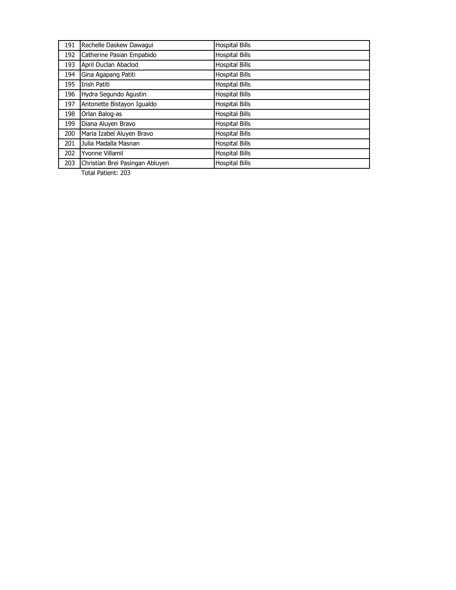| 191 | Rechelle Daskew Dawagui         | <b>Hospital Bills</b> |
|-----|---------------------------------|-----------------------|
| 192 | Catherine Pasian Empabido       | <b>Hospital Bills</b> |
| 193 | April Duclan Abaclod            | <b>Hospital Bills</b> |
| 194 | Gina Agapang Patiti             | <b>Hospital Bills</b> |
| 195 | Irish Patiti                    | <b>Hospital Bills</b> |
| 196 | Hydra Segundo Agustin           | <b>Hospital Bills</b> |
| 197 | Antonette Bistayon Iqualdo      | <b>Hospital Bills</b> |
| 198 | Orlan Balog-as                  | <b>Hospital Bills</b> |
| 199 | Diana Aluyen Bravo              | <b>Hospital Bills</b> |
| 200 | Maria Izabel Aluyen Bravo       | <b>Hospital Bills</b> |
| 201 | Julia Madalla Masnan            | <b>Hospital Bills</b> |
| 202 | Yvonne Villamil                 | <b>Hospital Bills</b> |
| 203 | Christian Brei Pasingan Abluyen | <b>Hospital Bills</b> |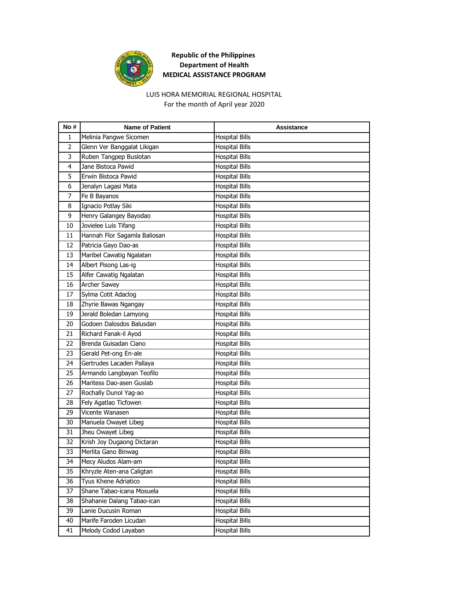

#### LUIS HORA MEMORIAL REGIONAL HOSPITAL For the month of April year 2020

| No #           | <b>Name of Patient</b>       | <b>Assistance</b>     |
|----------------|------------------------------|-----------------------|
| 1              | Melinia Pangwe Sicomen       | <b>Hospital Bills</b> |
| $\overline{2}$ | Glenn Ver Banggalat Likigan  | <b>Hospital Bills</b> |
| 3              | Ruben Tangpep Buslotan       | <b>Hospital Bills</b> |
| 4              | Jane Bistoca Pawid           | <b>Hospital Bills</b> |
| 5              | Erwin Bistoca Pawid          | <b>Hospital Bills</b> |
| 6              | Jenalyn Lagasi Mata          | <b>Hospital Bills</b> |
| 7              | Fe B Bayanos                 | <b>Hospital Bills</b> |
| 8              | Ignacio Potlay Siki          | <b>Hospital Bills</b> |
| 9              | Henry Galangey Bayodao       | <b>Hospital Bills</b> |
| 10             | Jovielee Luis Tifang         | <b>Hospital Bills</b> |
| 11             | Hannah Flor Sagamla Baliosan | <b>Hospital Bills</b> |
| 12             | Patricia Gayo Dao-as         | <b>Hospital Bills</b> |
| 13             | Maribel Cawatig Ngalatan     | <b>Hospital Bills</b> |
| 14             | Albert Pisong Las-ig         | <b>Hospital Bills</b> |
| 15             | Alfer Cawatig Ngalatan       | <b>Hospital Bills</b> |
| 16             | Archer Sawey                 | <b>Hospital Bills</b> |
| 17             | Sylma Cotit Adaclog          | <b>Hospital Bills</b> |
| 18             | Zhyrie Bawas Ngangay         | <b>Hospital Bills</b> |
| 19             | Jerald Boledan Lamyong       | <b>Hospital Bills</b> |
| 20             | Godoen Dalosdos Balusdan     | <b>Hospital Bills</b> |
| 21             | Richard Fanak-il Ayod        | <b>Hospital Bills</b> |
| 22             | Brenda Guisadan Ciano        | <b>Hospital Bills</b> |
| 23             | Gerald Pet-ong En-ale        | <b>Hospital Bills</b> |
| 24             | Gertrudes Lacaden Pallaya    | <b>Hospital Bills</b> |
| 25             | Armando Langbayan Teofilo    | <b>Hospital Bills</b> |
| 26             | Maritess Dao-asen Guslab     | <b>Hospital Bills</b> |
| 27             | Rochally Dunol Yag-ao        | <b>Hospital Bills</b> |
| 28             | Fely Agatlao Ticfowen        | <b>Hospital Bills</b> |
| 29             | Vicente Wanasen              | <b>Hospital Bills</b> |
| 30             | Manuela Owayet Libeg         | <b>Hospital Bills</b> |
| 31             | Jheu Owayet Libeg            | <b>Hospital Bills</b> |
| 32             | Krish Joy Dugaong Dictaran   | <b>Hospital Bills</b> |
| 33             | Merlita Gano Binwag          | <b>Hospital Bills</b> |
| 34             | Mecy Aludos Alam-am          | <b>Hospital Bills</b> |
| 35             | Khryzle Aten-ana Caligtan    | <b>Hospital Bills</b> |
| 36             | Tyus Khene Adriatico         | <b>Hospital Bills</b> |
| 37             | Shane Tabao-icana Mosuela    | <b>Hospital Bills</b> |
| 38             | Shahanie Dalang Tabao-ican   | <b>Hospital Bills</b> |
| 39             | Lanie Ducusin Roman          | <b>Hospital Bills</b> |
| 40             | Marife Faroden Licudan       | <b>Hospital Bills</b> |
| 41             | Melody Codod Layaban         | <b>Hospital Bills</b> |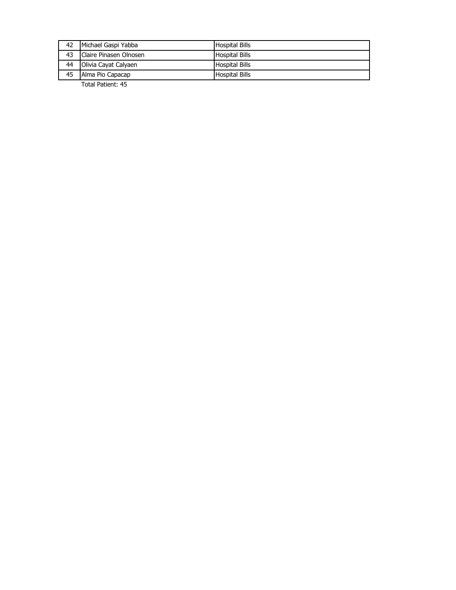| 42 | Michael Gaspi Yabba    | <b>Hospital Bills</b> |
|----|------------------------|-----------------------|
| 43 | Claire Pinasen Olnosen | <b>Hospital Bills</b> |
| 44 | Olivia Cayat Calyaen   | <b>Hospital Bills</b> |
| 45 | Alma Pio Capacap       | <b>Hospital Bills</b> |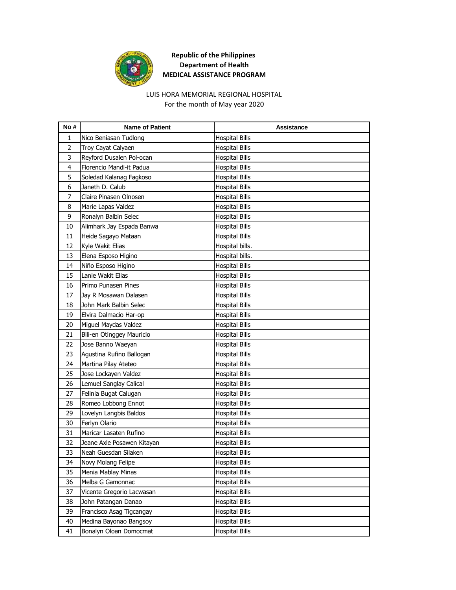

#### For the month of May year 2020 LUIS HORA MEMORIAL REGIONAL HOSPITAL

| No#            | <b>Name of Patient</b>     | Assistance            |
|----------------|----------------------------|-----------------------|
| 1              | Nico Beniasan Tudlong      | <b>Hospital Bills</b> |
| $\overline{2}$ | Troy Cayat Calyaen         | <b>Hospital Bills</b> |
| 3              | Reyford Dusalen Pol-ocan   | <b>Hospital Bills</b> |
| 4              | Florencio Mandi-it Padua   | <b>Hospital Bills</b> |
| 5              | Soledad Kalanag Fagkoso    | <b>Hospital Bills</b> |
| 6              | Janeth D. Calub            | <b>Hospital Bills</b> |
| 7              | Claire Pinasen Olnosen     | <b>Hospital Bills</b> |
| 8              | Marie Lapas Valdez         | <b>Hospital Bills</b> |
| 9              | Ronalyn Balbin Selec       | <b>Hospital Bills</b> |
| 10             | Alimhark Jay Espada Banwa  | <b>Hospital Bills</b> |
| 11             | Heide Sagayo Mataan        | Hospital Bills        |
| 12             | Kyle Wakit Elias           | Hospital bills.       |
| 13             | Elena Esposo Higino        | Hospital bills.       |
| 14             | Niño Esposo Higino         | <b>Hospital Bills</b> |
| 15             | Lanie Wakit Elias          | <b>Hospital Bills</b> |
| 16             | Primo Punasen Pines        | Hospital Bills        |
| 17             | Jay R Mosawan Dalasen      | <b>Hospital Bills</b> |
| 18             | John Mark Balbin Selec     | <b>Hospital Bills</b> |
| 19             | Elvira Dalmacio Har-op     | <b>Hospital Bills</b> |
| 20             | Miguel Maydas Valdez       | <b>Hospital Bills</b> |
| 21             | Bili-en Otinggey Mauricio  | <b>Hospital Bills</b> |
| 22             | Jose Banno Waeyan          | <b>Hospital Bills</b> |
| 23             | Agustina Rufino Ballogan   | <b>Hospital Bills</b> |
| 24             | Martina Pilay Ateteo       | <b>Hospital Bills</b> |
| 25             | Jose Lockayen Valdez       | <b>Hospital Bills</b> |
| 26             | Lemuel Sanglay Calical     | <b>Hospital Bills</b> |
| 27             | Felinia Bugat Calugan      | <b>Hospital Bills</b> |
| 28             | Romeo Lobbong Ennot        | <b>Hospital Bills</b> |
| 29             | Lovelyn Langbis Baldos     | <b>Hospital Bills</b> |
| 30             | Ferlyn Olario              | <b>Hospital Bills</b> |
| 31             | Maricar Lasaten Rufino     | <b>Hospital Bills</b> |
| 32             | Jeane Axle Posawen Kitayan | <b>Hospital Bills</b> |
| 33             | Neah Guesdan Silaken       | <b>Hospital Bills</b> |
| 34             | Novy Molang Felipe         | <b>Hospital Bills</b> |
| 35             | Menia Mablay Minas         | <b>Hospital Bills</b> |
| 36             | Melba G Gamonnac           | <b>Hospital Bills</b> |
| 37             | Vicente Gregorio Lacwasan  | <b>Hospital Bills</b> |
| 38             | John Patangan Danao        | <b>Hospital Bills</b> |
| 39             | Francisco Asag Tigcangay   | <b>Hospital Bills</b> |
| 40             | Medina Bayonao Bangsoy     | <b>Hospital Bills</b> |
| 41             | Bonalyn Oloan Domocmat     | <b>Hospital Bills</b> |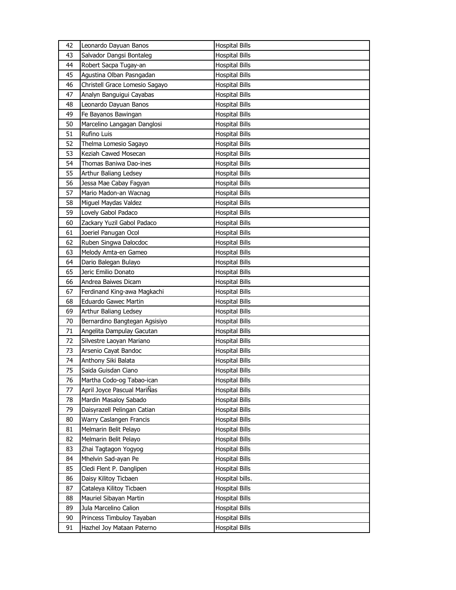| 42       | Leonardo Dayuan Banos                                  | <b>Hospital Bills</b>                          |
|----------|--------------------------------------------------------|------------------------------------------------|
| 43       | Salvador Dangsi Bontaleg                               | <b>Hospital Bills</b>                          |
| 44       | Robert Sacpa Tugay-an                                  | <b>Hospital Bills</b>                          |
| 45       | Agustina Olban Pasngadan                               | Hospital Bills                                 |
| 46       | Christell Grace Lomesio Sagayo                         | <b>Hospital Bills</b>                          |
| 47       | Analyn Banguigui Cayabas                               | <b>Hospital Bills</b>                          |
| 48       | Leonardo Dayuan Banos                                  | <b>Hospital Bills</b>                          |
| 49       | Fe Bayanos Bawingan                                    | <b>Hospital Bills</b>                          |
| 50       | Marcelino Langagan Danglosi                            | <b>Hospital Bills</b>                          |
| 51       | Rufino Luis                                            | <b>Hospital Bills</b>                          |
| 52       | Thelma Lomesio Sagayo                                  | <b>Hospital Bills</b>                          |
| 53       | Keziah Cawed Mosecan                                   | <b>Hospital Bills</b>                          |
| 54       | Thomas Baniwa Dao-ines                                 | <b>Hospital Bills</b>                          |
| 55       | Arthur Baliang Ledsey                                  | <b>Hospital Bills</b>                          |
| 56       | Jessa Mae Cabay Fagyan                                 | <b>Hospital Bills</b>                          |
| 57       | Mario Madon-an Wacnag                                  | <b>Hospital Bills</b>                          |
| 58       | Miguel Maydas Valdez                                   | Hospital Bills                                 |
| 59       | Lovely Gabol Padaco                                    | <b>Hospital Bills</b>                          |
| 60       | Zackary Yuzil Gabol Padaco                             | <b>Hospital Bills</b>                          |
| 61       | Joeriel Panugan Ocol                                   | <b>Hospital Bills</b>                          |
| 62       | Ruben Singwa Dalocdoc                                  | <b>Hospital Bills</b>                          |
| 63       | Melody Amta-en Gameo                                   | Hospital Bills                                 |
| 64       | Dario Balegan Bulayo                                   | <b>Hospital Bills</b>                          |
| 65       | Jeric Emilio Donato                                    | <b>Hospital Bills</b>                          |
| 66       | Andrea Baiwes Dicam                                    | <b>Hospital Bills</b>                          |
| 67       | Ferdinand King-awa Magkachi                            | <b>Hospital Bills</b>                          |
| 68       | Eduardo Gawec Martin                                   | Hospital Bills                                 |
| 69       | Arthur Baliang Ledsey                                  | <b>Hospital Bills</b>                          |
| 70       | Bernardino Bangtegan Agsisiyo                          | <b>Hospital Bills</b>                          |
| 71       | Angelita Dampulay Gacutan                              | <b>Hospital Bills</b>                          |
| 72       | Silvestre Laoyan Mariano                               | <b>Hospital Bills</b>                          |
| 73       | Arsenio Cayat Bandoc                                   | Hospital Bills                                 |
| 74       | Anthony Siki Balata                                    | Hospital Bills                                 |
| 75       | Saida Guisdan Ciano                                    | <b>Hospital Bills</b>                          |
| 76       | Martha Codo-og Tabao-ican                              | <b>Hospital Bills</b>                          |
| 77       | April Joyce Pascual MariÑas                            | <b>Hospital Bills</b>                          |
| 78       | Mardin Masaloy Sabado                                  | <b>Hospital Bills</b>                          |
| 79       | Daisyrazell Pelingan Catian                            | <b>Hospital Bills</b>                          |
| 80       | Warry Caslangen Francis                                | <b>Hospital Bills</b>                          |
| 81       | Melmarin Belit Pelayo                                  | <b>Hospital Bills</b>                          |
| 82       | Melmarin Belit Pelayo                                  | Hospital Bills                                 |
| 83       | Zhai Tagtagon Yogyog                                   | <b>Hospital Bills</b>                          |
| 84       | Mhelvin Sad-ayan Pe                                    | <b>Hospital Bills</b>                          |
| 85       | Cledi Flent P. Danglipen                               | <b>Hospital Bills</b>                          |
| 86       | Daisy Kilitoy Ticbaen                                  | Hospital bills.                                |
| 87       | Cataleya Kilitoy Ticbaen                               | <b>Hospital Bills</b>                          |
| 88       | Mauriel Sibayan Martin                                 | Hospital Bills                                 |
| 89       |                                                        |                                                |
|          |                                                        |                                                |
|          | Jula Marcelino Calion                                  | <b>Hospital Bills</b>                          |
| 90<br>91 | Princess Timbuloy Tayaban<br>Hazhel Joy Mataan Paterno | <b>Hospital Bills</b><br><b>Hospital Bills</b> |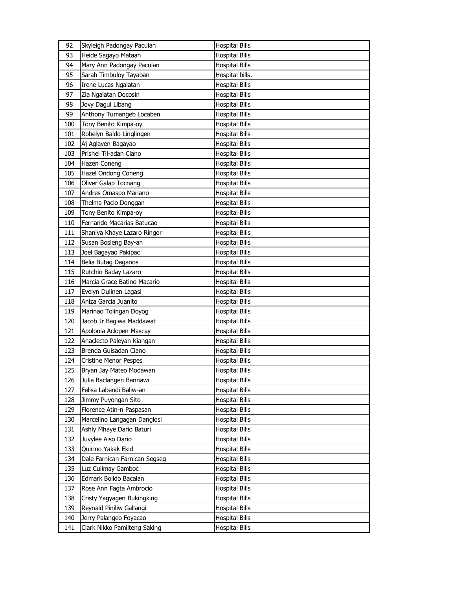| 92  | Skyleigh Padongay Paculan     | <b>Hospital Bills</b> |
|-----|-------------------------------|-----------------------|
| 93  | Heide Sagayo Mataan           | <b>Hospital Bills</b> |
| 94  | Mary Ann Padongay Paculan     | <b>Hospital Bills</b> |
| 95  | Sarah Timbuloy Tayaban        | Hospital bills.       |
| 96  | Irene Lucas Ngalatan          | <b>Hospital Bills</b> |
| 97  | Zia Ngalatan Docosin          | <b>Hospital Bills</b> |
| 98  | Jovy Dagul Libang             | Hospital Bills        |
| 99  | Anthony Tumangeb Locaben      | <b>Hospital Bills</b> |
| 100 | Tony Benito Kimpa-oy          | <b>Hospital Bills</b> |
| 101 | Robelyn Baldo Linglingen      | <b>Hospital Bills</b> |
| 102 | Aj Aglayen Bagayao            | <b>Hospital Bills</b> |
| 103 | Prishel Til-adan Ciano        | <b>Hospital Bills</b> |
| 104 | Hazen Coneng                  | <b>Hospital Bills</b> |
| 105 | Hazel Ondong Coneng           | <b>Hospital Bills</b> |
| 106 | Oliver Galap Tocnang          | <b>Hospital Bills</b> |
| 107 | Andres Omaspo Mariano         | <b>Hospital Bills</b> |
| 108 | Thelma Pacio Donggan          | <b>Hospital Bills</b> |
| 109 | Tony Benito Kimpa-oy          | <b>Hospital Bills</b> |
| 110 | Fernando Macarias Batucao     | <b>Hospital Bills</b> |
| 111 | Shaniya Khaye Lazaro Ringor   | <b>Hospital Bills</b> |
| 112 | Susan Bosleng Bay-an          | <b>Hospital Bills</b> |
| 113 | Joel Bagayao Pakipac          | <b>Hospital Bills</b> |
| 114 | Belia Butag Daganos           | <b>Hospital Bills</b> |
| 115 | Rutchin Baday Lazaro          | <b>Hospital Bills</b> |
| 116 | Marcia Grace Batino Macario   | <b>Hospital Bills</b> |
| 117 | Evelyn Dulinen Lagasi         | <b>Hospital Bills</b> |
| 118 | Aniza Garcia Juanito          | Hospital Bills        |
| 119 | Marinao Tolingan Doyog        | <b>Hospital Bills</b> |
| 120 | Jacob Jr Bagiwa Maddawat      | <b>Hospital Bills</b> |
| 121 | Apolonia Aclopen Mascay       | <b>Hospital Bills</b> |
| 122 | Anaclecto Paleyan Kiangan     | <b>Hospital Bills</b> |
| 123 | Brenda Guisadan Ciano         | Hospital Bills        |
| 124 | <b>Cristine Menor Pespes</b>  | <b>Hospital Bills</b> |
| 125 | Bryan Jay Mateo Modawan       | <b>Hospital Bills</b> |
| 126 | Julia Baclangen Bannawi       | <b>Hospital Bills</b> |
| 127 | Felisa Labendi Baliw-an       | <b>Hospital Bills</b> |
| 128 | Jimmy Puyongan Sito           | <b>Hospital Bills</b> |
| 129 | Florence Atin-n Paspasan      | <b>Hospital Bills</b> |
| 130 | Marcelino Langagan Danglosi   | <b>Hospital Bills</b> |
| 131 | Ashly Mhaye Dario Baturi      | Hospital Bills        |
| 132 | Juvylee Aiso Dario            | Hospital Bills        |
| 133 | Quirino Yakak Ekid            | <b>Hospital Bills</b> |
| 134 | Dale Farnican Farnican Segseg | <b>Hospital Bills</b> |
| 135 | Luz Culimay Gamboc            | <b>Hospital Bills</b> |
| 136 | Edmark Bolido Bacalan         | Hospital Bills        |
| 137 | Rose Ann Fagta Ambrocio       | Hospital Bills        |
| 138 | Cristy Yagyagen Bukingking    | Hospital Bills        |
| 139 | Reynald Piniliw Gallangi      | <b>Hospital Bills</b> |
| 140 | Jerry Palangeo Foyacao        | Hospital Bills        |
| 141 | Clark Nikko Pamilteng Saking  | <b>Hospital Bills</b> |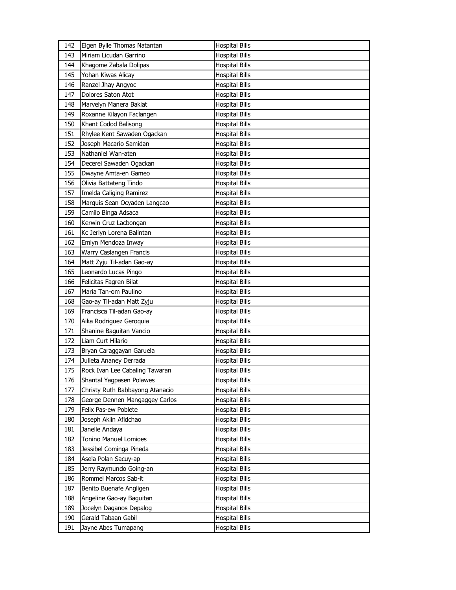| 142 | Elgen Bylle Thomas Natantan     | <b>Hospital Bills</b> |
|-----|---------------------------------|-----------------------|
| 143 | Miriam Licudan Garrino          | <b>Hospital Bills</b> |
| 144 | Khagome Zabala Dolipas          | <b>Hospital Bills</b> |
| 145 | Yohan Kiwas Alicay              | <b>Hospital Bills</b> |
| 146 | Ranzel Jhay Angyoc              | <b>Hospital Bills</b> |
| 147 | Dolores Saton Atot              | <b>Hospital Bills</b> |
| 148 | Marvelyn Manera Bakiat          | <b>Hospital Bills</b> |
| 149 | Roxanne Kilayon Faclangen       | <b>Hospital Bills</b> |
| 150 | Khant Codod Balisong            | Hospital Bills        |
| 151 | Rhylee Kent Sawaden Ogackan     | <b>Hospital Bills</b> |
| 152 | Joseph Macario Samidan          | <b>Hospital Bills</b> |
| 153 | Nathaniel Wan-aten              | <b>Hospital Bills</b> |
| 154 | Decerel Sawaden Ogackan         | Hospital Bills        |
| 155 | Dwayne Amta-en Gameo            | Hospital Bills        |
| 156 | Olivia Battateng Tindo          | <b>Hospital Bills</b> |
| 157 | Imelda Caliging Ramirez         | Hospital Bills        |
| 158 | Marquis Sean Ocyaden Langcao    | <b>Hospital Bills</b> |
| 159 | Camilo Binga Adsaca             | <b>Hospital Bills</b> |
| 160 | Kerwin Cruz Lacbongan           | Hospital Bills        |
| 161 | Kc Jerlyn Lorena Balintan       | <b>Hospital Bills</b> |
| 162 | Emlyn Mendoza Inway             | <b>Hospital Bills</b> |
| 163 | Warry Caslangen Francis         | <b>Hospital Bills</b> |
| 164 | Matt Zyju Til-adan Gao-ay       | Hospital Bills        |
| 165 | Leonardo Lucas Pingo            | Hospital Bills        |
| 166 | Felicitas Fagren Bilat          | <b>Hospital Bills</b> |
| 167 | Maria Tan-om Paulino            | Hospital Bills        |
|     |                                 |                       |
| 168 | Gao-ay Til-adan Matt Zyju       | <b>Hospital Bills</b> |
| 169 | Francisca Til-adan Gao-ay       | Hospital Bills        |
| 170 | Aika Rodriguez Geroquia         | Hospital Bills        |
| 171 | Shanine Baguitan Vancio         | <b>Hospital Bills</b> |
| 172 | Liam Curt Hilario               | Hospital Bills        |
| 173 | Bryan Caraggayan Garuela        | Hospital Bills        |
| 174 | Julieta Ananey Derrada          | Hospital Bills        |
| 175 | Rock Ivan Lee Cabaling Tawaran  | <b>Hospital Bills</b> |
| 176 | Shantal Yagpasen Polawes        | <b>Hospital Bills</b> |
| 177 | Christy Ruth Babbayong Atanacio | <b>Hospital Bills</b> |
| 178 | George Dennen Mangaggey Carlos  | Hospital Bills        |
| 179 | Felix Pas-ew Poblete            | <b>Hospital Bills</b> |
| 180 | Joseph Aklin Afidchao           | Hospital Bills        |
| 181 | Janelle Andaya                  | <b>Hospital Bills</b> |
| 182 | Tonino Manuel Lomioes           | <b>Hospital Bills</b> |
| 183 | Jessibel Cominga Pineda         | <b>Hospital Bills</b> |
| 184 | Asela Polan Sacuy-ap            | <b>Hospital Bills</b> |
| 185 | Jerry Raymundo Going-an         | Hospital Bills        |
| 186 | Rommel Marcos Sab-it            | <b>Hospital Bills</b> |
| 187 | Benito Buenafe Angligen         | Hospital Bills        |
| 188 | Angeline Gao-ay Baguitan        | Hospital Bills        |
| 189 | Jocelyn Daganos Depalog         | <b>Hospital Bills</b> |
| 190 | Gerald Tabaan Gabil             | Hospital Bills        |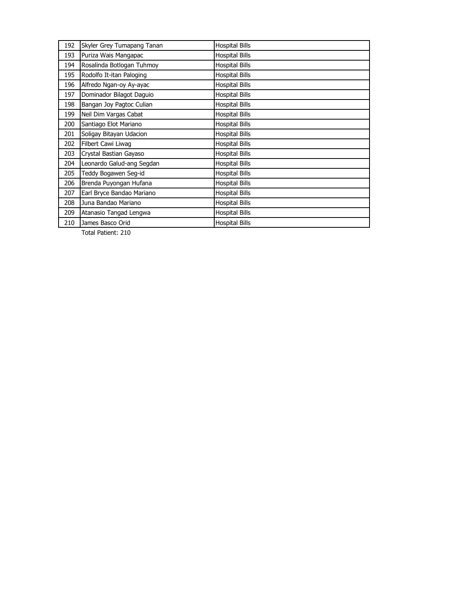| 192 | Skyler Grey Tumapang Tanan | <b>Hospital Bills</b> |
|-----|----------------------------|-----------------------|
| 193 | Puriza Wais Mangapac       | <b>Hospital Bills</b> |
| 194 | Rosalinda Botlogan Tuhmoy  | <b>Hospital Bills</b> |
| 195 | Rodolfo It-itan Paloging   | <b>Hospital Bills</b> |
| 196 | Alfredo Ngan-oy Ay-ayac    | <b>Hospital Bills</b> |
| 197 | Dominador Bilagot Daguio   | <b>Hospital Bills</b> |
| 198 | Bangan Joy Pagtoc Culian   | <b>Hospital Bills</b> |
| 199 | Neil Dim Vargas Cabat      | <b>Hospital Bills</b> |
| 200 | Santiago Elot Mariano      | <b>Hospital Bills</b> |
| 201 | Soligay Bitayan Udacion    | <b>Hospital Bills</b> |
| 202 | Filbert Cawi Liwag         | <b>Hospital Bills</b> |
| 203 | Crystal Bastian Gayaso     | <b>Hospital Bills</b> |
| 204 | Leonardo Galud-ang Segdan  | <b>Hospital Bills</b> |
| 205 | Teddy Bogawen Seg-id       | <b>Hospital Bills</b> |
| 206 | Brenda Puyongan Hufana     | <b>Hospital Bills</b> |
| 207 | Earl Bryce Bandao Mariano  | <b>Hospital Bills</b> |
| 208 | Juna Bandao Mariano        | <b>Hospital Bills</b> |
| 209 | Atanasio Tangad Lengwa     | <b>Hospital Bills</b> |
| 210 | James Basco Orid           | <b>Hospital Bills</b> |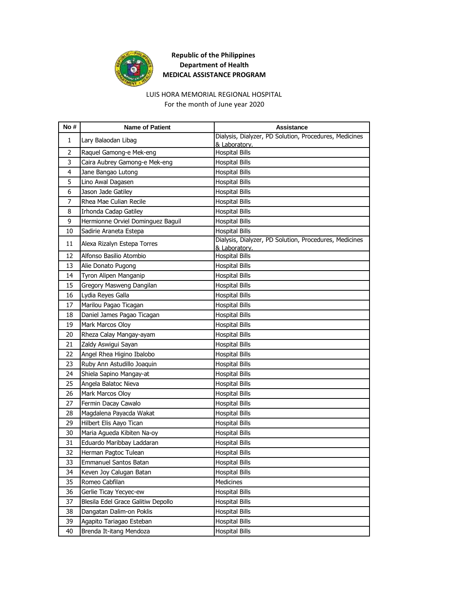

# LUIS HORA MEMORIAL REGIONAL HOSPITAL

For the month of June year 2020

| No#            | <b>Name of Patient</b>             | <b>Assistance</b>                                                       |
|----------------|------------------------------------|-------------------------------------------------------------------------|
| $\mathbf{1}$   | Lary Balaodan Libag                | Dialysis, Dialyzer, PD Solution, Procedures, Medicines<br>& Laboratory. |
| $\overline{2}$ | Raquel Gamong-e Mek-eng            | <b>Hospital Bills</b>                                                   |
| 3              | Caira Aubrey Gamong-e Mek-eng      | <b>Hospital Bills</b>                                                   |
| $\overline{4}$ | Jane Bangao Lutong                 | <b>Hospital Bills</b>                                                   |
| 5              | Lino Awal Dagasen                  | <b>Hospital Bills</b>                                                   |
| 6              | Jason Jade Gatiley                 | Hospital Bills                                                          |
| $\overline{7}$ | Rhea Mae Culian Recile             | <b>Hospital Bills</b>                                                   |
| 8              | Irhonda Cadap Gatiley              | <b>Hospital Bills</b>                                                   |
| 9              | Hermionne Orviel Dominguez Baguil  | <b>Hospital Bills</b>                                                   |
| 10             | Sadirie Araneta Estepa             | <b>Hospital Bills</b>                                                   |
| 11             | Alexa Rizalyn Estepa Torres        | Dialysis, Dialyzer, PD Solution, Procedures, Medicines<br>& Laboratory. |
| 12             | Alfonso Basilio Atombio            | <b>Hospital Bills</b>                                                   |
| 13             | Alie Donato Pugong                 | <b>Hospital Bills</b>                                                   |
| 14             | Tyron Alipen Manganip              | <b>Hospital Bills</b>                                                   |
| 15             | Gregory Masweng Dangilan           | Hospital Bills                                                          |
| 16             | Lydia Reyes Galla                  | <b>Hospital Bills</b>                                                   |
| 17             | Marilou Pagao Ticagan              | <b>Hospital Bills</b>                                                   |
| 18             | Daniel James Pagao Ticagan         | <b>Hospital Bills</b>                                                   |
| 19             | Mark Marcos Oloy                   | <b>Hospital Bills</b>                                                   |
| 20             | Rheza Calay Mangay-ayam            | Hospital Bills                                                          |
| 21             | Zaldy Aswigui Sayan                | <b>Hospital Bills</b>                                                   |
| 22             | Angel Rhea Higino Ibalobo          | <b>Hospital Bills</b>                                                   |
| 23             | Ruby Ann Astudillo Joaquin         | <b>Hospital Bills</b>                                                   |
| 24             | Shiela Sapino Mangay-at            | <b>Hospital Bills</b>                                                   |
| 25             | Angela Balatoc Nieva               | Hospital Bills                                                          |
| 26             | Mark Marcos Oloy                   | <b>Hospital Bills</b>                                                   |
| 27             | Fermin Dacay Cawalo                | <b>Hospital Bills</b>                                                   |
| 28             | Magdalena Payacda Wakat            | <b>Hospital Bills</b>                                                   |
| 29             | Hilbert Elis Aayo Tican            | Hospital Bills                                                          |
| 30             | Maria Agueda Kibiten Na-oy         | Hospital Bills                                                          |
| 31             | Eduardo Maribbay Laddaran          | <b>Hospital Bills</b>                                                   |
| 32             | Herman Pagtoc Tulean               | <b>Hospital Bills</b>                                                   |
| 33             | Emmanuel Santos Batan              | <b>Hospital Bills</b>                                                   |
| 34             | Keven Joy Calugan Batan            | <b>Hospital Bills</b>                                                   |
| 35             | Romeo Cabfilan                     | Medicines                                                               |
| 36             | Gerlie Ticay Yecyec-ew             | <b>Hospital Bills</b>                                                   |
| 37             | Blesila Edel Grace Galitiw Depollo | Hospital Bills                                                          |
| 38             | Dangatan Dalim-on Poklis           | <b>Hospital Bills</b>                                                   |
| 39             | Agapito Tariagao Esteban           | Hospital Bills                                                          |
| 40             | Brenda It-itang Mendoza            | <b>Hospital Bills</b>                                                   |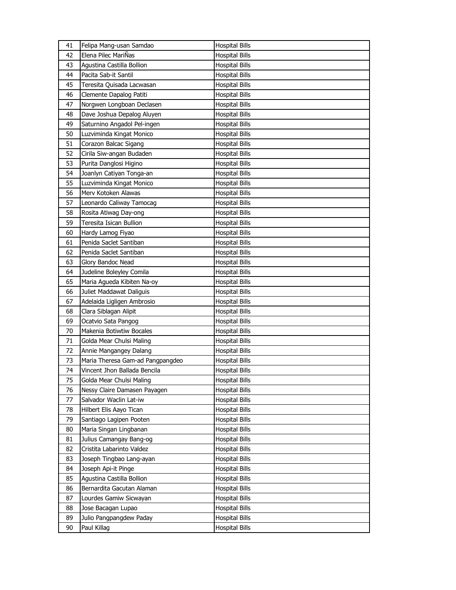| 41 | Felipa Mang-usan Samdao          | <b>Hospital Bills</b> |
|----|----------------------------------|-----------------------|
| 42 | Elena Pilec MariÑas              | <b>Hospital Bills</b> |
| 43 | Agustina Castilla Bollion        | <b>Hospital Bills</b> |
| 44 | Pacita Sab-it Santil             | <b>Hospital Bills</b> |
| 45 | Teresita Quisada Lacwasan        | <b>Hospital Bills</b> |
| 46 | Clemente Dapalog Patiti          | <b>Hospital Bills</b> |
| 47 | Norgwen Longboan Declasen        | <b>Hospital Bills</b> |
| 48 | Dave Joshua Depalog Aluyen       | Hospital Bills        |
| 49 | Saturnino Angadol Pel-ingen      | <b>Hospital Bills</b> |
| 50 | Luzviminda Kingat Monico         | <b>Hospital Bills</b> |
| 51 | Corazon Balcac Sigang            | <b>Hospital Bills</b> |
| 52 | Cirila Siw-angan Budaden         | <b>Hospital Bills</b> |
| 53 | Purita Danglosi Higino           | Hospital Bills        |
| 54 | Joanlyn Catiyan Tonga-an         | <b>Hospital Bills</b> |
| 55 | Luzviminda Kingat Monico         | <b>Hospital Bills</b> |
| 56 | Merv Kotoken Alawas              | <b>Hospital Bills</b> |
| 57 | Leonardo Caliway Tamocag         | <b>Hospital Bills</b> |
| 58 | Rosita Atiwag Day-ong            | Hospital Bills        |
| 59 | Teresita Isican Bullion          | <b>Hospital Bills</b> |
| 60 | Hardy Lamog Fiyao                | <b>Hospital Bills</b> |
| 61 | Penida Saclet Santiban           | <b>Hospital Bills</b> |
| 62 | Penida Saclet Santiban           | <b>Hospital Bills</b> |
| 63 | Glory Bandoc Nead                | Hospital Bills        |
| 64 | Judeline Boleyley Comila         | <b>Hospital Bills</b> |
| 65 | Maria Agueda Kibiten Na-oy       | <b>Hospital Bills</b> |
| 66 | Juliet Maddawat Daliguis         | Hospital Bills        |
| 67 | Adelaida Ligligen Ambrosio       | <b>Hospital Bills</b> |
| 68 | Clara Siblagan Alipit            | Hospital Bills        |
| 69 | Ocatvio Sata Pangog              | <b>Hospital Bills</b> |
| 70 | Makenia Botiwtiw Bocales         |                       |
| 71 | Golda Mear Chulsi Maling         | <b>Hospital Bills</b> |
| 72 | Annie Mangangey Dalang           | <b>Hospital Bills</b> |
| 73 | Maria Theresa Gam-ad Pangpangdeo | Hospital Bills        |
| 74 | Vincent Jhon Ballada Bencila     | Hospital Bills        |
|    |                                  | <b>Hospital Bills</b> |
| 75 | Golda Mear Chulsi Maling         | <b>Hospital Bills</b> |
| 76 | Nessy Claire Damasen Payagen     | <b>Hospital Bills</b> |
| 77 | Salvador Waclin Lat-iw           | <b>Hospital Bills</b> |
| 78 | Hilbert Elis Aayo Tican          | <b>Hospital Bills</b> |
| 79 | Santiago Lagipen Pooten          | Hospital Bills        |
| 80 | Maria Singan Lingbanan           | <b>Hospital Bills</b> |
| 81 | Julius Camangay Bang-og          | <b>Hospital Bills</b> |
| 82 | Cristita Labarinto Valdez        | Hospital Bills        |
| 83 | Joseph Tingbao Lang-ayan         | <b>Hospital Bills</b> |
| 84 | Joseph Api-it Pinge              | Hospital Bills        |
| 85 | Agustina Castilla Bollion        | <b>Hospital Bills</b> |
| 86 | Bernardita Gacutan Alaman        | Hospital Bills        |
| 87 | Lourdes Gamiw Sicwayan           | Hospital Bills        |
| 88 | Jose Bacagan Lupao               | <b>Hospital Bills</b> |
| 89 | Julio Pangpangdew Paday          | Hospital Bills        |
| 90 | Paul Killag                      | <b>Hospital Bills</b> |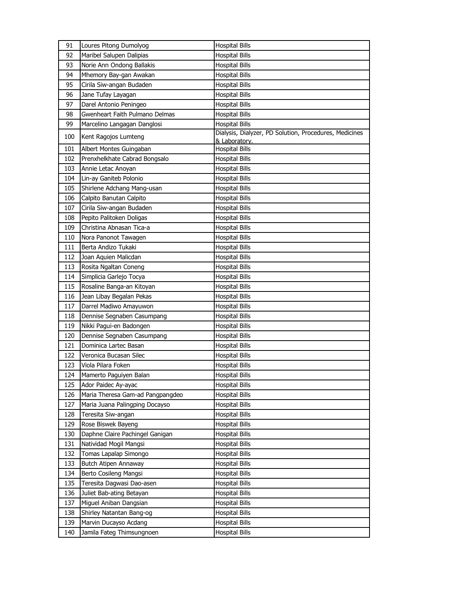| 91  | Loures Pitong Dumolyog           | <b>Hospital Bills</b>                                                   |
|-----|----------------------------------|-------------------------------------------------------------------------|
| 92  | Maribel Salupen Dalipias         | <b>Hospital Bills</b>                                                   |
| 93  | Norie Ann Ondong Ballakis        | <b>Hospital Bills</b>                                                   |
| 94  | Mhemory Bay-gan Awakan           | <b>Hospital Bills</b>                                                   |
| 95  | Cirila Siw-angan Budaden         | <b>Hospital Bills</b>                                                   |
| 96  | Jane Tufay Layagan               | <b>Hospital Bills</b>                                                   |
| 97  | Darel Antonio Peningeo           | <b>Hospital Bills</b>                                                   |
| 98  | Gwenheart Faith Pulmano Delmas   | <b>Hospital Bills</b>                                                   |
| 99  | Marcelino Langagan Danglosi      | <b>Hospital Bills</b>                                                   |
| 100 | Kent Ragojos Lumteng             | Dialysis, Dialyzer, PD Solution, Procedures, Medicines<br>& Laboratory. |
| 101 | Albert Montes Guingaban          | <b>Hospital Bills</b>                                                   |
| 102 | Prenxhelkhate Cabrad Bongsalo    | Hospital Bills                                                          |
| 103 | Annie Letac Anoyan               | <b>Hospital Bills</b>                                                   |
| 104 | Lin-ay Ganiteb Polonio           | <b>Hospital Bills</b>                                                   |
| 105 | Shirlene Adchang Mang-usan       | <b>Hospital Bills</b>                                                   |
| 106 | Calpito Banutan Calpito          | <b>Hospital Bills</b>                                                   |
| 107 | Cirila Siw-angan Budaden         | <b>Hospital Bills</b>                                                   |
| 108 | Pepito Palitoken Doligas         | <b>Hospital Bills</b>                                                   |
| 109 | Christina Abnasan Tica-a         | <b>Hospital Bills</b>                                                   |
| 110 | Nora Panonot Tawagen             | <b>Hospital Bills</b>                                                   |
| 111 | Berta Andizo Tukaki              | <b>Hospital Bills</b>                                                   |
| 112 | Joan Aquien Malicdan             | <b>Hospital Bills</b>                                                   |
| 113 | Rosita Ngaltan Coneng            | <b>Hospital Bills</b>                                                   |
| 114 | Simplicia Garlejo Tocya          | <b>Hospital Bills</b>                                                   |
| 115 | Rosaline Banga-an Kitoyan        | <b>Hospital Bills</b>                                                   |
| 116 | Jean Libay Begalan Pekas         | <b>Hospital Bills</b>                                                   |
| 117 | Darrel Madiwo Amayuwon           | <b>Hospital Bills</b>                                                   |
| 118 | Dennise Segnaben Casumpang       | <b>Hospital Bills</b>                                                   |
| 119 | Nikki Pagui-en Badongen          | <b>Hospital Bills</b>                                                   |
| 120 | Dennise Segnaben Casumpang       | <b>Hospital Bills</b>                                                   |
| 121 | Dominica Lartec Basan            | <b>Hospital Bills</b>                                                   |
| 122 | Veronica Bucasan Silec           | <b>Hospital Bills</b>                                                   |
| 123 | Viola Pilara Foken               | <b>Hospital Bills</b>                                                   |
| 124 | Mamerto Paguiyen Balan           | <b>Hospital Bills</b>                                                   |
| 125 | Ador Paidec Ay-ayac              | <b>Hospital Bills</b>                                                   |
| 126 | Maria Theresa Gam-ad Pangpangdeo | <b>Hospital Bills</b>                                                   |
| 127 | Maria Juana Palingping Docayso   | <b>Hospital Bills</b>                                                   |
| 128 | Teresita Siw-angan               | <b>Hospital Bills</b>                                                   |
| 129 | Rose Biswek Bayeng               | <b>Hospital Bills</b>                                                   |
| 130 | Daphne Claire Pachingel Ganigan  | <b>Hospital Bills</b>                                                   |
| 131 | Natividad Mogil Mangsi           | <b>Hospital Bills</b>                                                   |
| 132 | Tomas Lapalap Simongo            | <b>Hospital Bills</b>                                                   |
| 133 | Butch Atipen Annaway             | <b>Hospital Bills</b>                                                   |
| 134 | Berto Cosileng Mangsi            | <b>Hospital Bills</b>                                                   |
| 135 | Teresita Dagwasi Dao-asen        | <b>Hospital Bills</b>                                                   |
| 136 | Juliet Bab-ating Betayan         | <b>Hospital Bills</b>                                                   |
| 137 | Miguel Aniban Dangsian           | <b>Hospital Bills</b>                                                   |
| 138 | Shirley Natantan Bang-og         | <b>Hospital Bills</b>                                                   |
| 139 | Marvin Ducayso Acdang            | <b>Hospital Bills</b>                                                   |
| 140 | Jamila Fateg Thimsungnoen        | <b>Hospital Bills</b>                                                   |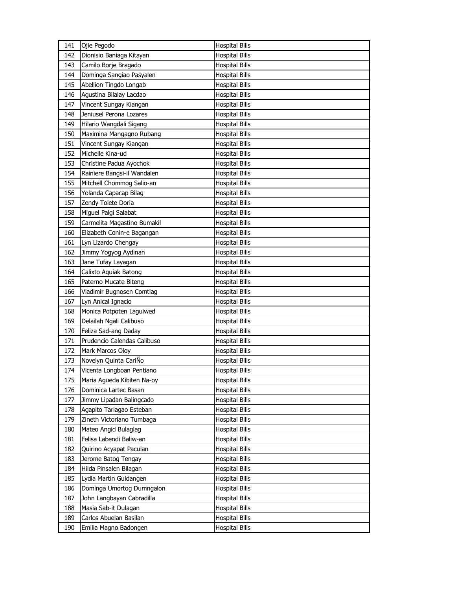| 141 | Ojie Pegodo                 | <b>Hospital Bills</b> |
|-----|-----------------------------|-----------------------|
| 142 | Dionisio Baniaga Kitayan    | <b>Hospital Bills</b> |
| 143 | Camilo Borje Bragado        | <b>Hospital Bills</b> |
| 144 | Dominga Sangiao Pasyalen    | <b>Hospital Bills</b> |
| 145 | Abellion Tingdo Longab      | <b>Hospital Bills</b> |
| 146 | Agustina Bilalay Lacdao     | <b>Hospital Bills</b> |
| 147 | Vincent Sungay Kiangan      | <b>Hospital Bills</b> |
| 148 | Jeniusel Perona Lozares     | <b>Hospital Bills</b> |
| 149 | Hilario Wangdali Sigang     | <b>Hospital Bills</b> |
| 150 | Maximina Mangagno Rubang    | <b>Hospital Bills</b> |
| 151 | Vincent Sungay Kiangan      | <b>Hospital Bills</b> |
| 152 | Michelle Kina-ud            | <b>Hospital Bills</b> |
| 153 | Christine Padua Ayochok     | <b>Hospital Bills</b> |
| 154 | Rainiere Bangsi-il Wandalen | <b>Hospital Bills</b> |
| 155 | Mitchell Chommog Salio-an   | <b>Hospital Bills</b> |
| 156 | Yolanda Capacap Bilag       | <b>Hospital Bills</b> |
| 157 | Zendy Tolete Doria          | <b>Hospital Bills</b> |
| 158 | Miguel Palgi Salabat        | <b>Hospital Bills</b> |
| 159 | Carmelita Magastino Bumakil | <b>Hospital Bills</b> |
| 160 | Elizabeth Conin-e Bagangan  | <b>Hospital Bills</b> |
| 161 | Lyn Lizardo Chengay         | <b>Hospital Bills</b> |
| 162 | Jimmy Yogyog Aydinan        | <b>Hospital Bills</b> |
| 163 | Jane Tufay Layagan          | <b>Hospital Bills</b> |
| 164 | Calixto Aquiak Batong       | <b>Hospital Bills</b> |
| 165 | Paterno Mucate Biteng       | <b>Hospital Bills</b> |
| 166 | Vladimir Bugnosen Comtiag   | <b>Hospital Bills</b> |
|     |                             |                       |
| 167 | Lyn Anical Ignacio          | <b>Hospital Bills</b> |
| 168 | Monica Potpoten Laguiwed    | <b>Hospital Bills</b> |
| 169 | Delailah Ngali Calibuso     | <b>Hospital Bills</b> |
| 170 | Feliza Sad-ang Daday        | <b>Hospital Bills</b> |
| 171 | Prudencio Calendas Calibuso | Hospital Bills        |
| 172 | Mark Marcos Oloy            | <b>Hospital Bills</b> |
| 173 | Novelyn Quinta CariÑo       | <b>Hospital Bills</b> |
| 174 | Vicenta Longboan Pentiano   | <b>Hospital Bills</b> |
| 175 | Maria Agueda Kibiten Na-oy  | <b>Hospital Bills</b> |
| 176 | Dominica Lartec Basan       | <b>Hospital Bills</b> |
| 177 | Jimmy Lipadan Balingcado    | <b>Hospital Bills</b> |
| 178 | Agapito Tariagao Esteban    | <b>Hospital Bills</b> |
| 179 | Zineth Victoriano Tumbaga   | <b>Hospital Bills</b> |
| 180 | Mateo Angid Bulaglag        | <b>Hospital Bills</b> |
| 181 | Felisa Labendi Baliw-an     | <b>Hospital Bills</b> |
| 182 | Quirino Acyapat Paculan     | <b>Hospital Bills</b> |
| 183 | Jerome Batog Tengay         | <b>Hospital Bills</b> |
| 184 | Hilda Pinsalen Bilagan      | <b>Hospital Bills</b> |
| 185 | Lydia Martin Guidangen      | <b>Hospital Bills</b> |
| 186 | Dominga Umortog Dumngalon   | <b>Hospital Bills</b> |
| 187 | John Langbayan Cabradilla   | <b>Hospital Bills</b> |
| 188 | Masia Sab-it Dulagan        | <b>Hospital Bills</b> |
| 189 | Carlos Abuelan Basilan      | <b>Hospital Bills</b> |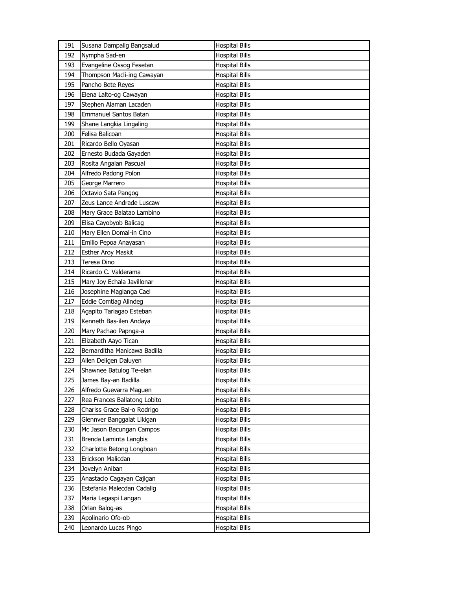| 191 | Susana Dampalig Bangsalud    | <b>Hospital Bills</b> |
|-----|------------------------------|-----------------------|
| 192 | Nympha Sad-en                | <b>Hospital Bills</b> |
| 193 | Evangeline Ossog Fesetan     | <b>Hospital Bills</b> |
| 194 | Thompson Macli-ing Cawayan   | <b>Hospital Bills</b> |
| 195 | Pancho Bete Reyes            | <b>Hospital Bills</b> |
| 196 | Elena Lalto-og Cawayan       | <b>Hospital Bills</b> |
| 197 | Stephen Alaman Lacaden       | <b>Hospital Bills</b> |
| 198 | <b>Emmanuel Santos Batan</b> | <b>Hospital Bills</b> |
| 199 | Shane Langkia Lingaling      | <b>Hospital Bills</b> |
| 200 | Felisa Balicoan              | <b>Hospital Bills</b> |
| 201 | Ricardo Bello Oyasan         | <b>Hospital Bills</b> |
| 202 | Ernesto Budada Gayaden       | <b>Hospital Bills</b> |
| 203 | Rosita Angalan Pascual       | Hospital Bills        |
| 204 | Alfredo Padong Polon         | <b>Hospital Bills</b> |
| 205 | George Marrero               | <b>Hospital Bills</b> |
| 206 | Octavio Sata Pangog          | <b>Hospital Bills</b> |
| 207 | Zeus Lance Andrade Luscaw    | <b>Hospital Bills</b> |
| 208 | Mary Grace Balatao Lambino   | <b>Hospital Bills</b> |
| 209 | Elisa Cayobyob Balicag       | <b>Hospital Bills</b> |
| 210 | Mary Ellen Domal-in Cino     | <b>Hospital Bills</b> |
| 211 | Emilio Pepoa Anayasan        | <b>Hospital Bills</b> |
| 212 | <b>Esther Aroy Maskit</b>    | <b>Hospital Bills</b> |
| 213 | Teresa Dino                  | Hospital Bills        |
| 214 | Ricardo C. Valderama         | <b>Hospital Bills</b> |
| 215 | Mary Joy Echala Javillonar   | <b>Hospital Bills</b> |
| 216 | Josephine Maglanga Cael      | <b>Hospital Bills</b> |
| 217 | <b>Eddie Comtiag Alindeg</b> | <b>Hospital Bills</b> |
| 218 | Agapito Tariagao Esteban     | <b>Hospital Bills</b> |
| 219 | Kenneth Bas-ilen Andaya      | <b>Hospital Bills</b> |
| 220 | Mary Pachao Papnga-a         | <b>Hospital Bills</b> |
| 221 | Elizabeth Aayo Tican         | <b>Hospital Bills</b> |
| 222 | Bernarditha Manicawa Badilla | <b>Hospital Bills</b> |
| 223 | Allen Deligen Daluyen        | <b>Hospital Bills</b> |
| 224 | Shawnee Batulog Te-elan      | <b>Hospital Bills</b> |
| 225 | James Bay-an Badilla         | <b>Hospital Bills</b> |
| 226 | Alfredo Guevarra Maguen      | <b>Hospital Bills</b> |
| 227 | Rea Frances Ballatong Lobito | <b>Hospital Bills</b> |
| 228 | Chariss Grace Bal-o Rodrigo  | <b>Hospital Bills</b> |
| 229 | Glennver Banggalat Likigan   | <b>Hospital Bills</b> |
| 230 | Mc Jason Bacungan Campos     | <b>Hospital Bills</b> |
| 231 | Brenda Laminta Langbis       | <b>Hospital Bills</b> |
| 232 | Charlotte Betong Longboan    | <b>Hospital Bills</b> |
| 233 | Erickson Malicdan            | <b>Hospital Bills</b> |
| 234 | Jovelyn Aniban               | <b>Hospital Bills</b> |
| 235 | Anastacio Cagayan Cajigan    | <b>Hospital Bills</b> |
| 236 | Estefania Malecdan Cadalig   | <b>Hospital Bills</b> |
| 237 | Maria Legaspi Langan         | <b>Hospital Bills</b> |
| 238 | Orlan Balog-as               | <b>Hospital Bills</b> |
| 239 | Apolinario Ofo-ob            | <b>Hospital Bills</b> |
| 240 | Leonardo Lucas Pingo         | <b>Hospital Bills</b> |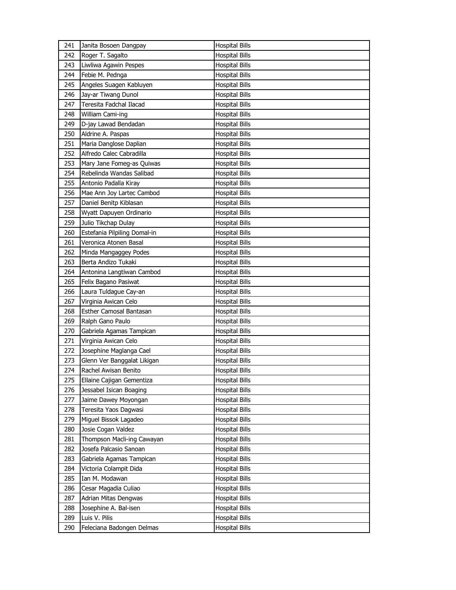| 241 | Janita Bosoen Dangpay        | <b>Hospital Bills</b> |
|-----|------------------------------|-----------------------|
| 242 | Roger T. Sagalto             | <b>Hospital Bills</b> |
| 243 | Liwliwa Agawin Pespes        | <b>Hospital Bills</b> |
| 244 | Febie M. Pednga              | <b>Hospital Bills</b> |
| 245 | Angeles Suagen Kabluyen      | <b>Hospital Bills</b> |
| 246 | Jay-ar Tiwang Dunol          | <b>Hospital Bills</b> |
| 247 | Teresita Fadchal Ilacad      | <b>Hospital Bills</b> |
| 248 | William Cami-ing             | <b>Hospital Bills</b> |
| 249 | D-jay Lawad Bendadan         | <b>Hospital Bills</b> |
| 250 | Aldrine A. Paspas            | <b>Hospital Bills</b> |
| 251 | Maria Danglose Daplian       | <b>Hospital Bills</b> |
| 252 | Alfredo Calec Cabradilla     | <b>Hospital Bills</b> |
| 253 | Mary Jane Fomeg-as Quiwas    | <b>Hospital Bills</b> |
| 254 | Rebelinda Wandas Salibad     | <b>Hospital Bills</b> |
| 255 | Antonio Padalla Kiray        | <b>Hospital Bills</b> |
| 256 | Mae Ann Joy Lartec Cambod    | <b>Hospital Bills</b> |
| 257 | Daniel Benitp Kiblasan       | Hospital Bills        |
| 258 | Wyatt Dapuyen Ordinario      | <b>Hospital Bills</b> |
| 259 | Julio Tikchap Dulay          | <b>Hospital Bills</b> |
| 260 | Estefania Pilpiling Domal-in | <b>Hospital Bills</b> |
| 261 | Veronica Atonen Basal        | <b>Hospital Bills</b> |
| 262 | Minda Mangaggey Podes        | <b>Hospital Bills</b> |
| 263 | Berta Andizo Tukaki          | <b>Hospital Bills</b> |
| 264 | Antonina Langtiwan Cambod    | <b>Hospital Bills</b> |
| 265 | Felix Bagano Pasiwat         | <b>Hospital Bills</b> |
| 266 | Laura Tuldague Cay-an        | <b>Hospital Bills</b> |
|     |                              |                       |
| 267 | Virginia Awican Celo         | Hospital Bills        |
| 268 | Esther Camosal Bantasan      | <b>Hospital Bills</b> |
| 269 | Ralph Gano Paulo             | <b>Hospital Bills</b> |
| 270 | Gabriela Agamas Tampican     | <b>Hospital Bills</b> |
| 271 | Virginia Awican Celo         | <b>Hospital Bills</b> |
| 272 | Josephine Maglanga Cael      | <b>Hospital Bills</b> |
| 273 | Glenn Ver Banggalat Likigan  | <b>Hospital Bills</b> |
| 274 | Rachel Awisan Benito         | <b>Hospital Bills</b> |
| 275 | Ellaine Cajigan Gementiza    | <b>Hospital Bills</b> |
| 276 | Jessabel Isican Boaging      | <b>Hospital Bills</b> |
| 277 | Jaime Dawey Moyongan         | <b>Hospital Bills</b> |
| 278 | Teresita Yaos Dagwasi        | <b>Hospital Bills</b> |
| 279 | Miguel Bissok Lagadeo        | <b>Hospital Bills</b> |
| 280 | Josie Cogan Valdez           | <b>Hospital Bills</b> |
| 281 | Thompson Macli-ing Cawayan   | <b>Hospital Bills</b> |
| 282 | Josefa Palcasio Sanoan       | <b>Hospital Bills</b> |
| 283 | Gabriela Agamas Tampican     | <b>Hospital Bills</b> |
| 284 | Victoria Colampit Dida       | <b>Hospital Bills</b> |
| 285 | Ian M. Modawan               | <b>Hospital Bills</b> |
| 286 | Cesar Magadia Culiao         | <b>Hospital Bills</b> |
| 287 | Adrian Mitas Dengwas         | <b>Hospital Bills</b> |
| 288 | Josephine A. Bal-isen        | <b>Hospital Bills</b> |
| 289 | Luis V. Pilis                | <b>Hospital Bills</b> |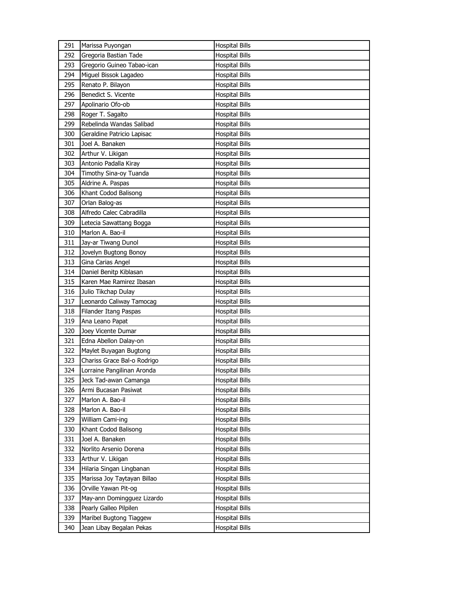| 291 | Marissa Puyongan            | <b>Hospital Bills</b> |
|-----|-----------------------------|-----------------------|
| 292 | Gregoria Bastian Tade       | <b>Hospital Bills</b> |
| 293 | Gregorio Guineo Tabao-ican  | <b>Hospital Bills</b> |
| 294 | Miguel Bissok Lagadeo       | <b>Hospital Bills</b> |
| 295 | Renato P. Bilayon           | <b>Hospital Bills</b> |
| 296 | Benedict S. Vicente         | <b>Hospital Bills</b> |
| 297 | Apolinario Ofo-ob           | <b>Hospital Bills</b> |
| 298 | Roger T. Sagalto            | <b>Hospital Bills</b> |
| 299 | Rebelinda Wandas Salibad    | <b>Hospital Bills</b> |
| 300 | Geraldine Patricio Lapisac  | <b>Hospital Bills</b> |
| 301 | Joel A. Banaken             | <b>Hospital Bills</b> |
| 302 | Arthur V. Likigan           | <b>Hospital Bills</b> |
| 303 | Antonio Padalla Kiray       | <b>Hospital Bills</b> |
| 304 | Timothy Sina-oy Tuanda      | <b>Hospital Bills</b> |
| 305 | Aldrine A. Paspas           | <b>Hospital Bills</b> |
| 306 | Khant Codod Balisong        | <b>Hospital Bills</b> |
| 307 | Orlan Balog-as              | <b>Hospital Bills</b> |
| 308 | Alfredo Calec Cabradilla    | <b>Hospital Bills</b> |
| 309 | Letecia Sawattang Bogga     | <b>Hospital Bills</b> |
| 310 | Marlon A. Bao-il            | <b>Hospital Bills</b> |
| 311 | Jay-ar Tiwang Dunol         | <b>Hospital Bills</b> |
| 312 | Jovelyn Bugtong Bonoy       | <b>Hospital Bills</b> |
| 313 | Gina Carias Angel           | <b>Hospital Bills</b> |
| 314 | Daniel Benitp Kiblasan      | <b>Hospital Bills</b> |
| 315 | Karen Mae Ramirez Ibasan    | <b>Hospital Bills</b> |
|     | Julio Tikchap Dulay         | <b>Hospital Bills</b> |
| 316 |                             |                       |
| 317 | Leonardo Caliway Tamocag    | <b>Hospital Bills</b> |
| 318 | Filander Itang Paspas       | <b>Hospital Bills</b> |
| 319 | Ana Leano Papat             | <b>Hospital Bills</b> |
| 320 | Joey Vicente Dumar          | <b>Hospital Bills</b> |
| 321 | Edna Abellon Dalay-on       | <b>Hospital Bills</b> |
| 322 | Maylet Buyagan Bugtong      | <b>Hospital Bills</b> |
| 323 | Chariss Grace Bal-o Rodrigo | <b>Hospital Bills</b> |
| 324 | Lorraine Pangilinan Aronda  | <b>Hospital Bills</b> |
| 325 | Jeck Tad-awan Camanga       | <b>Hospital Bills</b> |
| 326 | Armi Bucasan Pasiwat        | <b>Hospital Bills</b> |
| 327 | Marlon A. Bao-il            | <b>Hospital Bills</b> |
| 328 | Marlon A. Bao-il            | <b>Hospital Bills</b> |
| 329 | William Cami-ing            | <b>Hospital Bills</b> |
| 330 | Khant Codod Balisong        | <b>Hospital Bills</b> |
| 331 | Joel A. Banaken             | <b>Hospital Bills</b> |
| 332 | Norlito Arsenio Dorena      | <b>Hospital Bills</b> |
| 333 | Arthur V. Likigan           | <b>Hospital Bills</b> |
| 334 | Hilaria Singan Lingbanan    | <b>Hospital Bills</b> |
| 335 | Marissa Joy Taytayan Billao | <b>Hospital Bills</b> |
| 336 | Orville Yawan Pit-og        | <b>Hospital Bills</b> |
| 337 | May-ann Domingguez Lizardo  | <b>Hospital Bills</b> |
| 338 | Pearly Galleo Pilpilen      | <b>Hospital Bills</b> |
| 339 | Maribel Bugtong Tiaggew     | Hospital Bills        |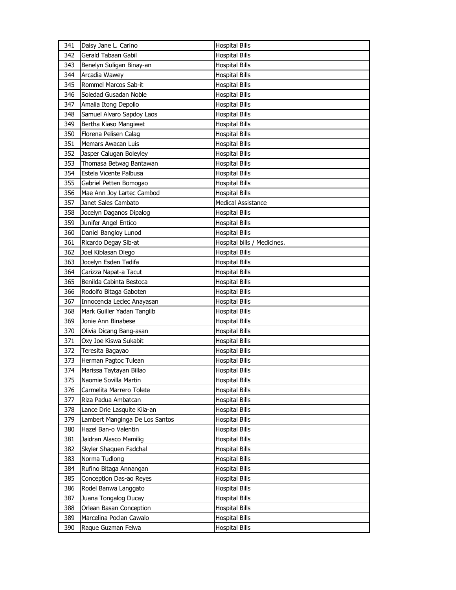| 341 | Daisy Jane L. Carino           | <b>Hospital Bills</b>       |
|-----|--------------------------------|-----------------------------|
| 342 | Gerald Tabaan Gabil            | <b>Hospital Bills</b>       |
| 343 | Benelyn Suligan Binay-an       | <b>Hospital Bills</b>       |
| 344 | Arcadia Wawey                  | <b>Hospital Bills</b>       |
| 345 | Rommel Marcos Sab-it           | <b>Hospital Bills</b>       |
| 346 | Soledad Gusadan Noble          | <b>Hospital Bills</b>       |
| 347 | Amalia Itong Depollo           | <b>Hospital Bills</b>       |
| 348 | Samuel Alvaro Sapdoy Laos      | <b>Hospital Bills</b>       |
| 349 | Bertha Kiaso Mangiwet          | <b>Hospital Bills</b>       |
| 350 | Florena Pelisen Calag          | <b>Hospital Bills</b>       |
| 351 | Memars Awacan Luis             | <b>Hospital Bills</b>       |
| 352 | Jasper Calugan Boleyley        | <b>Hospital Bills</b>       |
| 353 | Thomasa Betwag Bantawan        | Hospital Bills              |
| 354 | Estela Vicente Palbusa         | <b>Hospital Bills</b>       |
| 355 | Gabriel Petten Bomogao         | <b>Hospital Bills</b>       |
| 356 | Mae Ann Joy Lartec Cambod      | <b>Hospital Bills</b>       |
| 357 | Janet Sales Cambato            | <b>Medical Assistance</b>   |
| 358 | Jocelyn Daganos Dipalog        | <b>Hospital Bills</b>       |
| 359 | Junifer Angel Entico           | <b>Hospital Bills</b>       |
| 360 | Daniel Bangloy Lunod           | <b>Hospital Bills</b>       |
| 361 | Ricardo Degay Sib-at           | Hospital bills / Medicines. |
| 362 | Joel Kiblasan Diego            | <b>Hospital Bills</b>       |
| 363 | Jocelyn Esden Tadifa           | Hospital Bills              |
| 364 | Carizza Napat-a Tacut          | <b>Hospital Bills</b>       |
| 365 | Benilda Cabinta Bestoca        | <b>Hospital Bills</b>       |
| 366 | Rodolfo Bitaga Gaboten         | <b>Hospital Bills</b>       |
| 367 | Innocencia Leclec Anayasan     | <b>Hospital Bills</b>       |
| 368 | Mark Guiller Yadan Tanglib     | Hospital Bills              |
| 369 | Jonie Ann Binabese             | <b>Hospital Bills</b>       |
| 370 | Olivia Dicang Bang-asan        | <b>Hospital Bills</b>       |
| 371 | Oxy Joe Kiswa Sukabit          | <b>Hospital Bills</b>       |
| 372 | Teresita Bagayao               | Hospital Bills              |
| 373 | Herman Pagtoc Tulean           | Hospital Bills              |
| 374 | Marissa Taytayan Billao        | <b>Hospital Bills</b>       |
| 375 | Naomie Sovilla Martin          | <b>Hospital Bills</b>       |
| 376 | Carmelita Marrero Tolete       | <b>Hospital Bills</b>       |
| 377 | Riza Padua Ambatcan            | <b>Hospital Bills</b>       |
| 378 | Lance Drie Lasquite Kila-an    | <b>Hospital Bills</b>       |
| 379 | Lambert Manginga De Los Santos | <b>Hospital Bills</b>       |
| 380 | Hazel Ban-o Valentin           | <b>Hospital Bills</b>       |
| 381 | Jaidran Alasco Mamilig         | <b>Hospital Bills</b>       |
| 382 | Skyler Shaquen Fadchal         | <b>Hospital Bills</b>       |
| 383 | Norma Tudlong                  | <b>Hospital Bills</b>       |
| 384 | Rufino Bitaga Annangan         | <b>Hospital Bills</b>       |
| 385 | Conception Das-ao Reyes        | <b>Hospital Bills</b>       |
| 386 | Rodel Banwa Langgato           | <b>Hospital Bills</b>       |
| 387 | Juana Tongalog Ducay           | <b>Hospital Bills</b>       |
| 388 | Orlean Basan Conception        | <b>Hospital Bills</b>       |
| 389 | Marcelina Poclan Cawalo        | <b>Hospital Bills</b>       |
| 390 | Raque Guzman Felwa             | <b>Hospital Bills</b>       |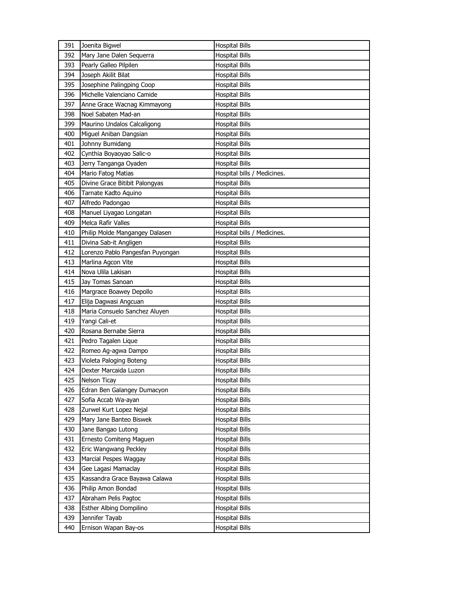| 391 | Joenita Bigwel                   | <b>Hospital Bills</b>       |
|-----|----------------------------------|-----------------------------|
| 392 | Mary Jane Dalen Sequerra         | <b>Hospital Bills</b>       |
| 393 | Pearly Galleo Pilpilen           | <b>Hospital Bills</b>       |
| 394 | Joseph Akilit Bilat              | <b>Hospital Bills</b>       |
| 395 | Josephine Palingping Coop        | <b>Hospital Bills</b>       |
| 396 | Michelle Valenciano Camide       | <b>Hospital Bills</b>       |
| 397 | Anne Grace Wacnag Kimmayong      | <b>Hospital Bills</b>       |
| 398 | Noel Sabaten Mad-an              | <b>Hospital Bills</b>       |
| 399 | Maurino Undalos Calcaligong      | <b>Hospital Bills</b>       |
| 400 | Miguel Aniban Dangsian           | <b>Hospital Bills</b>       |
| 401 | Johnny Bumidang                  | <b>Hospital Bills</b>       |
| 402 | Cynthia Boyaoyao Salic-o         | <b>Hospital Bills</b>       |
| 403 | Jerry Tanganga Oyaden            | <b>Hospital Bills</b>       |
| 404 | Mario Fatog Matias               | Hospital bills / Medicines. |
| 405 | Divine Grace Bitibit Palongyas   | <b>Hospital Bills</b>       |
| 406 | Tarnate Kadto Aquino             | <b>Hospital Bills</b>       |
| 407 | Alfredo Padongao                 | <b>Hospital Bills</b>       |
| 408 | Manuel Liyagao Longatan          | <b>Hospital Bills</b>       |
| 409 | Melca Rafir Valles               | <b>Hospital Bills</b>       |
| 410 | Philip Molde Mangangey Dalasen   | Hospital bills / Medicines. |
| 411 | Divina Sab-it Angligen           | <b>Hospital Bills</b>       |
| 412 | Lorenzo Pablo Pangesfan Puyongan | <b>Hospital Bills</b>       |
| 413 | Marlina Agcon Vite               | <b>Hospital Bills</b>       |
| 414 | Nova Ulila Lakisan               | <b>Hospital Bills</b>       |
| 415 | Jay Tomas Sanoan                 | <b>Hospital Bills</b>       |
| 416 | Margrace Boawey Depollo          | <b>Hospital Bills</b>       |
| 417 | Elija Dagwasi Angcuan            | <b>Hospital Bills</b>       |
| 418 | Maria Consuelo Sanchez Aluyen    | <b>Hospital Bills</b>       |
| 419 | Yangi Cali-et                    | <b>Hospital Bills</b>       |
| 420 | Rosana Bernabe Sierra            | <b>Hospital Bills</b>       |
| 421 | Pedro Tagalen Lique              | Hospital Bills              |
| 422 | Romeo Ag-agwa Dampo              | <b>Hospital Bills</b>       |
| 423 | Violeta Paloging Boteng          | <b>Hospital Bills</b>       |
| 424 | Dexter Marcaida Luzon            | <b>Hospital Bills</b>       |
| 425 | Nelson Ticay                     | <b>Hospital Bills</b>       |
| 426 | Edran Ben Galangey Dumacyon      | <b>Hospital Bills</b>       |
| 427 | Sofia Accab Wa-ayan              | <b>Hospital Bills</b>       |
| 428 | Zurwel Kurt Lopez Nejal          | <b>Hospital Bills</b>       |
| 429 | Mary Jane Banteo Biswek          | <b>Hospital Bills</b>       |
| 430 | Jane Bangao Lutong               | <b>Hospital Bills</b>       |
| 431 | Ernesto Comiteng Maguen          | <b>Hospital Bills</b>       |
| 432 | Eric Wangwang Peckley            | <b>Hospital Bills</b>       |
| 433 | Marcial Pespes Waggay            | <b>Hospital Bills</b>       |
| 434 | Gee Lagasi Mamaclay              | <b>Hospital Bills</b>       |
| 435 | Kassandra Grace Bayawa Calawa    | <b>Hospital Bills</b>       |
| 436 | Philip Amon Bondad               | <b>Hospital Bills</b>       |
| 437 | Abraham Pelis Pagtoc             | <b>Hospital Bills</b>       |
|     |                                  |                             |
| 438 | Esther Albing Dompilino          | <b>Hospital Bills</b>       |
| 439 | Jennifer Tayab                   | <b>Hospital Bills</b>       |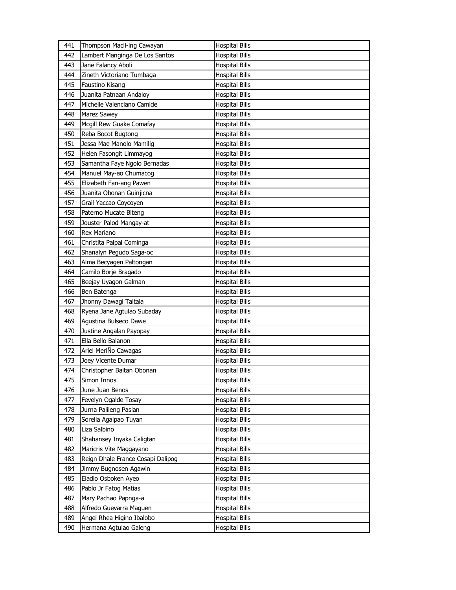| 441 | Thompson Macli-ing Cawayan        | <b>Hospital Bills</b> |
|-----|-----------------------------------|-----------------------|
| 442 | Lambert Manginga De Los Santos    | <b>Hospital Bills</b> |
| 443 | Jane Falancy Aboli                | <b>Hospital Bills</b> |
| 444 | Zineth Victoriano Tumbaga         | <b>Hospital Bills</b> |
| 445 | Faustino Kisang                   | <b>Hospital Bills</b> |
| 446 | Juanita Patnaan Andaloy           | <b>Hospital Bills</b> |
| 447 | Michelle Valenciano Camide        | <b>Hospital Bills</b> |
| 448 | Marez Sawey                       | <b>Hospital Bills</b> |
| 449 | Mcgill Rew Guake Comafay          | <b>Hospital Bills</b> |
| 450 | Reba Bocot Bugtong                | <b>Hospital Bills</b> |
| 451 | Jessa Mae Manolo Mamilig          | <b>Hospital Bills</b> |
| 452 | Helen Fasongit Limmayog           | <b>Hospital Bills</b> |
| 453 | Samantha Faye Ngolo Bernadas      | <b>Hospital Bills</b> |
| 454 | Manuel May-ao Chumacog            | <b>Hospital Bills</b> |
| 455 | Elizabeth Fan-ang Pawen           | <b>Hospital Bills</b> |
| 456 | Juanita Obonan Guinjicna          | <b>Hospital Bills</b> |
| 457 | Grail Yaccao Coycoyen             | <b>Hospital Bills</b> |
| 458 | Paterno Mucate Biteng             | <b>Hospital Bills</b> |
| 459 | Jouster Palod Mangay-at           | <b>Hospital Bills</b> |
| 460 | Rex Mariano                       | <b>Hospital Bills</b> |
| 461 | Christita Palpal Cominga          | <b>Hospital Bills</b> |
| 462 | Shanalyn Pegudo Saga-oc           | <b>Hospital Bills</b> |
| 463 | Alma Becyagen Paltongan           | <b>Hospital Bills</b> |
| 464 | Camilo Borje Bragado              | <b>Hospital Bills</b> |
| 465 | Beejay Uyagon Galman              | <b>Hospital Bills</b> |
|     |                                   |                       |
| 466 | Ben Batenga                       | <b>Hospital Bills</b> |
| 467 | Jhonny Dawagi Taltala             | <b>Hospital Bills</b> |
| 468 | Ryena Jane Agtulao Subaday        | <b>Hospital Bills</b> |
| 469 | Aqustina Bulseco Dawe             | <b>Hospital Bills</b> |
| 470 | Justine Angalan Payopay           | <b>Hospital Bills</b> |
| 471 | Ella Bello Balanon                | <b>Hospital Bills</b> |
| 472 | Ariel MeriÑo Cawagas              | <b>Hospital Bills</b> |
| 473 | Joey Vicente Dumar                | <b>Hospital Bills</b> |
| 474 | Christopher Baitan Obonan         | <b>Hospital Bills</b> |
| 475 | Simon Innos                       | <b>Hospital Bills</b> |
| 476 | June Juan Benos                   | <b>Hospital Bills</b> |
| 477 | Fevelyn Ogalde Tosay              | <b>Hospital Bills</b> |
| 478 | Jurna Palileng Pasian             | <b>Hospital Bills</b> |
| 479 | Sorella Agalpao Tuyan             | <b>Hospital Bills</b> |
| 480 | Liza Salbino                      | <b>Hospital Bills</b> |
| 481 | Shahansey Inyaka Caligtan         | <b>Hospital Bills</b> |
| 482 | Maricris Vite Maggayano           | <b>Hospital Bills</b> |
| 483 | Reign Dhale France Cosapi Dalipog | <b>Hospital Bills</b> |
| 484 | Jimmy Bugnosen Agawin             | <b>Hospital Bills</b> |
| 485 | Eladio Osboken Ayeo               | <b>Hospital Bills</b> |
| 486 | Pablo Jr Fatog Matias             | <b>Hospital Bills</b> |
| 487 | Mary Pachao Papnga-a              | <b>Hospital Bills</b> |
| 488 | Alfredo Guevarra Maguen           | <b>Hospital Bills</b> |
| 489 | Angel Rhea Higino Ibalobo         | <b>Hospital Bills</b> |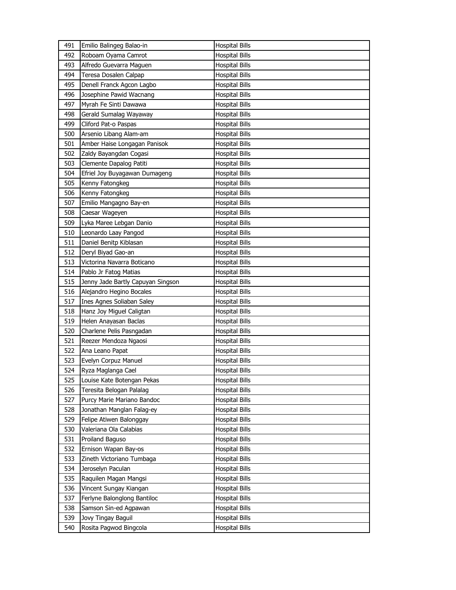| 491 | Emilio Balingeg Balao-in          | <b>Hospital Bills</b> |
|-----|-----------------------------------|-----------------------|
| 492 | Roboam Oyama Camrot               | <b>Hospital Bills</b> |
| 493 | Alfredo Guevarra Maguen           | <b>Hospital Bills</b> |
| 494 | Teresa Dosalen Calpap             | <b>Hospital Bills</b> |
| 495 | Denell Franck Agcon Lagbo         | <b>Hospital Bills</b> |
| 496 | Josephine Pawid Wacnang           | <b>Hospital Bills</b> |
| 497 | Myrah Fe Sinti Dawawa             | <b>Hospital Bills</b> |
| 498 | Gerald Sumalag Wayaway            | <b>Hospital Bills</b> |
| 499 | Cliford Pat-o Paspas              | <b>Hospital Bills</b> |
| 500 | Arsenio Libang Alam-am            | <b>Hospital Bills</b> |
| 501 | Amber Haise Longagan Panisok      | <b>Hospital Bills</b> |
| 502 | Zaldy Bayangdan Cogasi            | <b>Hospital Bills</b> |
| 503 | Clemente Dapalog Patiti           | <b>Hospital Bills</b> |
| 504 | Efriel Joy Buyagawan Dumageng     | <b>Hospital Bills</b> |
| 505 | Kenny Fatongkeg                   | <b>Hospital Bills</b> |
| 506 | Kenny Fatongkeg                   | <b>Hospital Bills</b> |
| 507 | Emilio Mangagno Bay-en            | <b>Hospital Bills</b> |
| 508 | Caesar Wageyen                    | <b>Hospital Bills</b> |
| 509 | Lyka Maree Lebgan Danio           | <b>Hospital Bills</b> |
| 510 | Leonardo Laay Pangod              | <b>Hospital Bills</b> |
| 511 | Daniel Benitp Kiblasan            | <b>Hospital Bills</b> |
| 512 | Deryl Biyad Gao-an                | <b>Hospital Bills</b> |
| 513 | Victorina Navarra Boticano        | Hospital Bills        |
| 514 | Pablo Jr Fatog Matias             | <b>Hospital Bills</b> |
| 515 | Jenny Jade Bartly Capuyan Singson | <b>Hospital Bills</b> |
| 516 | Alejandro Hegino Bocales          | <b>Hospital Bills</b> |
| 517 | Ines Agnes Soliaban Saley         | <b>Hospital Bills</b> |
| 518 | Hanz Joy Miguel Caligtan          | Hospital Bills        |
| 519 | Helen Anayasan Baclas             | <b>Hospital Bills</b> |
| 520 | Charlene Pelis Pasngadan          | <b>Hospital Bills</b> |
| 521 | Reezer Mendoza Ngaosi             | <b>Hospital Bills</b> |
| 522 | Ana Leano Papat                   | <b>Hospital Bills</b> |
| 523 | Evelyn Corpuz Manuel              | <b>Hospital Bills</b> |
| 524 | Ryza Maglanga Cael                | <b>Hospital Bills</b> |
| 525 | Louise Kate Botengan Pekas        | <b>Hospital Bills</b> |
| 526 | Teresita Belogan Palalag          | <b>Hospital Bills</b> |
| 527 | Purcy Marie Mariano Bandoc        | <b>Hospital Bills</b> |
| 528 | Jonathan Manglan Falag-ey         | <b>Hospital Bills</b> |
| 529 | Felipe Atiwen Balonggay           | <b>Hospital Bills</b> |
| 530 | Valeriana Ola Calabias            | <b>Hospital Bills</b> |
| 531 | Proiland Baguso                   | <b>Hospital Bills</b> |
| 532 | Ernison Wapan Bay-os              | <b>Hospital Bills</b> |
| 533 | Zineth Victoriano Tumbaga         | <b>Hospital Bills</b> |
| 534 | Jeroselyn Paculan                 | <b>Hospital Bills</b> |
| 535 | Raquilen Magan Mangsi             | <b>Hospital Bills</b> |
| 536 | Vincent Sungay Kiangan            | <b>Hospital Bills</b> |
| 537 | Ferlyne Balonglong Bantiloc       | <b>Hospital Bills</b> |
| 538 | Samson Sin-ed Agpawan             | <b>Hospital Bills</b> |
| 539 | Jovy Tingay Baguil                | <b>Hospital Bills</b> |
| 540 | Rosita Pagwod Bingcola            | <b>Hospital Bills</b> |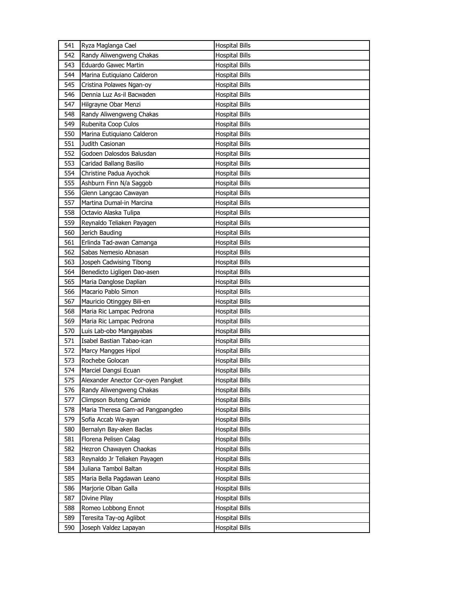| 541 | Ryza Maglanga Cael                 | <b>Hospital Bills</b> |
|-----|------------------------------------|-----------------------|
| 542 | Randy Aliwengweng Chakas           | <b>Hospital Bills</b> |
| 543 | Eduardo Gawec Martin               | <b>Hospital Bills</b> |
| 544 | Marina Eutiquiano Calderon         | <b>Hospital Bills</b> |
| 545 | Cristina Polawes Ngan-oy           | <b>Hospital Bills</b> |
| 546 | Dennia Luz As-il Bacwaden          | <b>Hospital Bills</b> |
| 547 | Hilgrayne Obar Menzi               | <b>Hospital Bills</b> |
| 548 | Randy Aliwengweng Chakas           | <b>Hospital Bills</b> |
| 549 | Rubenita Coop Culos                | <b>Hospital Bills</b> |
| 550 | Marina Eutiquiano Calderon         | <b>Hospital Bills</b> |
| 551 | Judith Casionan                    | <b>Hospital Bills</b> |
| 552 | Godoen Dalosdos Balusdan           | <b>Hospital Bills</b> |
| 553 | Caridad Ballang Basilio            | <b>Hospital Bills</b> |
| 554 | Christine Padua Ayochok            | <b>Hospital Bills</b> |
| 555 | Ashburn Finn N/a Saggob            | <b>Hospital Bills</b> |
| 556 | Glenn Langcao Cawayan              | <b>Hospital Bills</b> |
| 557 | Martina Dumal-in Marcina           | <b>Hospital Bills</b> |
| 558 | Octavio Alaska Tulipa              | <b>Hospital Bills</b> |
| 559 | Reynaldo Teliaken Payagen          | <b>Hospital Bills</b> |
| 560 | Jerich Bauding                     | <b>Hospital Bills</b> |
| 561 | Erlinda Tad-awan Camanga           | <b>Hospital Bills</b> |
| 562 | Sabas Nemesio Abnasan              | <b>Hospital Bills</b> |
| 563 | Jospeh Cadwising Tibong            | <b>Hospital Bills</b> |
| 564 | Benedicto Ligligen Dao-asen        | <b>Hospital Bills</b> |
| 565 | Maria Danglose Daplian             | <b>Hospital Bills</b> |
|     |                                    |                       |
| 566 | Macario Pablo Simon                | <b>Hospital Bills</b> |
| 567 | Mauricio Otinggey Bili-en          | <b>Hospital Bills</b> |
| 568 | Maria Ric Lampac Pedrona           | <b>Hospital Bills</b> |
| 569 | Maria Ric Lampac Pedrona           | <b>Hospital Bills</b> |
| 570 | Luis Lab-obo Mangayabas            | <b>Hospital Bills</b> |
| 571 | Isabel Bastian Tabao-ican          | <b>Hospital Bills</b> |
| 572 | Marcy Mangges Hipol                | <b>Hospital Bills</b> |
| 573 | Rochebe Golocan                    | <b>Hospital Bills</b> |
| 574 | Marciel Dangsi Ecuan               | <b>Hospital Bills</b> |
| 575 | Alexander Anector Cor-oyen Pangket | <b>Hospital Bills</b> |
| 576 | Randy Aliwengweng Chakas           | <b>Hospital Bills</b> |
| 577 | Climpson Buteng Camide             | <b>Hospital Bills</b> |
| 578 | Maria Theresa Gam-ad Pangpangdeo   | <b>Hospital Bills</b> |
| 579 | Sofia Accab Wa-ayan                | Hospital Bills        |
| 580 | Bernalyn Bay-aken Baclas           | <b>Hospital Bills</b> |
| 581 | Florena Pelisen Calag              | <b>Hospital Bills</b> |
| 582 | Hezron Chawayen Chaokas            | <b>Hospital Bills</b> |
| 583 | Reynaldo Jr Teliaken Payagen       | <b>Hospital Bills</b> |
| 584 | Juliana Tambol Baltan              | <b>Hospital Bills</b> |
| 585 | Maria Bella Pagdawan Leano         | <b>Hospital Bills</b> |
| 586 | Marjorie Olban Galla               | Hospital Bills        |
| 587 | Divine Pilay                       | <b>Hospital Bills</b> |
| 588 | Romeo Lobbong Ennot                | <b>Hospital Bills</b> |
| 589 | Teresita Tay-og Aglibot            | Hospital Bills        |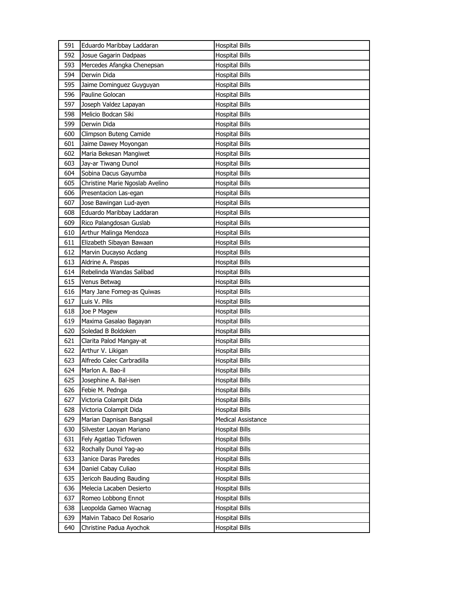| 591 | Eduardo Maribbay Laddaran       | <b>Hospital Bills</b> |
|-----|---------------------------------|-----------------------|
| 592 | Josue Gagarin Dadpaas           | <b>Hospital Bills</b> |
| 593 | Mercedes Afangka Chenepsan      | <b>Hospital Bills</b> |
| 594 | Derwin Dida                     | <b>Hospital Bills</b> |
| 595 | Jaime Dominguez Guyguyan        | <b>Hospital Bills</b> |
| 596 | Pauline Golocan                 | <b>Hospital Bills</b> |
| 597 | Joseph Valdez Lapayan           | <b>Hospital Bills</b> |
| 598 | Melicio Bodcan Siki             | <b>Hospital Bills</b> |
| 599 | Derwin Dida                     | <b>Hospital Bills</b> |
| 600 | Climpson Buteng Camide          | <b>Hospital Bills</b> |
| 601 | Jaime Dawey Moyongan            | <b>Hospital Bills</b> |
| 602 | Maria Bekesan Mangiwet          | <b>Hospital Bills</b> |
| 603 | Jay-ar Tiwang Dunol             | Hospital Bills        |
| 604 | Sobina Dacus Gayumba            | <b>Hospital Bills</b> |
| 605 | Christine Marie Ngoslab Avelino | <b>Hospital Bills</b> |
| 606 | Presentacion Las-egan           | <b>Hospital Bills</b> |
| 607 | Jose Bawingan Lud-ayen          | <b>Hospital Bills</b> |
| 608 | Eduardo Maribbay Laddaran       | <b>Hospital Bills</b> |
| 609 | Rico Palangdosan Guslab         | <b>Hospital Bills</b> |
| 610 | Arthur Malinga Mendoza          | <b>Hospital Bills</b> |
| 611 | Elizabeth Sibayan Bawaan        | <b>Hospital Bills</b> |
| 612 | Marvin Ducayso Acdang           | <b>Hospital Bills</b> |
| 613 | Aldrine A. Paspas               | Hospital Bills        |
| 614 | Rebelinda Wandas Salibad        | <b>Hospital Bills</b> |
| 615 | Venus Betwag                    | <b>Hospital Bills</b> |
| 616 | Mary Jane Fomeg-as Quiwas       | Hospital Bills        |
| 617 | Luis V. Pilis                   | <b>Hospital Bills</b> |
| 618 | Joe P Magew                     | Hospital Bills        |
| 619 | Maxima Gasalao Bagayan          | <b>Hospital Bills</b> |
| 620 | Soledad B Boldoken              | <b>Hospital Bills</b> |
| 621 | Clarita Palod Mangay-at         | <b>Hospital Bills</b> |
| 622 | Arthur V. Likigan               | Hospital Bills        |
| 623 | Alfredo Calec Carbradilla       | Hospital Bills        |
| 624 | Marlon A. Bao-il                | <b>Hospital Bills</b> |
| 625 | Josephine A. Bal-isen           | <b>Hospital Bills</b> |
| 626 | Febie M. Pednga                 | <b>Hospital Bills</b> |
| 627 | Victoria Colampit Dida          | Hospital Bills        |
| 628 | Victoria Colampit Dida          | <b>Hospital Bills</b> |
| 629 | Marian Dapnisan Bangsail        | Medical Assistance    |
| 630 | Silvester Laoyan Mariano        | <b>Hospital Bills</b> |
| 631 | Fely Agatlao Ticfowen           | <b>Hospital Bills</b> |
| 632 | Rochally Dunol Yag-ao           | <b>Hospital Bills</b> |
| 633 | Janice Daras Paredes            | Hospital Bills        |
| 634 | Daniel Cabay Culiao             | <b>Hospital Bills</b> |
| 635 | Jericoh Bauding Bauding         | <b>Hospital Bills</b> |
| 636 | Melecia Lacaben Desierto        | <b>Hospital Bills</b> |
| 637 | Romeo Lobbong Ennot             | <b>Hospital Bills</b> |
| 638 | Leopolda Gameo Wacnag           | <b>Hospital Bills</b> |
| 639 | Malvin Tabaco Del Rosario       | Hospital Bills        |
| 640 | Christine Padua Ayochok         | <b>Hospital Bills</b> |
|     |                                 |                       |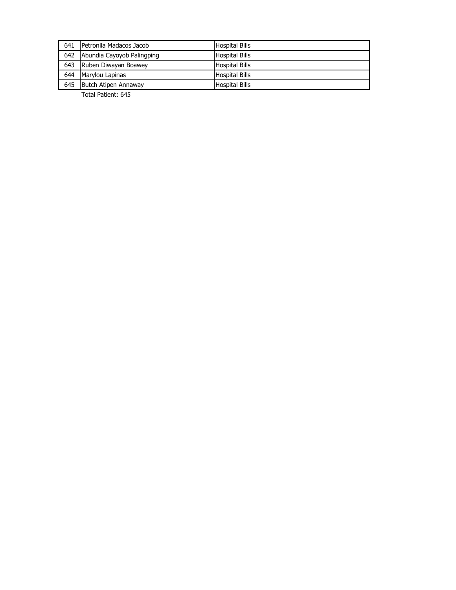| 641 | <b>I</b> Petronila Madacos Jacob | <b>Hospital Bills</b> |
|-----|----------------------------------|-----------------------|
| 642 | Abundia Cayoyob Palingping       | <b>Hospital Bills</b> |
| 643 | Ruben Diwayan Boawey             | <b>Hospital Bills</b> |
| 644 | Marylou Lapinas                  | <b>Hospital Bills</b> |
| 645 | Butch Atipen Annaway             | <b>Hospital Bills</b> |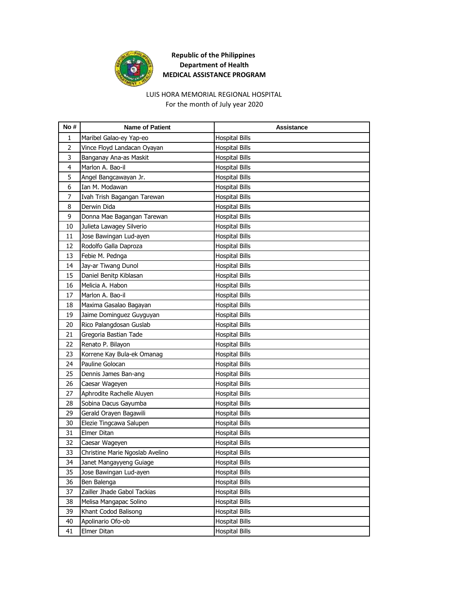

#### LUIS HORA MEMORIAL REGIONAL HOSPITAL For the month of July year 2020

**No # Name of Patient Assistance** 1 | Maribel Galao-ey Yap-eo | Hospital Bills 2 Vince Floyd Landacan Oyayan Hospital Bills 3 Banganay Ana-as Maskit Hospital Bills 4 | Marlon A. Bao-il **Hospital Bills** 5 Angel Bangcawayan Jr. Hospital Bills 6 Ian M. Modawan **Hospital Bills** 7 Ivah Trish Bagangan Tarewan Hospital Bills 8 Derwin Dida **Hospital Bills** 9 Donna Mae Bagangan Tarewan Hospital Bills 10 Julieta Lawagey Silverio **Hospital Bills** 11 Jose Bawingan Lud-ayen **Hospital Bills** 12 Rodolfo Galla Daproza Hospital Bills 13 Febie M. Pednga **Hospital Bills** 14 Jay-ar Tiwang Dunol **Hospital Bills** 15 Daniel Benitp Kiblasan Hospital Bills 16 Melicia A. Habon **Hospital Bills** 17 Marlon A. Bao-il **Hospital Bills** 18 Maxima Gasalao Bagayan **Hospital Bills** 19 Jaime Dominguez Guyguyan Hospital Bills 20 Rico Palangdosan Guslab Hospital Bills 21 Gregoria Bastian Tade Hospital Bills 22 Renato P. Bilayon **Hospital Bills** 23 Korrene Kay Bula-ek Omanag Hospital Bills 24 Pauline Golocan Research Manual Hospital Bills 25 Dennis James Ban-ang Hospital Bills 26 Caesar Wageyen **Hospital Bills** 27 Aphrodite Rachelle Aluyen Hospital Bills 28 Sobina Dacus Gayumba **Hospital Bills** 29 Gerald Orayen Bagawili **Hospital Bills** 30 Elezie Tingcawa Salupen Hospital Bills 31 Elmer Ditan **Hospital Bills** 32 Caesar Wageyen **Hospital Bills** 33 Christine Marie Ngoslab Avelino Hospital Bills 34 Janet Mangayyeng Guiage Hospital Bills 35 Jose Bawingan Lud-ayen **Hospital Bills** 36 Ben Balenga **Hospital Bills** 37 Zailler Jhade Gabol Tackias Hospital Bills 38 Melisa Mangapac Solino **Hospital Bills** 39 Khant Codod Balisong Hospital Bills 40 Apolinario Ofo-ob Hospital Bills 41 Elmer Ditan **Hospital Bills**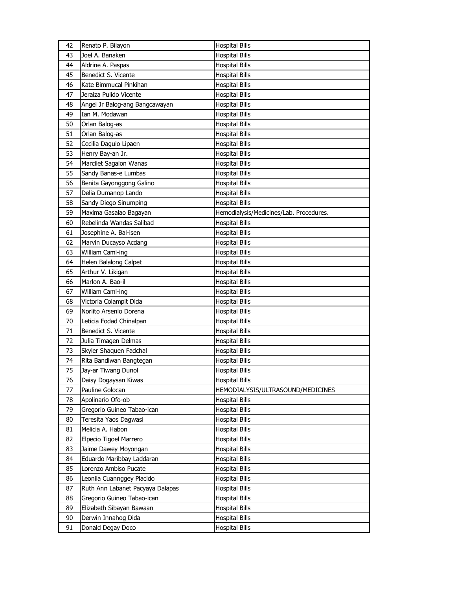| 42 | Renato P. Bilayon                | <b>Hospital Bills</b>                   |
|----|----------------------------------|-----------------------------------------|
| 43 | Joel A. Banaken                  | <b>Hospital Bills</b>                   |
| 44 | Aldrine A. Paspas                | <b>Hospital Bills</b>                   |
| 45 | Benedict S. Vicente              | <b>Hospital Bills</b>                   |
| 46 | Kate Bimmucal Pinkihan           | <b>Hospital Bills</b>                   |
| 47 | Jeraiza Pulido Vicente           | <b>Hospital Bills</b>                   |
| 48 | Angel Jr Balog-ang Bangcawayan   | <b>Hospital Bills</b>                   |
| 49 | Ian M. Modawan                   | Hospital Bills                          |
| 50 | Orlan Balog-as                   | <b>Hospital Bills</b>                   |
| 51 | Orlan Balog-as                   | <b>Hospital Bills</b>                   |
| 52 | Cecilia Daguio Lipaen            | <b>Hospital Bills</b>                   |
| 53 | Henry Bay-an Jr.                 | <b>Hospital Bills</b>                   |
| 54 | Marcilet Sagalon Wanas           | Hospital Bills                          |
| 55 | Sandy Banas-e Lumbas             | <b>Hospital Bills</b>                   |
| 56 | Benita Gayonggong Galino         | <b>Hospital Bills</b>                   |
| 57 | Delia Dumanop Lando              | <b>Hospital Bills</b>                   |
| 58 | Sandy Diego Sinumping            | <b>Hospital Bills</b>                   |
| 59 | Maxima Gasalao Bagayan           | Hemodialysis/Medicines/Lab. Procedures. |
| 60 | Rebelinda Wandas Salibad         | <b>Hospital Bills</b>                   |
| 61 | Josephine A. Bal-isen            | <b>Hospital Bills</b>                   |
| 62 | Marvin Ducayso Acdang            | <b>Hospital Bills</b>                   |
| 63 | William Cami-ing                 | <b>Hospital Bills</b>                   |
| 64 | Helen Balalong Calpet            | Hospital Bills                          |
| 65 | Arthur V. Likigan                | <b>Hospital Bills</b>                   |
| 66 | Marlon A. Bao-il                 | <b>Hospital Bills</b>                   |
| 67 | William Cami-ing                 | Hospital Bills                          |
| 68 | Victoria Colampit Dida           | <b>Hospital Bills</b>                   |
| 69 | Norlito Arsenio Dorena           | Hospital Bills                          |
| 70 | Leticia Fodad Chinalpan          | <b>Hospital Bills</b>                   |
| 71 | Benedict S. Vicente              | <b>Hospital Bills</b>                   |
| 72 | Julia Timagen Delmas             | <b>Hospital Bills</b>                   |
| 73 | Skyler Shaquen Fadchal           | Hospital Bills                          |
| 74 | Rita Bandiwan Bangtegan          | Hospital Bills                          |
| 75 | Jay-ar Tiwang Dunol              | <b>Hospital Bills</b>                   |
| 76 | Daisy Dogaysan Kiwas             | <b>Hospital Bills</b>                   |
| 77 | Pauline Golocan                  | HEMODIALYSIS/ULTRASOUND/MEDICINES       |
| 78 | Apolinario Ofo-ob                | <b>Hospital Bills</b>                   |
| 79 | Gregorio Guineo Tabao-ican       | <b>Hospital Bills</b>                   |
| 80 | Teresita Yaos Dagwasi            | Hospital Bills                          |
| 81 | Melicia A. Habon                 | <b>Hospital Bills</b>                   |
| 82 | Elpecio Tigoel Marrero           | <b>Hospital Bills</b>                   |
| 83 | Jaime Dawey Moyongan             | <b>Hospital Bills</b>                   |
| 84 | Eduardo Maribbay Laddaran        | <b>Hospital Bills</b>                   |
| 85 | Lorenzo Ambiso Pucate            | <b>Hospital Bills</b>                   |
| 86 | Leonila Cuannggey Placido        | <b>Hospital Bills</b>                   |
| 87 | Ruth Ann Labanet Pacyaya Dalapas | <b>Hospital Bills</b>                   |
| 88 | Gregorio Guineo Tabao-ican       | <b>Hospital Bills</b>                   |
| 89 | Elizabeth Sibayan Bawaan         | <b>Hospital Bills</b>                   |
| 90 | Derwin Innahog Dida              | Hospital Bills                          |
| 91 | Donald Degay Doco                | <b>Hospital Bills</b>                   |
|    |                                  |                                         |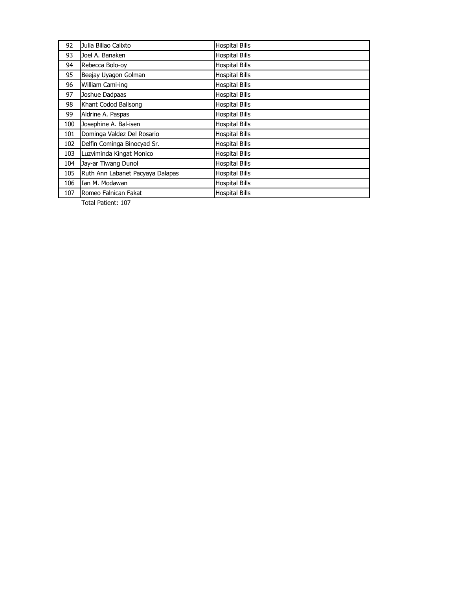| 92  | Julia Billao Calixto             | <b>Hospital Bills</b> |
|-----|----------------------------------|-----------------------|
| 93  | Joel A. Banaken                  | <b>Hospital Bills</b> |
| 94  | Rebecca Bolo-oy                  | <b>Hospital Bills</b> |
| 95  | Beejay Uyagon Golman             | <b>Hospital Bills</b> |
| 96  | William Cami-ing                 | <b>Hospital Bills</b> |
| 97  | Joshue Dadpaas                   | <b>Hospital Bills</b> |
| 98  | Khant Codod Balisong             | <b>Hospital Bills</b> |
| 99  | Aldrine A. Paspas                | <b>Hospital Bills</b> |
| 100 | Josephine A. Bal-isen            | <b>Hospital Bills</b> |
| 101 | Dominga Valdez Del Rosario       | <b>Hospital Bills</b> |
| 102 | Delfin Cominga Binocyad Sr.      | <b>Hospital Bills</b> |
| 103 | Luzviminda Kingat Monico         | <b>Hospital Bills</b> |
| 104 | Jay-ar Tiwang Dunol              | <b>Hospital Bills</b> |
| 105 | Ruth Ann Labanet Pacyaya Dalapas | <b>Hospital Bills</b> |
| 106 | Ian M. Modawan                   | <b>Hospital Bills</b> |
| 107 | Romeo Falnican Fakat             | <b>Hospital Bills</b> |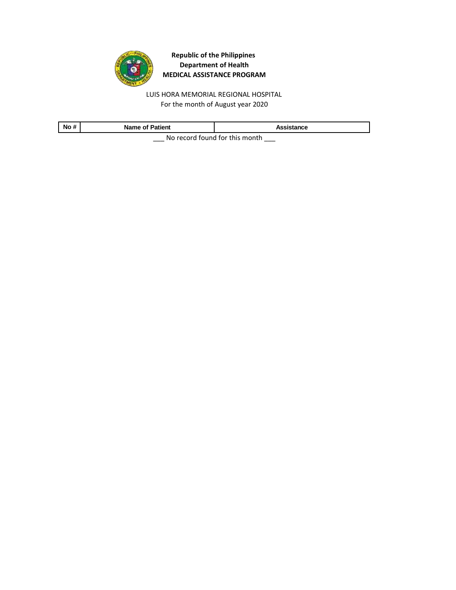

LUIS HORA MEMORIAL REGIONAL HOSPITAL For the month of August year 2020

| No # | <b>Name of Patient</b> | Assistance                          |
|------|------------------------|-------------------------------------|
|      |                        | No recepted formed for this meanth. |

\_\_\_ No record found for this month \_\_\_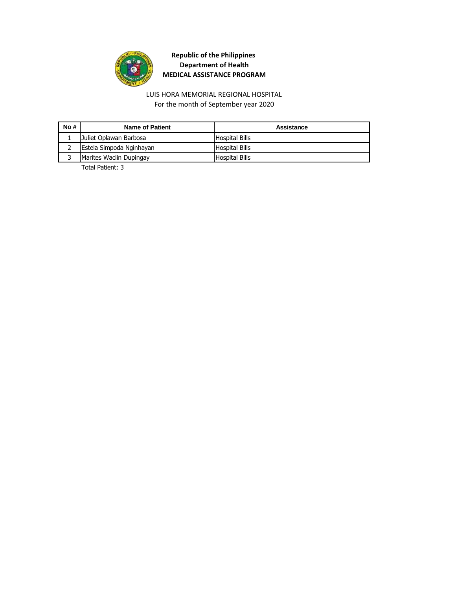

LUIS HORA MEMORIAL REGIONAL HOSPITAL For the month of September year 2020

| No # | Name of Patient          | Assistance            |
|------|--------------------------|-----------------------|
|      | Juliet Oplawan Barbosa   | <b>Hospital Bills</b> |
|      | Estela Simpoda Nginhayan | <b>Hospital Bills</b> |
|      | Marites Waclin Dupingay  | <b>Hospital Bills</b> |